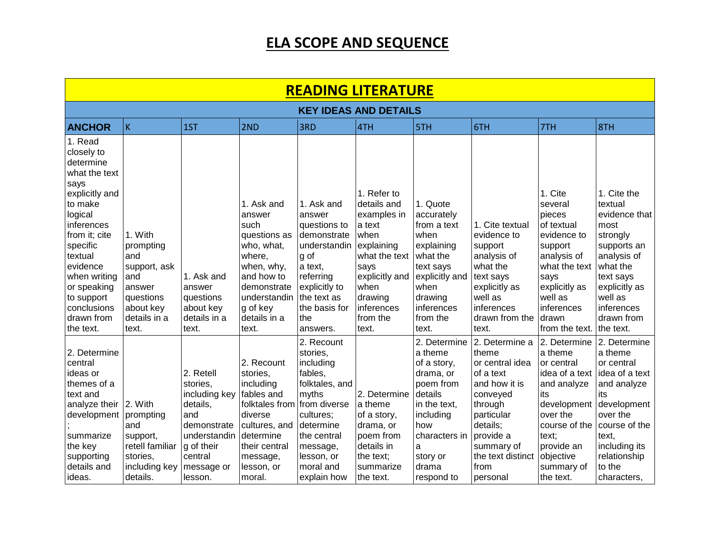| <b>READING LITERATURE</b>                                                                                                                                                                                                                                    |                                                                                                                  |                                                                                                                              |                                                                                                                                                                      |                                                                                                                                                                                          |                                                                                                                                                                            |                                                                                                                                                                          |                                                                                                                                                                                                 |                                                                                                                                                                                          |                                                                                                                                                                                              |  |  |  |
|--------------------------------------------------------------------------------------------------------------------------------------------------------------------------------------------------------------------------------------------------------------|------------------------------------------------------------------------------------------------------------------|------------------------------------------------------------------------------------------------------------------------------|----------------------------------------------------------------------------------------------------------------------------------------------------------------------|------------------------------------------------------------------------------------------------------------------------------------------------------------------------------------------|----------------------------------------------------------------------------------------------------------------------------------------------------------------------------|--------------------------------------------------------------------------------------------------------------------------------------------------------------------------|-------------------------------------------------------------------------------------------------------------------------------------------------------------------------------------------------|------------------------------------------------------------------------------------------------------------------------------------------------------------------------------------------|----------------------------------------------------------------------------------------------------------------------------------------------------------------------------------------------|--|--|--|
|                                                                                                                                                                                                                                                              | <b>KEY IDEAS AND DETAILS</b>                                                                                     |                                                                                                                              |                                                                                                                                                                      |                                                                                                                                                                                          |                                                                                                                                                                            |                                                                                                                                                                          |                                                                                                                                                                                                 |                                                                                                                                                                                          |                                                                                                                                                                                              |  |  |  |
| <b>ANCHOR</b>                                                                                                                                                                                                                                                | İΚ.                                                                                                              | 1ST                                                                                                                          | 2ND                                                                                                                                                                  | 3RD                                                                                                                                                                                      | 4TH                                                                                                                                                                        | 5TH                                                                                                                                                                      | 6TH                                                                                                                                                                                             | 7TH                                                                                                                                                                                      | 8TH                                                                                                                                                                                          |  |  |  |
| 1. Read<br>closely to<br>determine<br>what the text<br>says<br>explicitly and<br>to make<br>logical<br>inferences<br>from it; cite<br>specific<br>textual<br>evidence<br>when writing<br>or speaking<br>to support<br>conclusions<br>drawn from<br>the text. | 1. With<br>prompting<br>and<br>support, ask<br>and<br>answer<br>questions<br>about key<br>details in a<br>text.  | 1. Ask and<br>answer<br>questions<br>about key<br>details in a<br>text.                                                      | 1. Ask and<br>answer<br>such<br>questions as<br>who, what,<br>where,<br>when, why,<br>and how to<br>demonstrate<br>understandin<br>g of key<br>details in a<br>text. | 1. Ask and<br>answer<br>questions to<br>demonstrate<br>understandin<br>g of<br>a text,<br>referring<br>explicitly to<br>the text as<br>the basis for<br>the<br>answers.                  | 1. Refer to<br>details and<br>examples in<br>a text<br>when<br>explaining<br>what the text<br>says<br>explicitly and<br>when<br>drawing<br>inferences<br>from the<br>text. | 1. Quote<br>accurately<br>from a text<br>when<br>explaining<br>what the<br>text says<br>explicitly and<br>when<br>drawing<br>inferences<br>from the<br>text.             | 1. Cite textual<br>evidence to<br>support<br>analysis of<br>what the<br>text says<br>explicitly as<br>well as<br>inferences<br>drawn from the<br>text.                                          | 1. Cite<br>several<br>pieces<br>of textual<br>evidence to<br>support<br>analysis of<br>what the text<br>says<br>explicitly as<br>well as<br>inferences<br>drawn<br>from the text.        | 1. Cite the<br>textual<br>evidence that<br>most<br>strongly<br>supports an<br>analysis of<br>what the<br>text says<br>explicitly as<br>well as<br>inferences<br>drawn from<br>the text.      |  |  |  |
| 2. Determine<br>central<br>ideas or<br>themes of a<br>text and<br>analyze their<br>development<br>summarize<br>the key<br>supporting<br>details and<br>ideas.                                                                                                | 2. With<br>prompting<br>and<br>support,<br>retell familiar<br>stories,<br>including key   message or<br>details. | 2. Retell<br>stories,<br>including key<br>details,<br>and<br>demonstrate<br>understandin<br>g of their<br>central<br>lesson. | 2. Recount<br>stories,<br>including<br>fables and<br>folktales from<br>diverse<br>cultures, and<br>determine<br>their central<br>message,<br>lesson, or<br>moral.    | 2. Recount<br>stories,<br>including<br>fables,<br>folktales, and<br>myths<br>from diverse<br>cultures;<br>determine<br>the central<br>message,<br>lesson, or<br>moral and<br>explain how | 2. Determine<br>a theme<br>of a story,<br>drama, or<br>poem from<br>details in<br>the text;<br>summarize<br>Ithe text.                                                     | 2. Determine<br>a theme<br>of a story,<br>drama, or<br>poem from<br>details<br>in the text,<br>including<br>how<br>characters in<br>a<br>story or<br>drama<br>respond to | 2. Determine a<br>theme<br>or central idea<br>lof a text<br>and how it is<br>conveyed<br>through<br>particular<br>details;<br>provide a<br>summary of<br>the text distinct<br>from<br> personal | 2. Determine<br>a theme<br>or central<br>idea of a text<br>and analyze<br>its<br>development<br>over the<br>course of the<br>text;<br>provide an<br>objective<br>summary of<br>the text. | 2. Determine<br>a theme<br>or central<br>idea of a text<br>and analyze<br>its<br>development<br>over the<br>course of the<br>text,<br>including its<br>relationship<br>to the<br>characters, |  |  |  |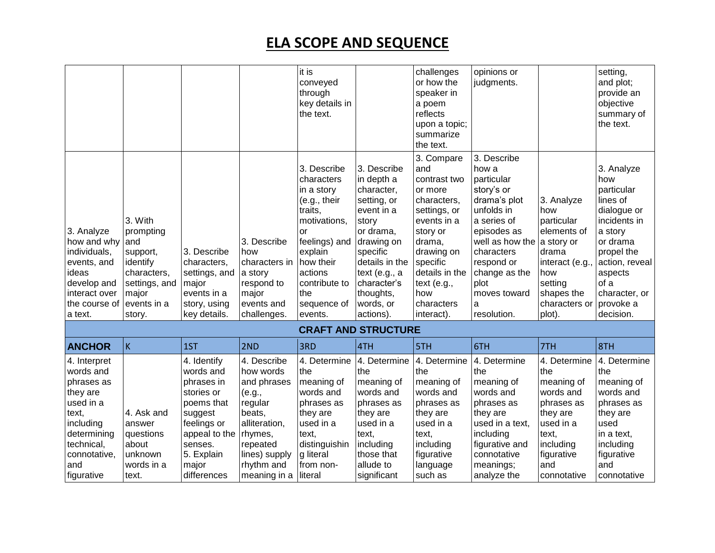|                                                                                                                                                          |                                                                                                                       |                                                                                                                                                                |                                                                                                                                                               | it is<br>conveyed<br>through<br>key details in<br>the text.                                                                                                                                             |                                                                                                                                                                                                               | challenges<br>or how the<br>speaker in<br>a poem<br>reflects<br>upon a topic;<br>summarize<br>the text.                                                                                                        | opinions or<br>judgments.                                                                                                                                                                                                           |                                                                                                                                                 | setting,<br>and plot;<br>provide an<br>objective<br>summary of<br>the text.                                                                                                                     |
|----------------------------------------------------------------------------------------------------------------------------------------------------------|-----------------------------------------------------------------------------------------------------------------------|----------------------------------------------------------------------------------------------------------------------------------------------------------------|---------------------------------------------------------------------------------------------------------------------------------------------------------------|---------------------------------------------------------------------------------------------------------------------------------------------------------------------------------------------------------|---------------------------------------------------------------------------------------------------------------------------------------------------------------------------------------------------------------|----------------------------------------------------------------------------------------------------------------------------------------------------------------------------------------------------------------|-------------------------------------------------------------------------------------------------------------------------------------------------------------------------------------------------------------------------------------|-------------------------------------------------------------------------------------------------------------------------------------------------|-------------------------------------------------------------------------------------------------------------------------------------------------------------------------------------------------|
| 3. Analyze<br>how and why<br>individuals,<br>events, and<br>ideas<br>develop and<br>interact over<br>the course of<br>a text.                            | 3. With<br>prompting<br>and<br>support,<br>identify<br>characters,<br>settings, and<br>major<br>events in a<br>story. | 3. Describe<br>characters,<br>settings, and<br>major<br>events in a<br>story, using<br>key details.                                                            | 3. Describe<br>how<br>characters in<br>a story<br>respond to<br>major<br>events and<br>challenges.                                                            | 3. Describe<br>characters<br>in a story<br>$(e.g.,$ their<br>traits,<br>motivations,<br><b>or</b><br>feelings) and<br>explain<br>how their<br>actions<br>contribute to<br>the<br>sequence of<br>events. | 3. Describe<br>in depth a<br>character,<br>setting, or<br>event in a<br>story<br>or drama,<br>drawing on<br>specific<br>details in the<br>text (e.g., a<br>character's<br>thoughts,<br>words, or<br>actions). | 3. Compare<br>and<br>contrast two<br>or more<br>characters,<br>settings, or<br>events in a<br>story or<br>drama,<br>drawing on<br>specific<br>details in the<br>text (e.g.,<br>how<br>characters<br>interact). | 3. Describe<br>how a<br>particular<br>story's or<br>drama's plot<br>unfolds in<br>a series of<br>episodes as<br>well as how the a story or<br>characters<br>respond or<br>change as the<br>plot<br>moves toward<br>a<br>resolution. | 3. Analyze<br>how<br>particular<br>elements of<br>drama<br>interact (e.g.<br>how<br>setting<br>shapes the<br>characters or<br>plot).            | 3. Analyze<br>how<br>particular<br>lines of<br>dialogue or<br>incidents in<br>a story<br>or drama<br>propel the<br>action, reveal<br>aspects<br>of a<br>character, or<br>provoke a<br>decision. |
|                                                                                                                                                          |                                                                                                                       |                                                                                                                                                                |                                                                                                                                                               |                                                                                                                                                                                                         | <b>CRAFT AND STRUCTURE</b>                                                                                                                                                                                    |                                                                                                                                                                                                                |                                                                                                                                                                                                                                     |                                                                                                                                                 |                                                                                                                                                                                                 |
| <b>ANCHOR</b>                                                                                                                                            | K                                                                                                                     | 1ST                                                                                                                                                            | 2ND                                                                                                                                                           | 3RD                                                                                                                                                                                                     | 4TH                                                                                                                                                                                                           | 5TH                                                                                                                                                                                                            | 6TH                                                                                                                                                                                                                                 | 7TH                                                                                                                                             | 8TH                                                                                                                                                                                             |
| 4. Interpret<br>words and<br>phrases as<br>they are<br>used in a<br>text,<br>including<br>determining<br>technical,<br>connotative,<br>and<br>figurative | 4. Ask and<br>answer<br>questions<br>about<br>unknown<br>words in a<br>text.                                          | 4. Identify<br>words and<br>phrases in<br>stories or<br>poems that<br>suggest<br>feelings or<br>appeal to the<br>senses.<br>5. Explain<br>major<br>differences | 4. Describe<br>how words<br>and phrases<br>(e.g.,<br>regular<br>beats,<br>alliteration,<br>rhymes,<br>repeated<br>lines) supply<br>rhythm and<br>meaning in a | 4. Determine<br>the<br>meaning of<br>words and<br>phrases as<br>they are<br>used in a<br>text,<br>distinguishin<br>g literal<br>lfrom non-<br>literal                                                   | 4. Determine<br>the<br>meaning of<br>words and<br>phrases as<br>they are<br>used in a<br>text,<br>including<br>those that<br>allude to<br>significant                                                         | 4. Determine<br>the<br>meaning of<br>words and<br>phrases as<br>they are<br>used in a<br>text,<br>including<br>figurative<br>language<br>such as                                                               | 4. Determine<br>the<br>meaning of<br>words and<br>phrases as<br>they are<br>used in a text,<br>including<br>figurative and<br>connotative<br>meanings;<br>analyze the                                                               | 4. Determine<br>the<br>meaning of<br>words and<br>phrases as<br>they are<br>used in a<br>text,<br>including<br>figurative<br>and<br>connotative | 4. Determine<br>the<br>meaning of<br>words and<br>phrases as<br>they are<br>used<br>in a text,<br>including<br>figurative<br>and<br>connotative                                                 |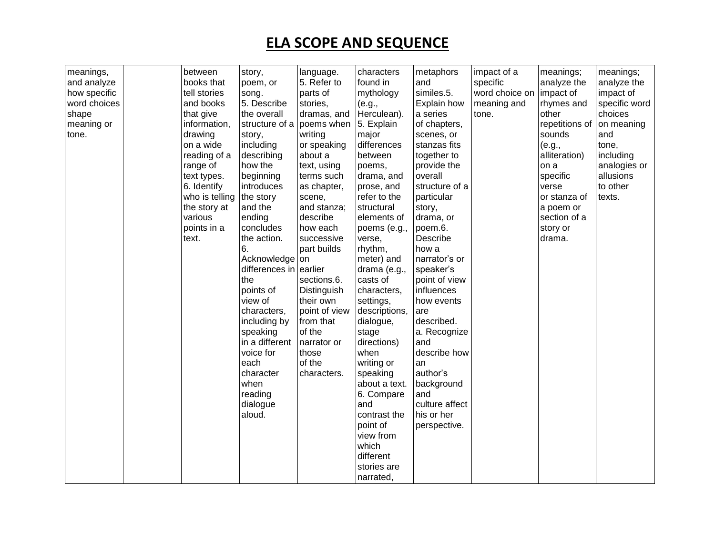| meanings,    | between        | story,                 | language.     | characters    | metaphors      | impact of a    | meanings;      | meanings;     |
|--------------|----------------|------------------------|---------------|---------------|----------------|----------------|----------------|---------------|
| and analyze  | books that     | poem, or               | 5. Refer to   | found in      | and            | specific       | analyze the    | analyze the   |
| how specific | tell stories   | song.                  | parts of      | mythology     | similes.5.     | word choice on | impact of      | impact of     |
| word choices | and books      | 5. Describe            | stories,      | (e.g.,        | Explain how    | meaning and    | rhymes and     | specific word |
| shape        | that give      | the overall            | dramas, and   | Herculean).   | a series       | tone.          | other          | choices       |
| meaning or   | information,   | structure of a         | poems when    | 5. Explain    | of chapters,   |                | repetitions of | on meaning    |
| tone.        | drawing        | story,                 | writing       | major         | scenes, or     |                | sounds         | and           |
|              | on a wide      | including              | or speaking   | differences   | stanzas fits   |                | (e.g.,         | tone,         |
|              | reading of a   | describing             | about a       | between       | together to    |                | alliteration)  | including     |
|              | range of       | how the                | text, using   | poems,        | provide the    |                | on a           | analogies or  |
|              | text types.    | beginning              | terms such    | drama, and    | overall        |                | specific       | allusions     |
|              | 6. Identify    | introduces             | as chapter,   | prose, and    | structure of a |                | verse          | to other      |
|              | who is telling | the story              | scene,        | refer to the  | particular     |                | or stanza of   | texts.        |
|              | the story at   | and the                | and stanza;   | structural    | story,         |                | a poem or      |               |
|              | various        | ending                 | describe      | elements of   | drama, or      |                | section of a   |               |
|              | points in a    | concludes              | how each      | poems (e.g.,  | poem.6.        |                | story or       |               |
|              | text.          | the action.            | successive    | verse,        | Describe       |                | drama.         |               |
|              |                | 6.                     | part builds   | rhythm,       | how a          |                |                |               |
|              |                | Acknowledge on         |               | meter) and    | narrator's or  |                |                |               |
|              |                | differences in earlier |               | drama (e.g.,  | speaker's      |                |                |               |
|              |                | the                    | sections.6.   | casts of      | point of view  |                |                |               |
|              |                | points of              | Distinguish   | characters,   | influences     |                |                |               |
|              |                | view of                | their own     | settings,     | how events     |                |                |               |
|              |                | characters,            | point of view | descriptions, | are            |                |                |               |
|              |                | including by           | from that     | dialogue,     | described.     |                |                |               |
|              |                | speaking               | of the        | stage         | a. Recognize   |                |                |               |
|              |                | in a different         | narrator or   | directions)   | and            |                |                |               |
|              |                | voice for              | those         | when          | describe how   |                |                |               |
|              |                | each                   | of the        | writing or    | an             |                |                |               |
|              |                | character              | characters.   | speaking      | author's       |                |                |               |
|              |                | when                   |               | about a text. | background     |                |                |               |
|              |                | reading                |               | 6. Compare    | and            |                |                |               |
|              |                | dialogue               |               | and           | culture affect |                |                |               |
|              |                | aloud.                 |               | contrast the  | his or her     |                |                |               |
|              |                |                        |               | point of      | perspective.   |                |                |               |
|              |                |                        |               | view from     |                |                |                |               |
|              |                |                        |               | which         |                |                |                |               |
|              |                |                        |               | different     |                |                |                |               |
|              |                |                        |               | stories are   |                |                |                |               |
|              |                |                        |               | narrated,     |                |                |                |               |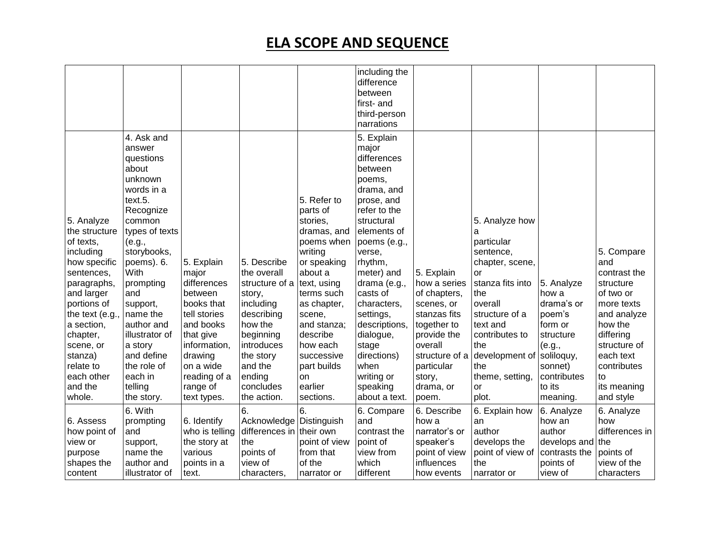|                                                                                                                                                                                                                                                      |                                                                                                                                                                                                                                                                                                                                |                                                                                                                                                                                          |                                                                                                                                                                                       |                                                                                                                                                                                                                                                               | including the<br>difference<br>between<br>first- and<br>third-person<br>narrations                                                                                                                                                                                                                                                                   |                                                                                                                                                                                   |                                                                                                                                                                                                                                 |                                                                                                                                             |                                                                                                                                                                                                |
|------------------------------------------------------------------------------------------------------------------------------------------------------------------------------------------------------------------------------------------------------|--------------------------------------------------------------------------------------------------------------------------------------------------------------------------------------------------------------------------------------------------------------------------------------------------------------------------------|------------------------------------------------------------------------------------------------------------------------------------------------------------------------------------------|---------------------------------------------------------------------------------------------------------------------------------------------------------------------------------------|---------------------------------------------------------------------------------------------------------------------------------------------------------------------------------------------------------------------------------------------------------------|------------------------------------------------------------------------------------------------------------------------------------------------------------------------------------------------------------------------------------------------------------------------------------------------------------------------------------------------------|-----------------------------------------------------------------------------------------------------------------------------------------------------------------------------------|---------------------------------------------------------------------------------------------------------------------------------------------------------------------------------------------------------------------------------|---------------------------------------------------------------------------------------------------------------------------------------------|------------------------------------------------------------------------------------------------------------------------------------------------------------------------------------------------|
| 5. Analyze<br>the structure<br>of texts,<br>including<br>how specific<br>sentences,<br>paragraphs,<br>and larger<br>portions of<br>the text (e.g.,<br>a section,<br>chapter,<br>scene, or<br>stanza)<br>relate to<br>each other<br>and the<br>whole. | 4. Ask and<br>answer<br>questions<br>about<br>unknown<br>words in a<br>text.5.<br>Recognize<br>common<br>types of texts<br>(e.g.,<br>storybooks,<br>poems). 6.<br>With<br>prompting<br>and<br>support,<br>name the<br>author and<br>illustrator of<br>a story<br>and define<br>the role of<br>each in<br>telling<br>the story. | 5. Explain<br>major<br>differences<br>between<br>books that<br>tell stories<br>and books<br>that give<br>information,<br>drawing<br>on a wide<br>reading of a<br>range of<br>text types. | 5. Describe<br>the overall<br>structure of a<br>story,<br>including<br>describing<br>how the<br>beginning<br>introduces<br>the story<br>and the<br>ending<br>concludes<br>the action. | 5. Refer to<br>parts of<br>stories,<br>dramas, and<br>poems when<br>writing<br>or speaking<br>about a<br>text, using<br>terms such<br>as chapter,<br>scene,<br>and stanza;<br>describe<br>how each<br>successive<br>part builds<br>on<br>earlier<br>sections. | 5. Explain<br>major<br>differences<br>between<br>poems,<br>drama, and<br>prose, and<br>refer to the<br>structural<br>elements of<br>poems (e.g.,<br>verse,<br>rhythm,<br>meter) and<br>drama (e.g.,<br>casts of<br>characters,<br>settings,<br>descriptions,<br>dialogue,<br>stage<br>directions)<br>when<br>writing or<br>speaking<br>about a text. | 5. Explain<br>how a series<br>of chapters,<br>scenes, or<br>stanzas fits<br>together to<br>provide the<br>overall<br>structure of a<br>particular<br>story,<br>drama, or<br>poem. | 5. Analyze how<br>a<br>particular<br>sentence,<br>chapter, scene,<br>or<br>stanza fits into<br>the<br>overall<br>structure of a<br>text and<br>contributes to<br>the<br>development of<br>the<br>theme, setting,<br>or<br>plot. | 5. Analyze<br>how a<br>drama's or<br>poem's<br>form or<br>structure<br>(e.g.,<br>soliloquy,<br>sonnet)<br>contributes<br>to its<br>meaning. | 5. Compare<br>and<br>contrast the<br>structure<br>of two or<br>more texts<br>and analyze<br>how the<br>differing<br>structure of<br>each text<br>contributes<br>to<br>its meaning<br>and style |
| 6. Assess<br>how point of<br>view or<br>purpose<br>shapes the<br>content                                                                                                                                                                             | 6. With<br>prompting<br>and<br>support,<br>name the<br>author and<br>illustrator of                                                                                                                                                                                                                                            | 6. Identify<br>who is telling<br>the story at<br>various<br>points in a<br>text.                                                                                                         | 6.<br>Acknowledge<br>differences in their own<br>the<br>points of<br>view of<br>characters,                                                                                           | 6.<br>Distinguish<br>point of view<br>from that<br>of the<br>narrator or                                                                                                                                                                                      | 6. Compare<br>and<br>contrast the<br>point of<br>view from<br>which<br>different                                                                                                                                                                                                                                                                     | 6. Describe<br>how a<br>narrator's or<br>speaker's<br>point of view<br>influences<br>how events                                                                                   | 6. Explain how<br>an<br>author<br>develops the<br>point of view of<br>the<br>narrator or                                                                                                                                        | 6. Analyze<br>how an<br>author<br>develops and<br>contrasts the<br>points of<br>view of                                                     | 6. Analyze<br>how<br>differences in<br>the<br>points of<br>view of the<br>characters                                                                                                           |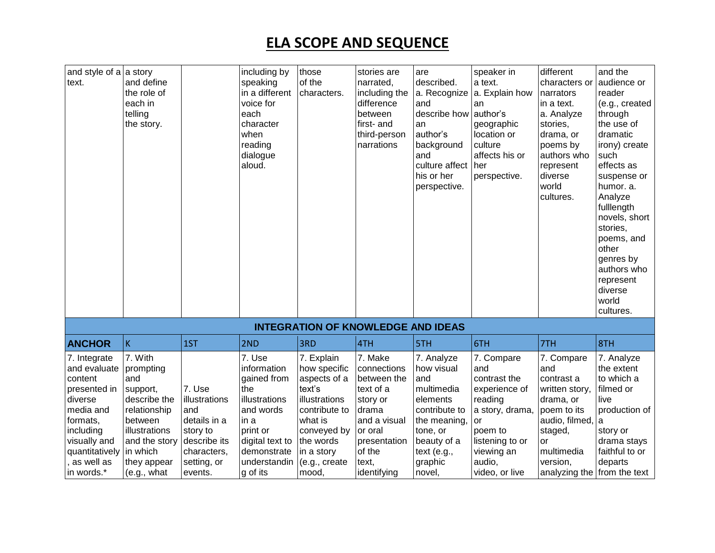| and style of $a \mid a$ story<br>text.                                                                                                                                   | and define<br>the role of<br>each in<br>telling<br>the story.                                                                                                  |                                                                                                                     | including by<br>speaking<br>in a different<br>voice for<br>each<br>character<br>when<br>reading<br>dialogue<br>aloud.                                       | those<br>of the<br>characters.                                                                                                                                        | stories are<br>narrated,<br>including the<br>difference<br>between<br>first- and<br>third-person<br>narrations                                       | are<br>described.<br>a. Recognize<br>and<br>describe how author's<br>an<br>author's<br>background<br>and<br>culture affect<br>his or her<br>perspective.  | speaker in<br>a text.<br>a. Explain how<br>an<br>geographic<br>location or<br>culture<br>affects his or<br>her<br>perspective.                                 | different<br>characters or<br>narrators<br>in a text.<br>a. Analyze<br>stories,<br>drama, or<br>poems by<br>authors who<br>represent<br>diverse<br>world<br>cultures.     | and the<br>audience or<br>reader<br>(e.g., created<br>through<br>the use of<br>dramatic<br>irony) create<br>such<br>effects as<br>suspense or<br>humor, a.<br>Analyze<br>fulllength<br>novels, short<br>stories,<br>poems, and<br>other<br>genres by<br>authors who<br>represent<br>diverse<br>world<br>cultures. |
|--------------------------------------------------------------------------------------------------------------------------------------------------------------------------|----------------------------------------------------------------------------------------------------------------------------------------------------------------|---------------------------------------------------------------------------------------------------------------------|-------------------------------------------------------------------------------------------------------------------------------------------------------------|-----------------------------------------------------------------------------------------------------------------------------------------------------------------------|------------------------------------------------------------------------------------------------------------------------------------------------------|-----------------------------------------------------------------------------------------------------------------------------------------------------------|----------------------------------------------------------------------------------------------------------------------------------------------------------------|---------------------------------------------------------------------------------------------------------------------------------------------------------------------------|-------------------------------------------------------------------------------------------------------------------------------------------------------------------------------------------------------------------------------------------------------------------------------------------------------------------|
|                                                                                                                                                                          |                                                                                                                                                                |                                                                                                                     |                                                                                                                                                             |                                                                                                                                                                       | <b>INTEGRATION OF KNOWLEDGE AND IDEAS</b>                                                                                                            |                                                                                                                                                           |                                                                                                                                                                |                                                                                                                                                                           |                                                                                                                                                                                                                                                                                                                   |
| <b>ANCHOR</b>                                                                                                                                                            | $\vert K \vert$                                                                                                                                                | 1ST                                                                                                                 | 2ND                                                                                                                                                         | 3RD                                                                                                                                                                   | 4TH                                                                                                                                                  | 5TH                                                                                                                                                       | 6TH                                                                                                                                                            | 7TH                                                                                                                                                                       | 8TH                                                                                                                                                                                                                                                                                                               |
| 7. Integrate<br>and evaluate<br>content<br>presented in<br>diverse<br>media and<br>formats,<br>including<br>visually and<br>quantitatively<br>, as well as<br>in words.* | 7. With<br>prompting<br>and<br>support,<br>describe the<br>relationship<br>between<br>illustrations<br>and the story<br>in which<br>they appear<br>(e.g., what | 7. Use<br>illustrations<br>and<br>details in a<br>story to<br>describe its<br>characters,<br>setting, or<br>events. | 7. Use<br>information<br>gained from<br>the<br>illustrations<br>and words<br>in a<br>print or<br>digital text to<br>demonstrate<br>understandin<br>g of its | 7. Explain<br>how specific<br>aspects of a<br>text's<br>illustrations<br>contribute to<br>what is<br>conveyed by<br>the words<br>in a story<br>(e.g., create<br>mood. | 7. Make<br>connections<br>between the<br>text of a<br>story or<br>drama<br>and a visual<br>or oral<br>presentation<br>of the<br>text,<br>identifying | 7. Analyze<br>how visual<br>and<br>multimedia<br>elements<br>contribute to<br>the meaning,<br>tone, or<br>beauty of a<br>text (e.g.,<br>graphic<br>novel, | 7. Compare<br>and<br>contrast the<br>experience of<br>reading<br>a story, drama,<br>or<br>poem to<br>listening to or<br>viewing an<br>audio,<br>video, or live | 7. Compare<br>and<br>contrast a<br>written story,<br>drama, or<br>poem to its<br>audio, filmed,<br>staged,<br>or<br>multimedia<br>version,<br>analyzing the from the text | 7. Analyze<br>the extent<br>to which a<br>filmed or<br>live<br>production of<br>a<br>story or<br>drama stays<br>faithful to or<br>departs                                                                                                                                                                         |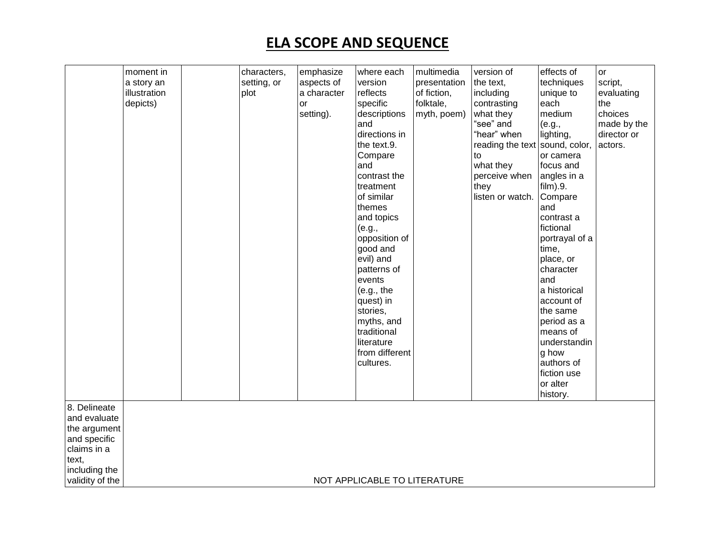| 8. Delineate                                 | moment in<br>a story an<br>illustration<br>depicts) | characters,<br>setting, or<br>plot | emphasize<br>aspects of<br>a character<br>or<br>setting). | where each<br>version<br>reflects<br>specific<br>descriptions<br>and<br>directions in<br>the text.9.<br>Compare<br>and<br>contrast the<br>treatment<br>of similar<br>themes<br>and topics<br>(e.g.,<br>opposition of<br>good and<br>evil) and<br>patterns of<br>events<br>(e.g., the<br>quest) in<br>stories,<br>myths, and<br>traditional<br>literature<br>from different<br>cultures. | multimedia<br>presentation<br>of fiction,<br>folktale,<br>myth, poem) | version of<br>the text,<br>including<br>contrasting<br>what they<br>"see" and<br>"hear" when<br>reading the text sound, color,<br>to<br>what they<br>perceive when<br>they<br>listen or watch. | effects of<br>techniques<br>unique to<br>each<br>medium<br>(e.g.,<br>lighting,<br>or camera<br>focus and<br>angles in a<br>film).9.<br>Compare<br>and<br>contrast a<br>fictional<br>portrayal of a<br>time,<br>place, or<br>character<br>and<br>a historical<br>account of<br>the same<br>period as a<br>means of<br>understandin<br>g how<br>authors of<br>fiction use<br>or alter<br>history. | or<br>script,<br>evaluating<br>the<br>choices<br>made by the<br>director or<br>actors. |
|----------------------------------------------|-----------------------------------------------------|------------------------------------|-----------------------------------------------------------|-----------------------------------------------------------------------------------------------------------------------------------------------------------------------------------------------------------------------------------------------------------------------------------------------------------------------------------------------------------------------------------------|-----------------------------------------------------------------------|------------------------------------------------------------------------------------------------------------------------------------------------------------------------------------------------|-------------------------------------------------------------------------------------------------------------------------------------------------------------------------------------------------------------------------------------------------------------------------------------------------------------------------------------------------------------------------------------------------|----------------------------------------------------------------------------------------|
| and evaluate<br>the argument<br>and specific |                                                     |                                    |                                                           |                                                                                                                                                                                                                                                                                                                                                                                         |                                                                       |                                                                                                                                                                                                |                                                                                                                                                                                                                                                                                                                                                                                                 |                                                                                        |
| claims in a<br>text,                         |                                                     |                                    |                                                           |                                                                                                                                                                                                                                                                                                                                                                                         |                                                                       |                                                                                                                                                                                                |                                                                                                                                                                                                                                                                                                                                                                                                 |                                                                                        |
| including the<br>validity of the             |                                                     |                                    |                                                           | NOT APPLICABLE TO LITERATURE                                                                                                                                                                                                                                                                                                                                                            |                                                                       |                                                                                                                                                                                                |                                                                                                                                                                                                                                                                                                                                                                                                 |                                                                                        |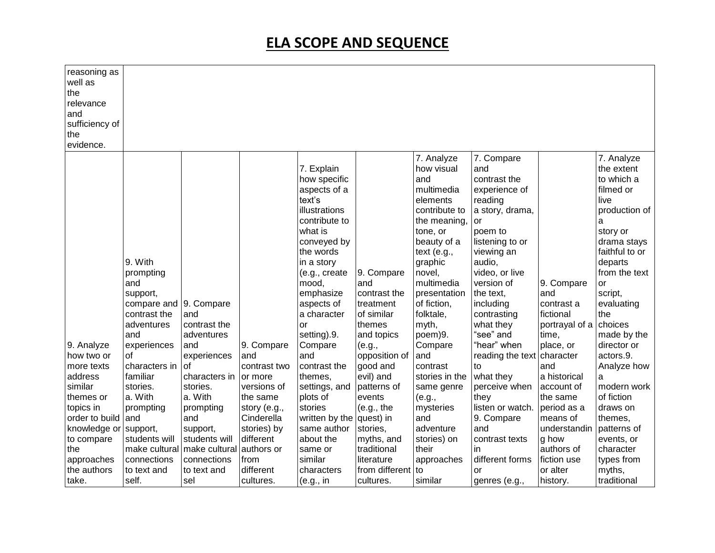| reasoning as<br>well as<br>the<br>relevance<br>and<br>sufficiency of<br>the<br>evidence. |                                                                                             |                                                 |                         |                                                                                                                                                                                                                                      |                                                                                      |                                                                                                                                                                                                                                         |                                                                                                                                                                                                                                                 |                                                                         |                                                                                                                                                                                                                            |
|------------------------------------------------------------------------------------------|---------------------------------------------------------------------------------------------|-------------------------------------------------|-------------------------|--------------------------------------------------------------------------------------------------------------------------------------------------------------------------------------------------------------------------------------|--------------------------------------------------------------------------------------|-----------------------------------------------------------------------------------------------------------------------------------------------------------------------------------------------------------------------------------------|-------------------------------------------------------------------------------------------------------------------------------------------------------------------------------------------------------------------------------------------------|-------------------------------------------------------------------------|----------------------------------------------------------------------------------------------------------------------------------------------------------------------------------------------------------------------------|
|                                                                                          | 9. With<br>prompting<br>and<br>support,<br>compare and<br>contrast the<br>adventures<br>and | 9. Compare<br>and<br>contrast the<br>adventures |                         | 7. Explain<br>how specific<br>aspects of a<br>text's<br>illustrations<br>contribute to<br>what is<br>conveyed by<br>the words<br>in a story<br>(e.g., create<br>mood,<br>emphasize<br>aspects of<br>a character<br>or<br>setting).9. | 9. Compare<br>and<br>contrast the<br>treatment<br>of similar<br>themes<br>and topics | 7. Analyze<br>how visual<br>and<br>multimedia<br>elements<br>contribute to<br>the meaning,<br>tone, or<br>beauty of a<br>text (e.g.,<br>graphic<br>novel,<br>multimedia<br>presentation<br>of fiction,<br>folktale,<br>myth,<br>poem)9. | 7. Compare<br>and<br>contrast the<br>experience of<br>reading<br>a story, drama,<br>or<br>poem to<br>listening to or<br>viewing an<br>audio,<br>video, or live<br>version of<br>the text,<br>including<br>contrasting<br>what they<br>"see" and | 9. Compare<br>and<br>contrast a<br>fictional<br>portrayal of a<br>time, | 7. Analyze<br>the extent<br>to which a<br>filmed or<br>live<br>production of<br>a<br>story or<br>drama stays<br>faithful to or<br>departs<br>from the text<br>or<br>script,<br>evaluating<br>the<br>choices<br>made by the |
| 9. Analyze                                                                               | experiences                                                                                 | and                                             | 9. Compare              | Compare                                                                                                                                                                                                                              | (e.g.,                                                                               | Compare                                                                                                                                                                                                                                 | "hear" when                                                                                                                                                                                                                                     | place, or                                                               | director or                                                                                                                                                                                                                |
| how two or                                                                               | of                                                                                          | experiences                                     | and                     | and                                                                                                                                                                                                                                  | opposition of                                                                        | and                                                                                                                                                                                                                                     | reading the text character                                                                                                                                                                                                                      |                                                                         | actors.9.                                                                                                                                                                                                                  |
| more texts<br>address                                                                    | characters in<br>familiar                                                                   | οf<br>characters in                             | contrast two<br>or more | contrast the<br>themes,                                                                                                                                                                                                              | good and<br>evil) and                                                                | contrast<br>stories in the                                                                                                                                                                                                              | to<br>what they                                                                                                                                                                                                                                 | and<br>a historical                                                     | Analyze how<br>a                                                                                                                                                                                                           |
| similar                                                                                  | stories.                                                                                    | stories.                                        | versions of             | settings, and                                                                                                                                                                                                                        | patterns of                                                                          | same genre                                                                                                                                                                                                                              | perceive when                                                                                                                                                                                                                                   | account of                                                              | modern work                                                                                                                                                                                                                |
| themes or                                                                                | a. With                                                                                     | a. With                                         | the same                | plots of                                                                                                                                                                                                                             | events                                                                               | (e.g.,                                                                                                                                                                                                                                  | they                                                                                                                                                                                                                                            | the same                                                                | of fiction                                                                                                                                                                                                                 |
| topics in                                                                                | prompting                                                                                   | prompting                                       | story (e.g.,            | stories                                                                                                                                                                                                                              | (e.g., the                                                                           | mysteries                                                                                                                                                                                                                               | listen or watch.                                                                                                                                                                                                                                | period as a                                                             | draws on                                                                                                                                                                                                                   |
| order to build and                                                                       |                                                                                             | and                                             | Cinderella              | written by the quest) in                                                                                                                                                                                                             |                                                                                      | and                                                                                                                                                                                                                                     | 9. Compare                                                                                                                                                                                                                                      | means of                                                                | themes,                                                                                                                                                                                                                    |
| knowledge or support,                                                                    |                                                                                             | support,                                        | stories) by             | same author                                                                                                                                                                                                                          | stories,                                                                             | adventure                                                                                                                                                                                                                               | and                                                                                                                                                                                                                                             | understandin                                                            | patterns of                                                                                                                                                                                                                |
| to compare                                                                               | students will                                                                               | students will                                   | different               | about the                                                                                                                                                                                                                            | myths, and                                                                           | stories) on                                                                                                                                                                                                                             | contrast texts                                                                                                                                                                                                                                  | g how                                                                   | events, or                                                                                                                                                                                                                 |
| the                                                                                      | make cultural make cultural                                                                 |                                                 | authors or              | same or                                                                                                                                                                                                                              | traditional                                                                          | their                                                                                                                                                                                                                                   | in.                                                                                                                                                                                                                                             | authors of                                                              | character                                                                                                                                                                                                                  |
| approaches                                                                               | connections                                                                                 | connections                                     | from                    | similar                                                                                                                                                                                                                              | literature                                                                           | approaches                                                                                                                                                                                                                              | different forms                                                                                                                                                                                                                                 | fiction use                                                             | types from                                                                                                                                                                                                                 |
| the authors                                                                              | to text and                                                                                 | to text and                                     | different               | characters                                                                                                                                                                                                                           | from different                                                                       | to                                                                                                                                                                                                                                      | or                                                                                                                                                                                                                                              | or alter                                                                | myths,                                                                                                                                                                                                                     |
| take.                                                                                    | self.                                                                                       | sel                                             | cultures.               | (e.g., in                                                                                                                                                                                                                            | cultures.                                                                            | similar                                                                                                                                                                                                                                 | genres (e.g.,                                                                                                                                                                                                                                   | history.                                                                | traditional                                                                                                                                                                                                                |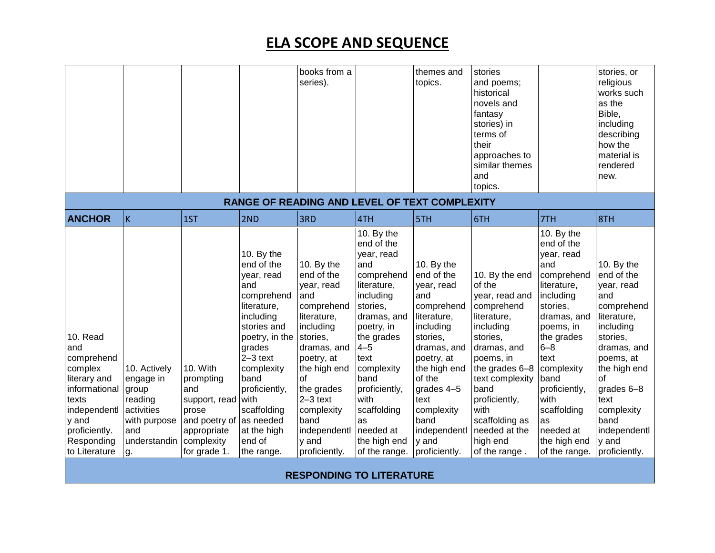|                                                                                                                                                             |                                                                                                          |                                                                                                                      |                                                                                                                                                                                                                                                                    | books from a<br>series).                                                                                                                                                                                                                                     |                                                                                                                                                                                                                                                                        | themes and<br>topics.                                                                                                                                                                                                                            | stories<br>and poems;<br>historical<br>novels and<br>fantasy<br>stories) in<br>terms of<br>their<br>approaches to                                                                                                                                                  |                                                                                                                                                                                                                                                                                    | stories, or<br>religious<br>works such<br>as the<br>Bible,<br>including<br>describing<br>how the<br>material is                                                                                                                             |
|-------------------------------------------------------------------------------------------------------------------------------------------------------------|----------------------------------------------------------------------------------------------------------|----------------------------------------------------------------------------------------------------------------------|--------------------------------------------------------------------------------------------------------------------------------------------------------------------------------------------------------------------------------------------------------------------|--------------------------------------------------------------------------------------------------------------------------------------------------------------------------------------------------------------------------------------------------------------|------------------------------------------------------------------------------------------------------------------------------------------------------------------------------------------------------------------------------------------------------------------------|--------------------------------------------------------------------------------------------------------------------------------------------------------------------------------------------------------------------------------------------------|--------------------------------------------------------------------------------------------------------------------------------------------------------------------------------------------------------------------------------------------------------------------|------------------------------------------------------------------------------------------------------------------------------------------------------------------------------------------------------------------------------------------------------------------------------------|---------------------------------------------------------------------------------------------------------------------------------------------------------------------------------------------------------------------------------------------|
|                                                                                                                                                             |                                                                                                          |                                                                                                                      |                                                                                                                                                                                                                                                                    |                                                                                                                                                                                                                                                              |                                                                                                                                                                                                                                                                        |                                                                                                                                                                                                                                                  | similar themes<br>and<br>topics.                                                                                                                                                                                                                                   |                                                                                                                                                                                                                                                                                    | rendered<br>new.                                                                                                                                                                                                                            |
|                                                                                                                                                             |                                                                                                          |                                                                                                                      |                                                                                                                                                                                                                                                                    |                                                                                                                                                                                                                                                              |                                                                                                                                                                                                                                                                        | RANGE OF READING AND LEVEL OF TEXT COMPLEXITY                                                                                                                                                                                                    |                                                                                                                                                                                                                                                                    |                                                                                                                                                                                                                                                                                    |                                                                                                                                                                                                                                             |
| <b>ANCHOR</b>                                                                                                                                               | $\mathsf K$                                                                                              | 1ST                                                                                                                  | 2ND                                                                                                                                                                                                                                                                | 3RD                                                                                                                                                                                                                                                          | 4TH                                                                                                                                                                                                                                                                    | 5TH                                                                                                                                                                                                                                              | 6TH                                                                                                                                                                                                                                                                | 7TH                                                                                                                                                                                                                                                                                | 8TH                                                                                                                                                                                                                                         |
| 10. Read<br>and<br>comprehend<br>complex<br>literary and<br>informational<br>texts<br>independentl<br>y and<br>proficiently.<br>Responding<br>to Literature | 10. Actively<br>engage in<br>group<br>reading<br>activities<br>with purpose<br>and<br>understandin<br>g. | 10. With<br>prompting<br>and<br>support, read<br>prose<br>and poetry of<br>appropriate<br>complexity<br>for grade 1. | 10. By the<br>end of the<br>year, read<br>and<br>comprehend<br>literature,<br>including<br>stories and<br>poetry, in the<br>grades<br>$2-3$ text<br>complexity<br>band<br>proficiently,<br>with<br>scaffolding<br>as needed<br>at the high<br>end of<br>the range. | 10. By the<br>end of the<br>year, read<br>and<br>comprehend<br>literature,<br>including<br>stories,<br>dramas, and<br>poetry, at<br>the high end<br>of<br>the grades<br>$2-3$ text<br>complexity<br>band<br>independentl needed at<br>y and<br>proficiently. | 10. By the<br>end of the<br>year, read<br>and<br>comprehend<br>literature,<br>including<br>stories,<br>dramas, and<br>poetry, in<br>the grades<br>$4 - 5$<br>text<br>complexity<br>band<br>proficiently,<br>with<br>scaffolding<br>as<br>the high end<br>of the range. | 10. By the<br>end of the<br>year, read<br>and<br>comprehend<br>literature,<br>including<br>stories,<br>dramas, and<br>poetry, at<br>the high end<br>of the<br>grades 4-5<br>text<br>complexity<br>band<br>independentl<br>y and<br>proficiently. | 10. By the end<br>of the<br>year, read and<br>comprehend<br>literature,<br>including<br>stories,<br>dramas, and<br>poems, in<br>the grades 6-8<br>text complexity<br>band<br>proficiently,<br>with<br>scaffolding as<br>needed at the<br>high end<br>of the range. | 10. By the<br>end of the<br>year, read<br>and<br>comprehend<br>literature,<br>including<br>stories,<br>dramas, and<br>poems, in<br>the grades<br>$6 - 8$<br>text<br>complexity<br>band<br>proficiently,<br>with<br>scaffolding<br>as<br>needed at<br>the high end<br>of the range. | 10. By the<br>end of the<br>year, read<br>and<br>comprehend<br>literature,<br>including<br>stories,<br>dramas, and<br>poems, at<br>the high end<br>of<br>grades 6-8<br>text<br>complexity<br>band<br>independentl<br>y and<br>proficiently. |

**RESPONDING TO LITERATURE**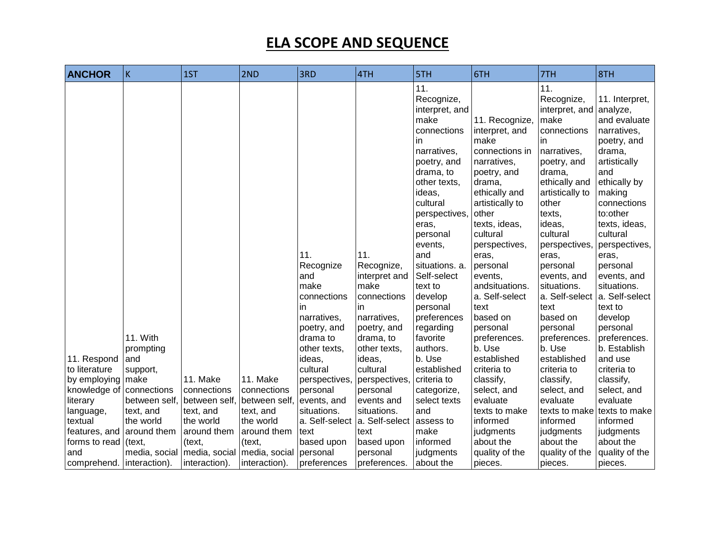| <b>ANCHOR</b>                | $\sf K$                                  | 1ST                     | 2ND                                                      | 3RD                                                                                                                                  | 4TH                                                                                                                                              | 5TH                                                                                                                                                                                                                                                                                                                                                        | 6TH                                                                                                                                                                                                                                                                                                                                                       | 7TH                                                                                                                                                                                                                                                                                                                                                                           | 8TH                                                                                                                                                                                                                                                                                                                                                               |
|------------------------------|------------------------------------------|-------------------------|----------------------------------------------------------|--------------------------------------------------------------------------------------------------------------------------------------|--------------------------------------------------------------------------------------------------------------------------------------------------|------------------------------------------------------------------------------------------------------------------------------------------------------------------------------------------------------------------------------------------------------------------------------------------------------------------------------------------------------------|-----------------------------------------------------------------------------------------------------------------------------------------------------------------------------------------------------------------------------------------------------------------------------------------------------------------------------------------------------------|-------------------------------------------------------------------------------------------------------------------------------------------------------------------------------------------------------------------------------------------------------------------------------------------------------------------------------------------------------------------------------|-------------------------------------------------------------------------------------------------------------------------------------------------------------------------------------------------------------------------------------------------------------------------------------------------------------------------------------------------------------------|
| 11. Respond<br>to literature | 11. With<br>prompting<br>and<br>support, |                         |                                                          | 11.<br>Recognize<br>and<br>make<br>connections<br>in<br>narratives,<br>poetry, and<br>drama to<br>other texts,<br>ideas,<br>cultural | 11.<br>Recognize,<br>interpret and<br>make<br>connections<br>in<br>narratives,<br>poetry, and<br>drama, to<br>other texts,<br>ideas,<br>cultural | 11.<br>Recognize,<br>interpret, and<br>make<br>connections<br>in.<br>narratives,<br>poetry, and<br>drama, to<br>other texts,<br>ideas,<br>cultural<br>perspectives,<br>eras.<br>personal<br>events,<br>and<br>situations. a.<br>Self-select<br>text to<br>develop<br>personal<br>preferences<br>regarding<br>favorite<br>authors.<br>b. Use<br>established | 11. Recognize,<br>interpret, and<br>make<br>connections in<br>narratives,<br>poetry, and<br>drama,<br>ethically and<br>artistically to<br>other<br>texts, ideas,<br>cultural<br>perspectives,<br>eras,<br>personal<br>events,<br>andsituations.<br>a. Self-select<br>text<br>based on<br>personal<br>preferences.<br>b. Use<br>established<br>criteria to | 11.<br>Recognize,<br>interpret, and analyze,<br>make<br>connections<br>in.<br>narratives,<br>poetry, and<br>drama,<br>ethically and<br>artistically to<br>other<br>texts,<br>ideas,<br>cultural<br>perspectives,<br>eras,<br>personal<br>events, and<br>situations.<br>a. Self-select<br>text<br>based on<br>personal<br>preferences.<br>b. Use<br>established<br>criteria to | 11. Interpret,<br>and evaluate<br>narratives,<br>poetry, and<br>drama,<br>artistically<br>and<br>ethically by<br>making<br>connections<br>to:other<br>texts, ideas,<br>cultural<br>perspectives,<br>eras,<br>personal<br>events, and<br>situations.<br>a. Self-select<br>text to<br>develop<br>personal<br>preferences.<br>b. Establish<br>and use<br>criteria to |
| by employing<br>knowledge of | make<br>connections                      | 11. Make<br>connections | 11. Make<br>connections                                  | perspectives,<br>personal                                                                                                            | perspectives,<br>personal                                                                                                                        | criteria to<br>categorize,                                                                                                                                                                                                                                                                                                                                 | classify,<br>select, and                                                                                                                                                                                                                                                                                                                                  | classify,<br>select, and                                                                                                                                                                                                                                                                                                                                                      | classify,<br>select, and                                                                                                                                                                                                                                                                                                                                          |
| literary                     | between self,                            | between self,           | between self,                                            | events, and                                                                                                                          | events and                                                                                                                                       | select texts                                                                                                                                                                                                                                                                                                                                               | evaluate                                                                                                                                                                                                                                                                                                                                                  | evaluate                                                                                                                                                                                                                                                                                                                                                                      | evaluate                                                                                                                                                                                                                                                                                                                                                          |
| language,                    | text, and                                | text, and               | text, and                                                | situations.                                                                                                                          | situations.                                                                                                                                      | and                                                                                                                                                                                                                                                                                                                                                        | texts to make                                                                                                                                                                                                                                                                                                                                             | texts to make                                                                                                                                                                                                                                                                                                                                                                 | texts to make                                                                                                                                                                                                                                                                                                                                                     |
| textual                      | the world                                | the world               | the world                                                | a. Self-select                                                                                                                       | a. Self-select                                                                                                                                   | assess to                                                                                                                                                                                                                                                                                                                                                  | informed                                                                                                                                                                                                                                                                                                                                                  | informed                                                                                                                                                                                                                                                                                                                                                                      | informed                                                                                                                                                                                                                                                                                                                                                          |
| features, and                | around them                              | around them             | around them                                              | text                                                                                                                                 | text                                                                                                                                             | make                                                                                                                                                                                                                                                                                                                                                       | judgments                                                                                                                                                                                                                                                                                                                                                 | judgments                                                                                                                                                                                                                                                                                                                                                                     | judgments                                                                                                                                                                                                                                                                                                                                                         |
| forms to read (text,         |                                          | (text,                  | (text,                                                   | based upon                                                                                                                           | based upon                                                                                                                                       | informed                                                                                                                                                                                                                                                                                                                                                   | about the                                                                                                                                                                                                                                                                                                                                                 | about the                                                                                                                                                                                                                                                                                                                                                                     | about the                                                                                                                                                                                                                                                                                                                                                         |
| and                          |                                          |                         | media, social   media, social   media, social   personal |                                                                                                                                      | personal                                                                                                                                         | judgments                                                                                                                                                                                                                                                                                                                                                  | quality of the                                                                                                                                                                                                                                                                                                                                            | quality of the                                                                                                                                                                                                                                                                                                                                                                | quality of the                                                                                                                                                                                                                                                                                                                                                    |
| comprehend.   interaction).  |                                          | interaction).           | interaction).                                            | preferences                                                                                                                          | preferences.                                                                                                                                     | about the                                                                                                                                                                                                                                                                                                                                                  | pieces.                                                                                                                                                                                                                                                                                                                                                   | pieces.                                                                                                                                                                                                                                                                                                                                                                       | pieces.                                                                                                                                                                                                                                                                                                                                                           |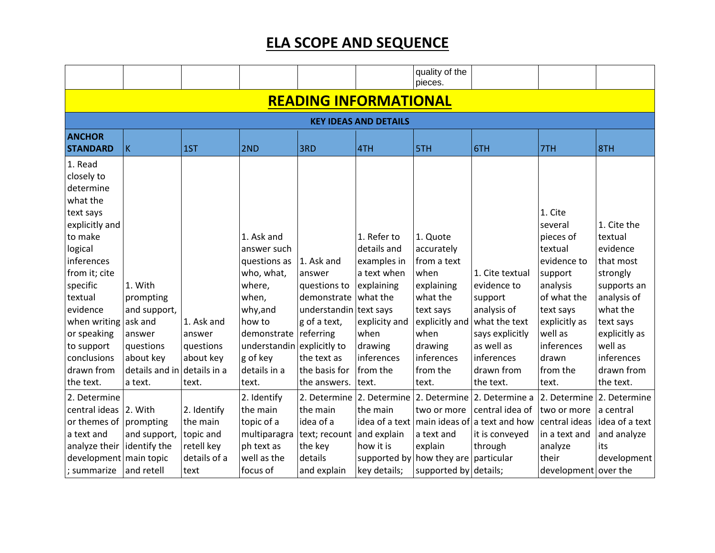|                                                                                                                                                                                                                                                              |                                                                                                                               |                                                         |                                                                                                                                                                                    |                                                                                                                                                            |                                                                                                                                                           | quality of the<br>pieces.                                                                                                                                    |                                                                                                                                                     |                                                                                                                                                                                      |                                                                                                                                                                                         |  |  |  |  |
|--------------------------------------------------------------------------------------------------------------------------------------------------------------------------------------------------------------------------------------------------------------|-------------------------------------------------------------------------------------------------------------------------------|---------------------------------------------------------|------------------------------------------------------------------------------------------------------------------------------------------------------------------------------------|------------------------------------------------------------------------------------------------------------------------------------------------------------|-----------------------------------------------------------------------------------------------------------------------------------------------------------|--------------------------------------------------------------------------------------------------------------------------------------------------------------|-----------------------------------------------------------------------------------------------------------------------------------------------------|--------------------------------------------------------------------------------------------------------------------------------------------------------------------------------------|-----------------------------------------------------------------------------------------------------------------------------------------------------------------------------------------|--|--|--|--|
| <b>READING INFORMATIONAL</b>                                                                                                                                                                                                                                 |                                                                                                                               |                                                         |                                                                                                                                                                                    |                                                                                                                                                            |                                                                                                                                                           |                                                                                                                                                              |                                                                                                                                                     |                                                                                                                                                                                      |                                                                                                                                                                                         |  |  |  |  |
|                                                                                                                                                                                                                                                              | <b>KEY IDEAS AND DETAILS</b>                                                                                                  |                                                         |                                                                                                                                                                                    |                                                                                                                                                            |                                                                                                                                                           |                                                                                                                                                              |                                                                                                                                                     |                                                                                                                                                                                      |                                                                                                                                                                                         |  |  |  |  |
| <b>ANCHOR</b><br><b>STANDARD</b>                                                                                                                                                                                                                             | K                                                                                                                             | 1ST                                                     | 2ND                                                                                                                                                                                | 3RD                                                                                                                                                        | 4TH                                                                                                                                                       | 5TH                                                                                                                                                          | 6TH                                                                                                                                                 | 7TH                                                                                                                                                                                  | 8TH                                                                                                                                                                                     |  |  |  |  |
| 1. Read<br>closely to<br>determine<br>what the<br>text says<br>explicitly and<br>to make<br>logical<br>inferences<br>from it; cite<br>specific<br>textual<br>evidence<br>when writing<br>or speaking<br>to support<br>conclusions<br>drawn from<br>the text. | 1. With<br>prompting<br>and support,<br>ask and<br>answer<br>questions<br>about key<br>details and in details in a<br>a text. | 1. Ask and<br>answer<br>questions<br>about key<br>text. | 1. Ask and<br>answer such<br>questions as<br>who, what,<br>where,<br>when,<br>why, and<br>how to<br>demonstrate<br>understandin explicitly to<br>g of key<br>details in a<br>text. | 1. Ask and<br>answer<br>questions to<br>demonstrate<br>understandin text says<br>g of a text,<br>referring<br>the text as<br>the basis for<br>the answers. | 1. Refer to<br>details and<br>examples in<br>a text when<br>explaining<br>what the<br>explicity and<br>when<br>drawing<br>inferences<br>from the<br>text. | 1. Quote<br>accurately<br>from a text<br>when<br>explaining<br>what the<br>text says<br>explicitly and<br>when<br>drawing<br>inferences<br>from the<br>text. | 1. Cite textual<br>evidence to<br>support<br>analysis of<br>what the text<br>says explicitly<br>as well as<br>inferences<br>drawn from<br>the text. | 1. Cite<br>several<br>pieces of<br>textual<br>evidence to<br>support<br>analysis<br>of what the<br>text says<br>explicitly as<br>well as<br>inferences<br>drawn<br>from the<br>text. | 1. Cite the<br>textual<br>evidence<br>that most<br>strongly<br>supports an<br>analysis of<br>what the<br>text says<br>explicitly as<br>well as<br>inferences<br>drawn from<br>the text. |  |  |  |  |
| 2. Determine<br>central ideas                                                                                                                                                                                                                                | 2. With                                                                                                                       | 2. Identify                                             | 2. Identify<br>the main                                                                                                                                                            | the main                                                                                                                                                   | 2. Determine 2. Determine<br>the main                                                                                                                     | 2. Determine<br>two or more                                                                                                                                  | 2. Determine a<br>central idea of                                                                                                                   | 2. Determine<br>two or more                                                                                                                                                          | 2. Determine<br>a central                                                                                                                                                               |  |  |  |  |
| or themes of<br>a text and<br>analyze their                                                                                                                                                                                                                  | prompting<br>and support, topic and<br>identify the                                                                           | the main<br>retell key                                  | topic of a<br>multiparagra<br>ph text as                                                                                                                                           | idea of a<br>text; recount and explain<br>the key                                                                                                          | how it is                                                                                                                                                 | a text and<br>explain                                                                                                                                        | idea of a text   main ideas of   a text and how<br>it is conveyed<br>through                                                                        | central ideas<br>in a text and<br>analyze                                                                                                                                            | idea of a text<br>and analyze<br>its                                                                                                                                                    |  |  |  |  |
| development main topic<br>; summarize                                                                                                                                                                                                                        | and retell                                                                                                                    | details of a<br>text                                    | well as the<br>focus of                                                                                                                                                            | details<br>and explain                                                                                                                                     | supported by<br>key details;                                                                                                                              | how they are particular<br>supported by details;                                                                                                             |                                                                                                                                                     | their<br>development over the                                                                                                                                                        | development                                                                                                                                                                             |  |  |  |  |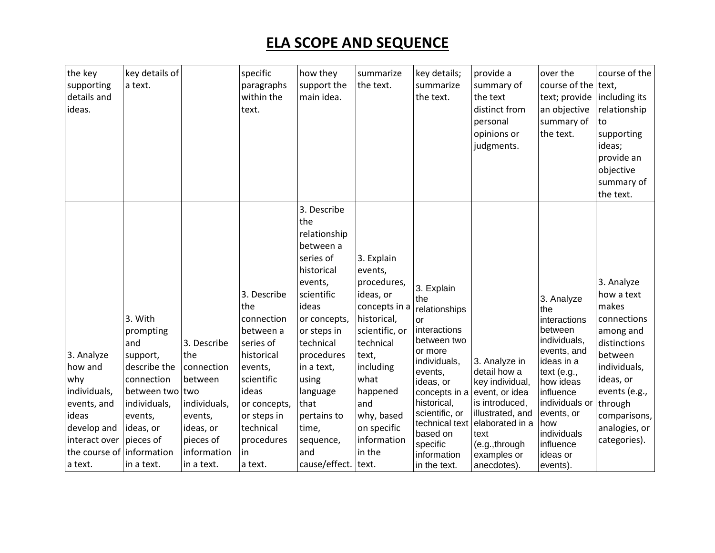| the key<br>supporting<br>details and<br>ideas.                                                                                   | key details of<br>a text.                                                                                                                                                  |                                                                                                                               | specific<br>paragraphs<br>within the<br>text.                                                                                                                                         | how they<br>support the<br>main idea.                                                                                                                                                                                                                                                | summarize<br>the text.                                                                                                                                                                                                  | key details;<br>summarize<br>the text.                                                                                                                                                                                                                | provide a<br>summary of<br>the text<br>distinct from<br>personal<br>opinions or<br>judgments.                                                                                       | over the<br>course of the text,<br>text; provide<br>an objective<br>summary of<br>the text.                                                                                                                                     | course of the<br>including its<br>relationship<br>to<br>supporting<br>ideas;<br>provide an<br>objective<br>summary of<br>the text.                                                                 |
|----------------------------------------------------------------------------------------------------------------------------------|----------------------------------------------------------------------------------------------------------------------------------------------------------------------------|-------------------------------------------------------------------------------------------------------------------------------|---------------------------------------------------------------------------------------------------------------------------------------------------------------------------------------|--------------------------------------------------------------------------------------------------------------------------------------------------------------------------------------------------------------------------------------------------------------------------------------|-------------------------------------------------------------------------------------------------------------------------------------------------------------------------------------------------------------------------|-------------------------------------------------------------------------------------------------------------------------------------------------------------------------------------------------------------------------------------------------------|-------------------------------------------------------------------------------------------------------------------------------------------------------------------------------------|---------------------------------------------------------------------------------------------------------------------------------------------------------------------------------------------------------------------------------|----------------------------------------------------------------------------------------------------------------------------------------------------------------------------------------------------|
| 3. Analyze<br>how and<br>why<br>individuals,<br>events, and<br>ideas<br>develop and<br>interact over<br>the course of<br>a text. | 3. With<br>prompting<br>and<br>support,<br>describe the<br>connection<br>between two two<br>individuals,<br>events,<br>ideas, or<br>pieces of<br>information<br>in a text. | 3. Describe<br>the<br>connection<br>between<br>individuals,<br>events,<br>ideas, or<br>pieces of<br>information<br>in a text. | 3. Describe<br>the<br>connection<br>between a<br>series of<br>historical<br>events,<br>scientific<br>ideas<br>or concepts,<br>or steps in<br>technical<br>procedures<br>in<br>a text. | 3. Describe<br>the<br>relationship<br>between a<br>series of<br>historical<br>events,<br>scientific<br>ideas<br>or concepts,<br>or steps in<br>technical<br>procedures<br>in a text,<br>using<br>language<br>that<br>pertains to<br>time,<br>sequence,<br>and<br>cause/effect. text. | 3. Explain<br>events,<br>procedures,<br>ideas, or<br>concepts in a<br>historical,<br>scientific, or<br>technical<br>text,<br>including<br>what<br>happened<br>and<br>why, based<br>on specific<br>information<br>in the | 3. Explain<br>the<br>relationships<br>or<br>interactions<br>between two<br>or more<br>individuals,<br>events,<br>ideas, or<br>concepts in a<br>historical,<br>scientific, or<br>technical text<br>based on<br>specific<br>information<br>in the text. | 3. Analyze in<br>detail how a<br>key individual,<br>event, or idea<br>is introduced,<br>illustrated, and<br>elaborated in a<br>text<br>(e.g., through<br>examples or<br>anecdotes). | 3. Analyze<br>the<br>interactions<br>between<br>individuals,<br>events, and<br>ideas in a<br>text $(e.g.,$<br>how ideas<br>influence<br>individuals or<br>events, or<br>how<br>individuals<br>influence<br>ideas or<br>events). | 3. Analyze<br>how a text<br>makes<br>connections<br>among and<br>distinctions<br>between<br>individuals,<br>ideas, or<br>events (e.g.,<br>through<br>comparisons,<br>analogies, or<br>categories). |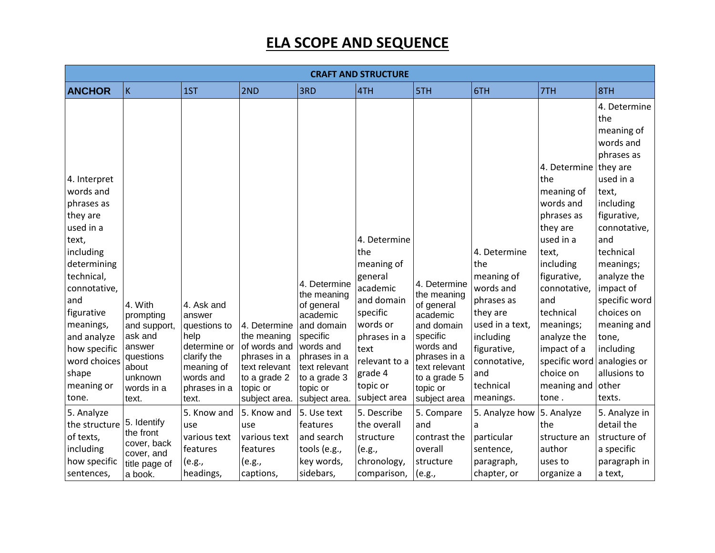|                                                                                                                                                                                                                                                      | <b>CRAFT AND STRUCTURE</b>                                                                                        |                                                                                                                                 |                                                                                                                           |                                                                                                                                                                            |                                                                                                                                                                                |                                                                                                                                                                           |                                                                                                                                                                          |                                                                                                                                                                                                                                                                          |                                                                                                                                                                                                                                                                                                                    |  |
|------------------------------------------------------------------------------------------------------------------------------------------------------------------------------------------------------------------------------------------------------|-------------------------------------------------------------------------------------------------------------------|---------------------------------------------------------------------------------------------------------------------------------|---------------------------------------------------------------------------------------------------------------------------|----------------------------------------------------------------------------------------------------------------------------------------------------------------------------|--------------------------------------------------------------------------------------------------------------------------------------------------------------------------------|---------------------------------------------------------------------------------------------------------------------------------------------------------------------------|--------------------------------------------------------------------------------------------------------------------------------------------------------------------------|--------------------------------------------------------------------------------------------------------------------------------------------------------------------------------------------------------------------------------------------------------------------------|--------------------------------------------------------------------------------------------------------------------------------------------------------------------------------------------------------------------------------------------------------------------------------------------------------------------|--|
| <b>ANCHOR</b>                                                                                                                                                                                                                                        | K                                                                                                                 | 1ST                                                                                                                             | 2ND                                                                                                                       | 3RD                                                                                                                                                                        | 4TH                                                                                                                                                                            | 5TH                                                                                                                                                                       | 6TH                                                                                                                                                                      | 7TH                                                                                                                                                                                                                                                                      | 8TH                                                                                                                                                                                                                                                                                                                |  |
| 4. Interpret<br>words and<br>phrases as<br>they are<br>used in a<br>text,<br>including<br>determining<br>technical,<br>connotative,<br>and<br>figurative<br>meanings,<br>and analyze<br>how specific<br>word choices<br>shape<br>meaning or<br>tone. | 4. With<br>prompting<br>and support,<br>ask and<br>answer<br>questions<br>about<br>unknown<br>words in a<br>text. | 4. Ask and<br>answer<br>questions to<br>help<br>determine or<br>clarify the<br>meaning of<br>words and<br>phrases in a<br>text. | 4. Determine<br>the meaning<br>of words and<br>phrases in a<br>text relevant<br>to a grade 2<br>topic or<br>subject area. | 4. Determine<br>the meaning<br>of general<br>academic<br>and domain<br>specific<br>words and<br>phrases in a<br>text relevant<br>to a grade 3<br>topic or<br>subject area. | 4. Determine<br>the<br>meaning of<br>general<br>academic<br>and domain<br>specific<br>words or<br>phrases in a<br>text<br>relevant to a<br>grade 4<br>topic or<br>subject area | 4. Determine<br>the meaning<br>of general<br>academic<br>and domain<br>specific<br>words and<br>phrases in a<br>text relevant<br>to a grade 5<br>topic or<br>subject area | 4. Determine<br>the<br>meaning of<br>words and<br>phrases as<br>they are<br>used in a text,<br>including<br>figurative,<br>connotative,<br>and<br>technical<br>meanings. | 4. Determine they are<br>the<br>meaning of<br>words and<br>phrases as<br>they are<br>used in a<br>text,<br>including<br>figurative,<br>connotative,<br>and<br>technical<br>meanings;<br>analyze the<br>impact of a<br>specific word<br>choice on<br>meaning and<br>tone. | 4. Determine<br>the<br>meaning of<br>words and<br>phrases as<br>used in a<br>text,<br>including<br>figurative,<br>connotative,<br>and<br>technical<br>meanings;<br>analyze the<br>impact of<br>specific word<br>choices on<br>meaning and<br>tone,<br>including<br>analogies or<br>allusions to<br>other<br>texts. |  |
| 5. Analyze<br>the structure<br>of texts,<br>including<br>how specific<br>sentences,                                                                                                                                                                  | 5. Identify<br>the front<br>cover, back<br>cover, and<br>title page of<br>a book.                                 | 5. Know and<br>use<br>various text<br>features<br>(e.g.,<br>headings,                                                           | 5. Know and<br>use<br>various text<br>features<br>(e.g.,<br>captions,                                                     | 5. Use text<br>features<br>and search<br>tools (e.g.,<br>key words,<br>sidebars,                                                                                           | 5. Describe<br>the overall<br>structure<br>(e.g.,<br>chronology,<br>comparison,                                                                                                | 5. Compare<br>and<br>contrast the<br>overall<br>structure<br>(e.g.,                                                                                                       | 5. Analyze how<br>a<br>particular<br>sentence,<br>paragraph,<br>chapter, or                                                                                              | 5. Analyze<br>the<br>structure an<br>author<br>uses to<br>organize a                                                                                                                                                                                                     | 5. Analyze in<br>detail the<br>structure of<br>a specific<br>paragraph in<br>a text,                                                                                                                                                                                                                               |  |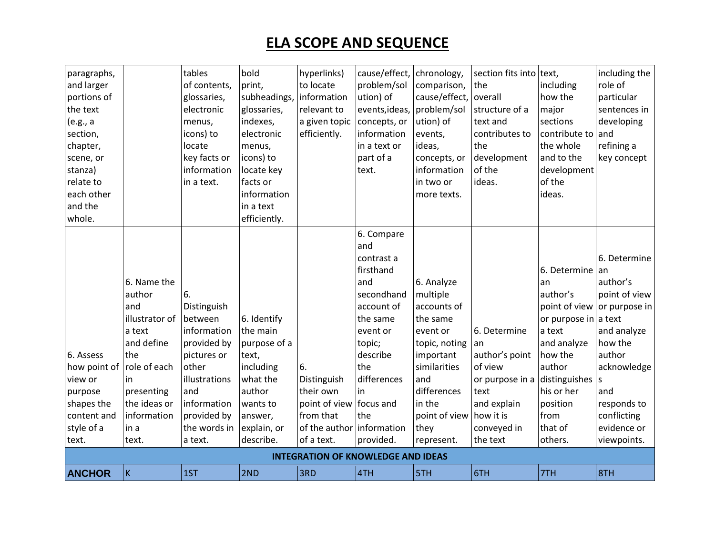| paragraphs,   |                | tables        | bold         | hyperlinks)                               | cause/effect,  | chronology,   | section fits into text, |                 | including the |
|---------------|----------------|---------------|--------------|-------------------------------------------|----------------|---------------|-------------------------|-----------------|---------------|
| and larger    |                | of contents,  | print,       | to locate                                 | problem/sol    | comparison,   | the                     | including       | role of       |
| portions of   |                | glossaries,   | subheadings, | information                               | ution) of      | cause/effect, | overall                 | how the         | particular    |
| the text      |                | electronic    | glossaries,  | relevant to                               | events, ideas, | problem/sol   | structure of a          | major           | sentences in  |
| (e.g., a      |                | menus,        | indexes,     | a given topic                             | concepts, or   | ution) of     | text and                | sections        | developing    |
| section,      |                | icons) to     | electronic   | efficiently.                              | information    | events,       | contributes to          | contribute to   | and           |
| chapter,      |                | locate        | menus,       |                                           | in a text or   | ideas,        | the                     | the whole       | refining a    |
| scene, or     |                | key facts or  | icons) to    |                                           | part of a      | concepts, or  | development             | and to the      | key concept   |
| stanza)       |                | information   | locate key   |                                           | text.          | information   | of the                  | development     |               |
| relate to     |                | in a text.    | facts or     |                                           |                | in two or     | ideas.                  | of the          |               |
| each other    |                |               | information  |                                           |                | more texts.   |                         | ideas.          |               |
| and the       |                |               | in a text    |                                           |                |               |                         |                 |               |
| whole.        |                |               | efficiently. |                                           |                |               |                         |                 |               |
|               |                |               |              |                                           | 6. Compare     |               |                         |                 |               |
|               |                |               |              |                                           | and            |               |                         |                 |               |
|               |                |               |              |                                           | contrast a     |               |                         |                 | 6. Determine  |
|               |                |               |              |                                           | firsthand      |               |                         | 6. Determine an |               |
|               | 6. Name the    |               |              |                                           | and            | 6. Analyze    |                         | an              | author's      |
|               | author         | 6.            |              |                                           | secondhand     | multiple      |                         | author's        | point of view |
|               | and            | Distinguish   |              |                                           | account of     | accounts of   |                         | point of view   | or purpose in |
|               | illustrator of | between       | 6. Identify  |                                           | the same       | the same      |                         | or purpose in   | a text        |
|               | a text         | information   | the main     |                                           | event or       | event or      | 6. Determine            | a text          | and analyze   |
|               | and define     | provided by   | purpose of a |                                           | topic;         | topic, noting | an                      | and analyze     | how the       |
| 6. Assess     | the            | pictures or   | text,        |                                           | describe       | important     | author's point          | how the         | author        |
| how point of  | role of each   | other         | including    | 6.                                        | the            | similarities  | of view                 | author          | acknowledge   |
| view or       | in             | illustrations | what the     | Distinguish                               | differences    | and           | or purpose in a         | distinguishes   | S             |
| purpose       | presenting     | and           | author       | their own                                 | in             | differences   | text                    | his or her      | and           |
| shapes the    | the ideas or   | information   | wants to     | point of view focus and                   |                | in the        | and explain             | position        | responds to   |
| content and   | information    | provided by   | answer,      | from that                                 | the            | point of view | how it is               | from            | conflicting   |
| style of a    | in a           | the words in  | explain, or  | of the author information                 |                | they          | conveyed in             | that of         | evidence or   |
| text.         | text.          | a text.       | describe.    | of a text.                                | provided.      | represent.    | the text                | others.         | viewpoints.   |
|               |                |               |              | <b>INTEGRATION OF KNOWLEDGE AND IDEAS</b> |                |               |                         |                 |               |
| <b>ANCHOR</b> | ΙK             | 1ST           | 2ND          | 3RD                                       | 4TH            | 5TH           | 6TH                     | 7TH             | 8TH           |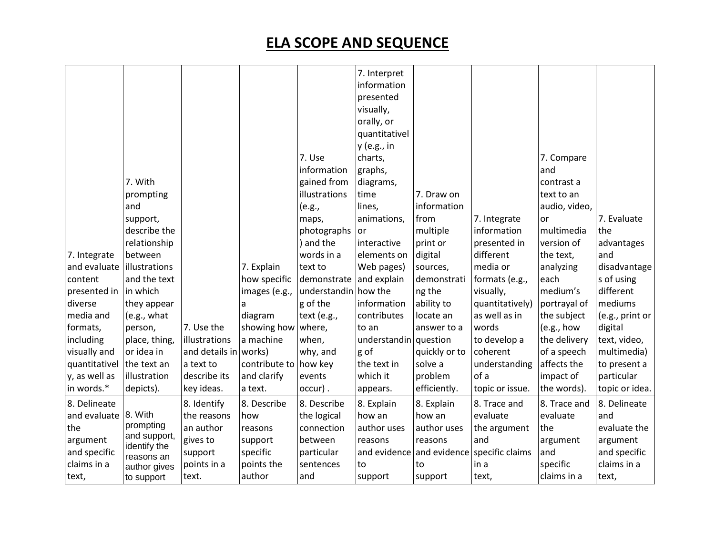|               |                            |                |                       |                         | 7. Interpret  |               |                 |               |                 |
|---------------|----------------------------|----------------|-----------------------|-------------------------|---------------|---------------|-----------------|---------------|-----------------|
|               |                            |                |                       |                         | information   |               |                 |               |                 |
|               |                            |                |                       |                         | presented     |               |                 |               |                 |
|               |                            |                |                       |                         | visually,     |               |                 |               |                 |
|               |                            |                |                       |                         | orally, or    |               |                 |               |                 |
|               |                            |                |                       |                         | quantitativel |               |                 |               |                 |
|               |                            |                |                       |                         | y (e.g., in   |               |                 |               |                 |
|               |                            |                |                       | 7. Use                  | charts,       |               |                 | 7. Compare    |                 |
|               |                            |                |                       | information             | graphs,       |               |                 | and           |                 |
|               | 7. With                    |                |                       | gained from             | diagrams,     |               |                 | contrast a    |                 |
|               | prompting                  |                |                       | illustrations           | time          | 7. Draw on    |                 | text to an    |                 |
|               | and                        |                |                       | (e.g.,                  | lines,        | information   |                 | audio, video, |                 |
|               | support,                   |                |                       | maps,                   | animations,   | from          | 7. Integrate    | or            | 7. Evaluate     |
|               | describe the               |                |                       | photographs             | l or          | multiple      | information     | multimedia    | the             |
|               | relationship               |                |                       | ) and the               | interactive   | print or      | presented in    | version of    | advantages      |
| 7. Integrate  | between                    |                |                       | words in a              | elements on   | digital       | different       | the text,     | and             |
| and evaluate  | illustrations              |                | 7. Explain            | text to                 | Web pages)    | sources,      | media or        | analyzing     | disadvantage    |
| content       | and the text               |                | how specific          | demonstrate and explain |               | demonstrati   | formats (e.g.,  | each          | s of using      |
| presented in  | in which                   |                | images (e.g.,         | understandin how the    |               | ng the        | visually,       | medium's      | different       |
| diverse       | they appear                |                | a                     | g of the                | information   | ability to    | quantitatively) | portrayal of  | mediums         |
| media and     | (e.g., what                |                | diagram               | text (e.g.,             | contributes   | locate an     | as well as in   | the subject   | (e.g., print or |
| formats,      | person,                    | 7. Use the     | showing how           | where,                  | to an         | answer to a   | words           | (e.g., how    | digital         |
| including     | place, thing,              | illustrations  | a machine             | when,                   | understandin  | question      | to develop a    | the delivery  | text, video,    |
| visually and  | or idea in                 | and details in | works)                | why, and                | g of          | quickly or to | coherent        | of a speech   | multimedia)     |
| quantitativel | the text an                | a text to      | contribute to how key |                         | the text in   | solve a       | understanding   | affects the   | to present a    |
| y, as well as | illustration               | describe its   | and clarify           | events                  | which it      | problem       | of a            | impact of     | particular      |
| in words.*    | depicts).                  | key ideas.     | a text.               | occur).                 | appears.      | efficiently.  | topic or issue. | the words).   | topic or idea.  |
| 8. Delineate  |                            | 8. Identify    | 8. Describe           | 8. Describe             | 8. Explain    | 8. Explain    | 8. Trace and    | 8. Trace and  | 8. Delineate    |
| and evaluate  | 8. With                    | the reasons    | how                   | the logical             | how an        | how an        | evaluate        | evaluate      | and             |
| the           | prompting                  | an author      | reasons               | connection              | author uses   | author uses   | the argument    | the           | evaluate the    |
| argument      | and support,               | gives to       | support               | between                 | reasons       | reasons       | and             | argument      | argument        |
| and specific  | identify the               | support        | specific              | particular              | and evidence  | and evidence  | specific claims | and           | and specific    |
| claims in a   | reasons an<br>author gives | points in a    | points the            | sentences               | to            | to            | in a            | specific      | claims in a     |
| text,         | to support                 | text.          | author                | and                     | support       | support       | text,           | claims in a   | text,           |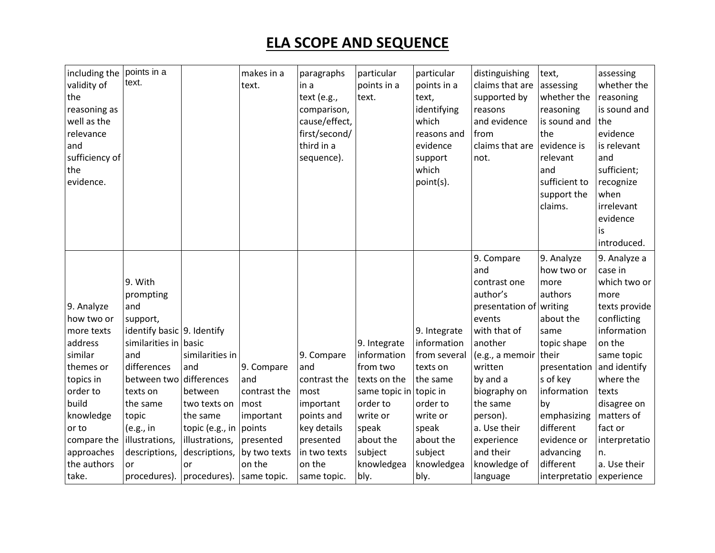| including the<br>validity of<br>the<br>reasoning as<br>well as the<br>relevance<br>and<br>sufficiency of<br>the<br>evidence. | points in a<br>text.                                |                                            | makes in a<br>text.  | paragraphs<br>in a<br>text (e.g.,<br>comparison,<br>cause/effect,<br>first/second/<br>third in a<br>sequence). | particular<br>points in a<br>text. | particular<br>points in a<br>text,<br>identifying<br>which<br>reasons and<br>evidence<br>support<br>which<br>point(s). | distinguishing<br>claims that are<br>supported by<br>reasons<br>and evidence<br>from<br>claims that are<br>not. | text,<br>assessing<br>whether the<br>reasoning<br>is sound and<br>the<br>evidence is<br>relevant<br>and<br>sufficient to<br>support the<br>claims. | assessing<br>whether the<br>reasoning<br>is sound and<br>the<br>evidence<br>is relevant<br>and<br>sufficient;<br>recognize<br>when<br>irrelevant<br>evidence<br>is<br>introduced. |
|------------------------------------------------------------------------------------------------------------------------------|-----------------------------------------------------|--------------------------------------------|----------------------|----------------------------------------------------------------------------------------------------------------|------------------------------------|------------------------------------------------------------------------------------------------------------------------|-----------------------------------------------------------------------------------------------------------------|----------------------------------------------------------------------------------------------------------------------------------------------------|-----------------------------------------------------------------------------------------------------------------------------------------------------------------------------------|
|                                                                                                                              |                                                     |                                            |                      |                                                                                                                |                                    |                                                                                                                        | 9. Compare<br>and                                                                                               | 9. Analyze<br>how two or                                                                                                                           | 9. Analyze a<br>case in                                                                                                                                                           |
|                                                                                                                              | 9. With                                             |                                            |                      |                                                                                                                |                                    |                                                                                                                        | contrast one                                                                                                    |                                                                                                                                                    | which two or                                                                                                                                                                      |
|                                                                                                                              |                                                     |                                            |                      |                                                                                                                |                                    |                                                                                                                        |                                                                                                                 | more                                                                                                                                               |                                                                                                                                                                                   |
|                                                                                                                              | prompting                                           |                                            |                      |                                                                                                                |                                    |                                                                                                                        | author's                                                                                                        | authors                                                                                                                                            | more                                                                                                                                                                              |
| 9. Analyze                                                                                                                   | and                                                 |                                            |                      |                                                                                                                |                                    |                                                                                                                        | presentation of                                                                                                 | writing                                                                                                                                            | texts provide                                                                                                                                                                     |
| how two or                                                                                                                   | support,                                            |                                            |                      |                                                                                                                |                                    |                                                                                                                        | events                                                                                                          | about the                                                                                                                                          | conflicting                                                                                                                                                                       |
| more texts<br>address                                                                                                        | identify basic 9. Identify<br>similarities in basic |                                            |                      |                                                                                                                |                                    | 9. Integrate<br>information                                                                                            | with that of<br>another                                                                                         | same                                                                                                                                               | information<br>on the                                                                                                                                                             |
| similar                                                                                                                      |                                                     |                                            |                      |                                                                                                                | 9. Integrate                       |                                                                                                                        |                                                                                                                 | topic shape                                                                                                                                        |                                                                                                                                                                                   |
|                                                                                                                              | and<br>differences                                  | similarities in<br>and                     |                      | 9. Compare<br>and                                                                                              | information<br>from two            | from several                                                                                                           | (e.g., a memoir<br>written                                                                                      | their                                                                                                                                              | same topic<br>and identify                                                                                                                                                        |
| themes or                                                                                                                    | between two differences                             |                                            | 9. Compare<br>and    |                                                                                                                |                                    | texts on                                                                                                               |                                                                                                                 | presentation<br>s of key                                                                                                                           | where the                                                                                                                                                                         |
| topics in                                                                                                                    | texts on                                            |                                            |                      | contrast the                                                                                                   | texts on the                       | the same                                                                                                               | by and a                                                                                                        |                                                                                                                                                    | texts                                                                                                                                                                             |
| order to<br>build                                                                                                            | the same                                            | between<br>two texts on                    | contrast the<br>most | most                                                                                                           | same topic in<br>order to          | topic in<br>order to                                                                                                   | biography on<br>the same                                                                                        | information<br>by                                                                                                                                  |                                                                                                                                                                                   |
| knowledge                                                                                                                    | topic                                               | the same                                   | important            | important<br>points and                                                                                        | write or                           | write or                                                                                                               | person).                                                                                                        | emphasizing                                                                                                                                        | disagree on<br>matters of                                                                                                                                                         |
| or to                                                                                                                        |                                                     |                                            |                      | key details                                                                                                    | speak                              | speak                                                                                                                  | a. Use their                                                                                                    | different                                                                                                                                          | fact or                                                                                                                                                                           |
| compare the                                                                                                                  | (e.g., in<br>illustrations,                         | topic (e.g., in   points<br>illustrations, | presented            | presented                                                                                                      | about the                          | about the                                                                                                              | experience                                                                                                      | evidence or                                                                                                                                        |                                                                                                                                                                                   |
| approaches                                                                                                                   | descriptions,                                       |                                            | by two texts         | in two texts                                                                                                   | subject                            | subject                                                                                                                | and their                                                                                                       | advancing                                                                                                                                          | interpretatio                                                                                                                                                                     |
| the authors                                                                                                                  | or                                                  | descriptions,                              | on the               | on the                                                                                                         | knowledgea                         | knowledgea                                                                                                             | knowledge of                                                                                                    | different                                                                                                                                          | n.<br>a. Use their                                                                                                                                                                |
| take.                                                                                                                        | procedures).                                        | or<br>procedures). Same topic.             |                      | same topic.                                                                                                    | bly.                               | bly.                                                                                                                   |                                                                                                                 | interpretatio                                                                                                                                      | experience                                                                                                                                                                        |
|                                                                                                                              |                                                     |                                            |                      |                                                                                                                |                                    |                                                                                                                        | language                                                                                                        |                                                                                                                                                    |                                                                                                                                                                                   |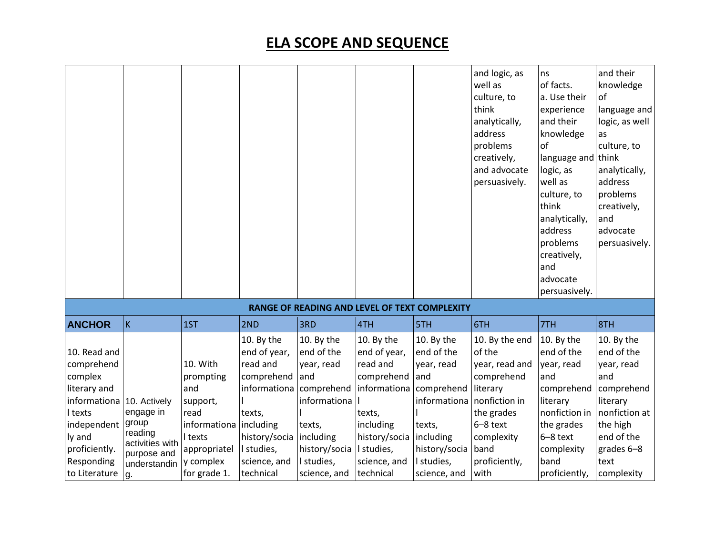|                                                                                                                                                           |                                                                                                       |                                                                                                                          |                                                                                                                                                         |                                                                                                                                                                             |                                                                                                                           |                                                                                                                                                   | and logic, as<br>well as<br>culture, to<br>think<br>analytically,<br>address<br>problems<br>creatively,<br>and advocate<br>persuasively.                       | ns<br>of facts.<br>a. Use their<br>experience<br>and their<br>knowledge<br>of<br>language and<br>logic, as<br>well as<br>culture, to<br>think<br>analytically,<br>address<br>problems<br>creatively,<br>and<br>advocate<br>persuasively. | and their<br>knowledge<br>оf<br>language and<br>logic, as well<br>as<br>culture, to<br>think<br>analytically,<br>address<br>problems<br>creatively,<br>and<br>advocate<br>persuasively. |
|-----------------------------------------------------------------------------------------------------------------------------------------------------------|-------------------------------------------------------------------------------------------------------|--------------------------------------------------------------------------------------------------------------------------|---------------------------------------------------------------------------------------------------------------------------------------------------------|-----------------------------------------------------------------------------------------------------------------------------------------------------------------------------|---------------------------------------------------------------------------------------------------------------------------|---------------------------------------------------------------------------------------------------------------------------------------------------|----------------------------------------------------------------------------------------------------------------------------------------------------------------|------------------------------------------------------------------------------------------------------------------------------------------------------------------------------------------------------------------------------------------|-----------------------------------------------------------------------------------------------------------------------------------------------------------------------------------------|
|                                                                                                                                                           |                                                                                                       |                                                                                                                          |                                                                                                                                                         |                                                                                                                                                                             | RANGE OF READING AND LEVEL OF TEXT COMPLEXITY                                                                             |                                                                                                                                                   |                                                                                                                                                                |                                                                                                                                                                                                                                          |                                                                                                                                                                                         |
| <b>ANCHOR</b>                                                                                                                                             | K                                                                                                     | 1ST                                                                                                                      | 2ND                                                                                                                                                     | 3RD                                                                                                                                                                         | 4TH                                                                                                                       | 5TH                                                                                                                                               | 6TH                                                                                                                                                            | 7TH                                                                                                                                                                                                                                      | 8TH                                                                                                                                                                                     |
| 10. Read and<br>comprehend<br>complex<br>literary and<br>informationa<br>I texts<br>independent<br>ly and<br>proficiently.<br>Responding<br>to Literature | 10. Actively<br>engage in<br>group<br>reading<br>activities with<br>purpose and<br>understandin<br>g. | 10. With<br>prompting<br>and<br>support,<br>read<br>informationa<br>I texts<br>appropriatel<br>y complex<br>for grade 1. | 10. By the<br>end of year,<br>read and<br>comprehend<br>informationa<br>texts,<br>including<br>history/socia<br>I studies,<br>science, and<br>technical | 10. By the<br>end of the<br>year, read<br>and<br>comprehend informationa<br>informationa<br>texts,<br>including<br>history/socia   I studies,<br>I studies,<br>science, and | 10. By the<br>end of year,<br>read and<br>comprehend<br>texts,<br>including<br>history/socia<br>science, and<br>technical | 10. By the<br>end of the<br>year, read<br>and<br>comprehend<br>informationa<br>texts,<br>including<br>history/socia<br>I studies,<br>science, and | 10. By the end<br>of the<br>year, read and<br>comprehend<br>literary<br>nonfiction in<br>the grades<br>6-8 text<br>complexity<br>band<br>proficiently,<br>with | 10. By the<br>end of the<br>year, read<br>and<br>comprehend<br>literary<br>nonfiction in<br>the grades<br>6-8 text<br>complexity<br>band<br>proficiently,                                                                                | 10. By the<br>end of the<br>year, read<br>and<br>comprehend<br>literary<br>nonfiction at<br>the high<br>end of the<br>grades 6-8<br>text<br>complexity                                  |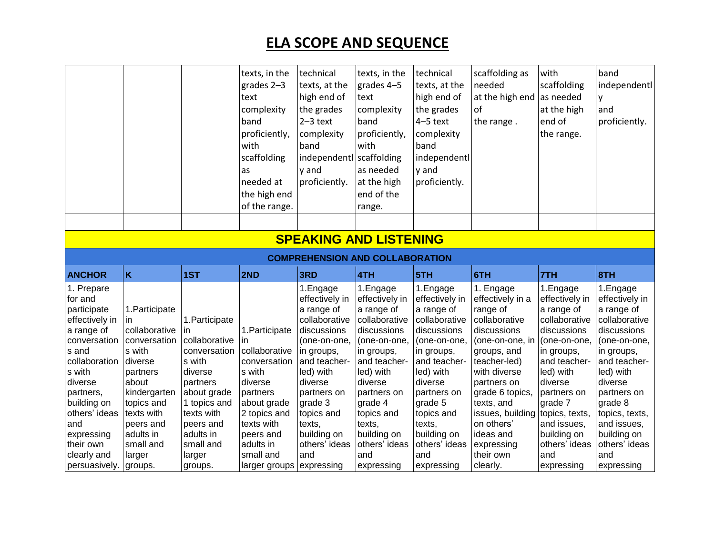|                              |                   |                   | texts, in the                         | technical                              | texts, in the     | technical         | scaffolding as        | with              | band              |
|------------------------------|-------------------|-------------------|---------------------------------------|----------------------------------------|-------------------|-------------------|-----------------------|-------------------|-------------------|
|                              |                   |                   | grades $2-3$                          | texts, at the                          | grades 4-5        | texts, at the     | needed                | scaffolding       | independentl      |
|                              |                   |                   | text                                  | high end of                            | text              | high end of       | at the high end       | as needed         | y                 |
|                              |                   |                   | complexity                            | the grades                             | complexity        | the grades        | of                    | at the high       | and               |
|                              |                   |                   | band                                  | $2-3$ text                             | band              | $4-5$ text        | the range.            | end of            | proficiently.     |
|                              |                   |                   | proficiently,                         | complexity                             | proficiently,     | complexity        |                       | the range.        |                   |
|                              |                   |                   | with                                  | band                                   | with              | band              |                       |                   |                   |
|                              |                   |                   | scaffolding                           | independentl scaffolding               |                   | independentl      |                       |                   |                   |
|                              |                   |                   | as                                    | y and                                  | as needed         | y and             |                       |                   |                   |
|                              |                   |                   | needed at                             |                                        | at the high       | proficiently.     |                       |                   |                   |
|                              |                   |                   |                                       | proficiently.                          |                   |                   |                       |                   |                   |
|                              |                   |                   | the high end                          |                                        | end of the        |                   |                       |                   |                   |
|                              |                   |                   | of the range.                         |                                        | range.            |                   |                       |                   |                   |
|                              |                   |                   |                                       |                                        |                   |                   |                       |                   |                   |
|                              |                   |                   |                                       | <b>SPEAKING AND LISTENING</b>          |                   |                   |                       |                   |                   |
|                              |                   |                   |                                       | <b>COMPREHENSION AND COLLABORATION</b> |                   |                   |                       |                   |                   |
|                              |                   |                   |                                       |                                        |                   |                   |                       |                   |                   |
|                              |                   |                   |                                       |                                        |                   |                   |                       |                   |                   |
| <b>ANCHOR</b>                | K                 | 1ST               | 2ND                                   | 3RD                                    | 4TH               | 5TH               | 6TH                   | 7TH               | 8TH               |
| 1. Prepare                   |                   |                   |                                       | 1.Engage                               | 1.Engage          | 1.Engage          | 1. Engage             | 1.Engage          | 1.Engage          |
| for and                      |                   |                   |                                       | effectively in                         | effectively in    | effectively in    | effectively in a      | effectively in    | effectively in    |
| participate                  | 1. Participate    |                   |                                       | a range of                             | a range of        | a range of        | range of              | a range of        | a range of        |
| effectively in               | in.               | 1. Participate    |                                       | collaborative                          | collaborative     | collaborative     | collaborative         | collaborative     | collaborative     |
| a range of                   | collaborative     | In                | 1. Participate                        | discussions                            | discussions       | discussions       | discussions           | discussions       | discussions       |
| conversation                 | conversation      | collaborative     | ın                                    | (one-on-one,                           | (one-on-one,      | (one-on-one,      | (one-on-one, in       | (one-on-one,      | (one-on-one,      |
| s and                        | s with            | conversation      | collaborative                         | in groups,                             | in groups,        | in groups,        | groups, and           | in groups,        | in groups,        |
| collaboration                | diverse           | s with            | conversation                          | and teacher-                           | and teacher-      | and teacher-      | teacher-led)          | and teacher-      | and teacher-      |
| s with                       | partners          | diverse           | s with                                | led) with                              | led) with         | led) with         | with diverse          | led) with         | led) with         |
| diverse                      | about             | partners          | diverse                               | diverse                                | diverse           | diverse           | partners on           | diverse           | diverse           |
| partners,                    | kindergarten      | about grade       | partners                              | partners on                            | partners on       | partners on       | grade 6 topics,       | partners on       | partners on       |
| building on                  | topics and        | 1 topics and      | about grade                           | grade 3                                | grade 4           | grade 5           | texts, and            | grade 7           | grade 8           |
| others' ideas                | texts with        | texts with        | 2 topics and                          | topics and                             | topics and        | topics and        | issues, building      | topics, texts,    | topics, texts,    |
| and                          | peers and         | peers and         | texts with                            | texts,                                 | texts,            | texts,            | on others'            | and issues,       | and issues,       |
| expressing                   | adults in         | adults in         | peers and                             | building on                            | building on       | building on       | ideas and             | building on       | building on       |
| their own                    | small and         | small and         | adults in                             | others' ideas                          | others' ideas     | others' ideas     | expressing            | others' ideas     | others' ideas     |
| clearly and<br>persuasively. | larger<br>groups. | larger<br>groups. | small and<br>larger groups expressing | and                                    | and<br>expressing | and<br>expressing | their own<br>clearly. | and<br>expressing | and<br>expressing |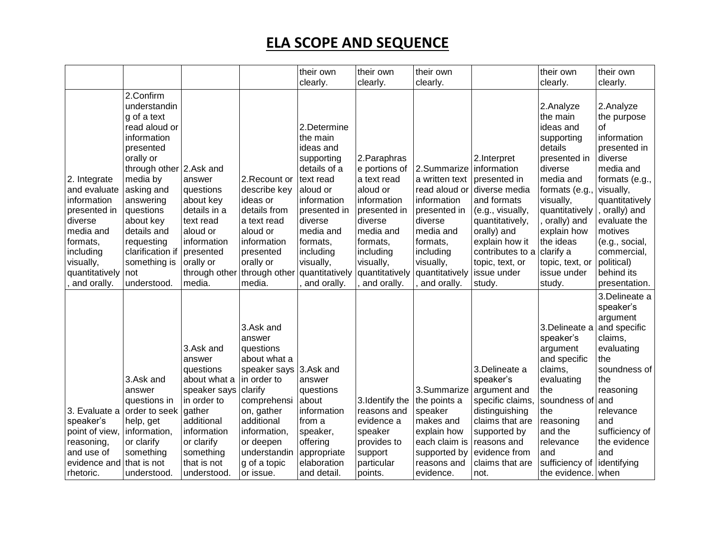|                                                                                                                                                            |                                                                                                                                                                                                                                                                                       |                                                                                                                                                                        |                                                                                                                                                                                                                           | their own                                                                                                                                                                                                                 | their own                                                                                                                                                                              | their own                                                                                                                                                                                  |                                                                                                                                                                                                     | their own                                                                                                                                                                                                                                                | their own                                                                                                                                                                                                                                                      |
|------------------------------------------------------------------------------------------------------------------------------------------------------------|---------------------------------------------------------------------------------------------------------------------------------------------------------------------------------------------------------------------------------------------------------------------------------------|------------------------------------------------------------------------------------------------------------------------------------------------------------------------|---------------------------------------------------------------------------------------------------------------------------------------------------------------------------------------------------------------------------|---------------------------------------------------------------------------------------------------------------------------------------------------------------------------------------------------------------------------|----------------------------------------------------------------------------------------------------------------------------------------------------------------------------------------|--------------------------------------------------------------------------------------------------------------------------------------------------------------------------------------------|-----------------------------------------------------------------------------------------------------------------------------------------------------------------------------------------------------|----------------------------------------------------------------------------------------------------------------------------------------------------------------------------------------------------------------------------------------------------------|----------------------------------------------------------------------------------------------------------------------------------------------------------------------------------------------------------------------------------------------------------------|
|                                                                                                                                                            |                                                                                                                                                                                                                                                                                       |                                                                                                                                                                        |                                                                                                                                                                                                                           | clearly.                                                                                                                                                                                                                  | clearly.                                                                                                                                                                               | clearly.                                                                                                                                                                                   |                                                                                                                                                                                                     | clearly.                                                                                                                                                                                                                                                 | clearly.                                                                                                                                                                                                                                                       |
| 2. Integrate<br>and evaluate<br>information<br>presented in<br>diverse<br>media and<br>formats,<br>including<br>visually,<br>quantitatively<br>and orally. | 2.Confirm<br>understandin<br>g of a text<br>read aloud or<br>information<br>presented<br>orally or<br>through other 2.Ask and<br>media by<br>asking and<br>answering<br>questions<br>about key<br>details and<br>requesting<br>clarification if<br>something is<br>not<br>understood. | answer<br>questions<br>about key<br>details in a<br>text read<br>aloud or<br>information<br>presented<br>orally or<br>through other<br>media.                          | 2. Recount or<br>describe key<br>ideas or<br>details from<br>a text read<br>aloud or<br>information<br>presented<br>orally or<br>through other<br>media.                                                                  | 2.Determine<br>the main<br>ideas and<br>supporting<br>details of a<br>text read<br>aloud or<br>information<br>presented in<br>diverse<br>media and<br>formats,<br>including<br>visually,<br>quantitatively<br>and orally. | 2. Paraphras<br>e portions of<br>a text read<br>aloud or<br>information<br>presented in<br>diverse<br>media and<br>formats,<br>including<br>visually,<br>quantitatively<br>and orally. | 2.Summarize   information<br>a written text<br>read aloud or<br>information<br>presented in<br>diverse<br>media and<br>formats,<br>including<br>visually,<br>quantitatively<br>and orally. | 2.Interpret<br>presented in<br>diverse media<br>and formats<br>(e.g., visually,<br>quantitatively,<br>orally) and<br>explain how it<br>contributes to a<br>topic, text, or<br>issue under<br>study. | 2.Analyze<br>the main<br>ideas and<br>supporting<br>details<br>presented in<br>diverse<br>media and<br>formats (e.g.,<br>visually,<br>quantitatively<br>orally) and<br>explain how<br>the ideas<br>clarify a<br>topic, text, or<br>issue under<br>study. | 2.Analyze<br>the purpose<br>οf<br>information<br>presented in<br>diverse<br>media and<br>formats (e.g.,<br>visually,<br>quantitatively<br>orally) and<br>evaluate the<br>motives<br>(e.g., social,<br>commercial,<br>political)<br>behind its<br>presentation. |
| 3. Evaluate a<br>speaker's<br>point of view,<br>reasoning,<br>and use of<br>evidence and<br>rhetoric.                                                      | 3.Ask and<br>answer<br>questions in<br>order to seek gather<br>help, get<br>information,<br>or clarify<br>something<br>that is not<br>understood.                                                                                                                                     | 3.Ask and<br>answer<br>questions<br>about what a<br>speaker says<br>in order to<br>additional<br>information<br>or clarify<br>something<br>that is not<br>lunderstood. | 3.Ask and<br>answer<br>questions<br>about what a<br>speaker says 3.Ask and<br>in order to<br>clarify<br>comprehensi<br>on, gather<br>additional<br>information,<br>or deepen<br>understandin<br>g of a topic<br>or issue. | answer<br>questions<br>about<br>information<br>from a<br>speaker,<br>offering<br>appropriate<br>elaboration<br>and detail.                                                                                                | 3. Identify the<br>reasons and<br>evidence a<br>speaker<br>provides to<br>support<br>particular<br>points.                                                                             | 3.Summarize<br>the points a<br>speaker<br>makes and<br>explain how<br>each claim is<br>supported by<br>reasons and<br>evidence.                                                            | 3.Delineate a<br>speaker's<br>argument and<br>specific claims,<br>distinguishing<br>claims that are<br>supported by<br>reasons and<br>evidence from<br>claims that are<br>not.                      | 3.Delineate a<br>speaker's<br>argument<br>and specific<br>claims,<br>evaluating<br>the<br>soundness of<br>the<br>reasoning<br>and the<br>relevance<br>and<br>sufficiency of<br>the evidence. when                                                        | 3.Delineate a<br>speaker's<br>argument<br>and specific<br>claims,<br>evaluating<br>the<br>soundness of<br>the<br>reasoning<br>and<br>relevance<br>and<br>sufficiency of<br>the evidence<br>and<br>identifying                                                  |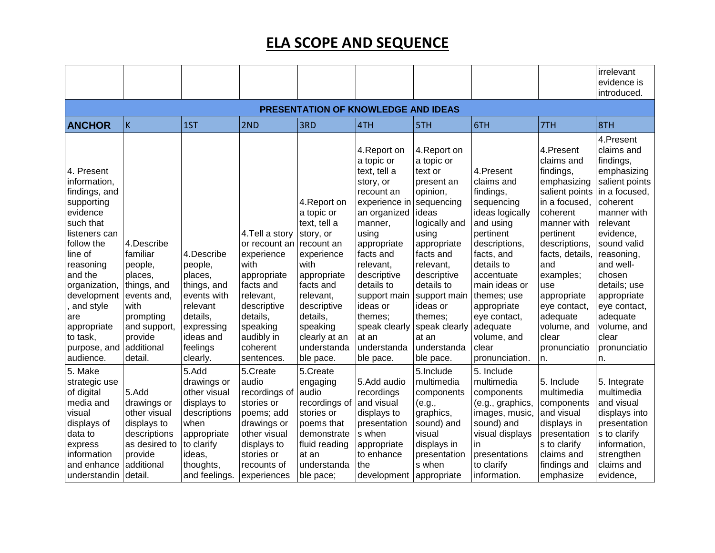|                                                                                                                                                                                                                                                                  |                                                                                                                                                     |                                                                                                                                           |                                                                                                                                                                                |                                                                                                                                                                                                                          |                                                                                                                                                                                                                                                                                               |                                                                                                                                                                                                                                                                                     |                                                                                                                                                                                                                                                                                 |                                                                                                                                                                                                                                                                                        | irrelevant<br>evidence is<br>introduced.                                                                                                                                                                                                                                                                |
|------------------------------------------------------------------------------------------------------------------------------------------------------------------------------------------------------------------------------------------------------------------|-----------------------------------------------------------------------------------------------------------------------------------------------------|-------------------------------------------------------------------------------------------------------------------------------------------|--------------------------------------------------------------------------------------------------------------------------------------------------------------------------------|--------------------------------------------------------------------------------------------------------------------------------------------------------------------------------------------------------------------------|-----------------------------------------------------------------------------------------------------------------------------------------------------------------------------------------------------------------------------------------------------------------------------------------------|-------------------------------------------------------------------------------------------------------------------------------------------------------------------------------------------------------------------------------------------------------------------------------------|---------------------------------------------------------------------------------------------------------------------------------------------------------------------------------------------------------------------------------------------------------------------------------|----------------------------------------------------------------------------------------------------------------------------------------------------------------------------------------------------------------------------------------------------------------------------------------|---------------------------------------------------------------------------------------------------------------------------------------------------------------------------------------------------------------------------------------------------------------------------------------------------------|
|                                                                                                                                                                                                                                                                  |                                                                                                                                                     |                                                                                                                                           |                                                                                                                                                                                | PRESENTATION OF KNOWLEDGE AND IDEAS                                                                                                                                                                                      |                                                                                                                                                                                                                                                                                               |                                                                                                                                                                                                                                                                                     |                                                                                                                                                                                                                                                                                 |                                                                                                                                                                                                                                                                                        |                                                                                                                                                                                                                                                                                                         |
| <b>ANCHOR</b>                                                                                                                                                                                                                                                    | $\overline{\mathsf{K}}$                                                                                                                             | 1ST                                                                                                                                       | 2ND                                                                                                                                                                            | 3RD                                                                                                                                                                                                                      | 4TH                                                                                                                                                                                                                                                                                           | 5TH                                                                                                                                                                                                                                                                                 | 6TH                                                                                                                                                                                                                                                                             | 7TH                                                                                                                                                                                                                                                                                    | 8TH                                                                                                                                                                                                                                                                                                     |
| 4. Present<br>information,<br>findings, and<br>supporting<br>evidence<br>such that<br>listeners can<br>follow the<br>line of<br>reasoning<br>and the<br>organization,<br>development<br>and style<br>are<br>appropriate<br>to task,<br>purpose, and<br>audience. | 4.Describe<br>familiar<br>people,<br>places,<br>things, and<br>events and,<br>with<br>prompting<br>and support,<br>provide<br>additional<br>detail. | 4.Describe<br>people,<br>places,<br>things, and<br>events with<br>relevant<br>details,<br>expressing<br>ideas and<br>feelings<br>clearly. | 4. Tell a story<br>or recount an<br>experience<br>with<br>appropriate<br>facts and<br>relevant,<br>descriptive<br>details,<br>speaking<br>audibly in<br>coherent<br>sentences. | 4. Report on<br>a topic or<br>text, tell a<br>story, or<br>recount an<br>experience<br>with<br>appropriate<br>facts and<br>relevant,<br>descriptive<br>details,<br>speaking<br>clearly at an<br>understanda<br>ble pace. | 4. Report on<br>a topic or<br>text, tell a<br>story, or<br>recount an<br>experience in<br>an organized<br>manner,<br>using<br>appropriate<br>facts and<br>relevant,<br>descriptive<br>details to<br>support main<br>ideas or<br>themes:<br>speak clearly<br>at an<br>understanda<br>ble pace. | 4. Report on<br>a topic or<br>text or<br>present an<br>opinion,<br>sequencing<br>ideas<br>logically and<br>using<br>appropriate<br>facts and<br>relevant,<br>descriptive<br>details to<br>support main<br>ideas or<br>themes;<br>speak clearly<br>at an<br>understanda<br>ble pace. | 4.Present<br>claims and<br>findings,<br>sequencing<br>ideas logically<br>and using<br>pertinent<br>descriptions,<br>facts, and<br>details to<br>accentuate<br>main ideas or<br>themes; use<br>appropriate<br>eye contact,<br>adequate<br>volume, and<br>clear<br>pronunciation. | 4.Present<br>claims and<br>findings,<br>emphasizing<br>salient points<br>in a focused,<br>coherent<br>manner with<br>pertinent<br>descriptions,<br>facts, details,<br>and<br>examples;<br>use<br>appropriate<br>eye contact,<br>adequate<br>volume, and<br>clear<br>pronunciatio<br>n. | 4.Present<br>claims and<br>findings,<br>emphasizing<br>salient points<br>in a focused,<br>coherent<br>manner with<br>relevant<br>evidence,<br>sound valid<br>reasoning,<br>and well-<br>chosen<br>details; use<br>appropriate<br>eye contact,<br>adequate<br>volume, and<br>clear<br>pronunciatio<br>n. |
| 5. Make                                                                                                                                                                                                                                                          |                                                                                                                                                     | 5.Add                                                                                                                                     | 5.Create                                                                                                                                                                       | 5.Create                                                                                                                                                                                                                 |                                                                                                                                                                                                                                                                                               | 5.Include                                                                                                                                                                                                                                                                           | 5. Include                                                                                                                                                                                                                                                                      |                                                                                                                                                                                                                                                                                        |                                                                                                                                                                                                                                                                                                         |
| strategic use<br>of digital<br>media and<br>visual<br>displays of<br>data to<br>express<br>information<br>and enhance<br>understandin                                                                                                                            | 5.Add<br>drawings or<br>other visual<br>displays to<br>descriptions<br>as desired to<br>provide<br>additional<br>detail.                            | drawings or<br>other visual<br>displays to<br>descriptions<br>when<br>appropriate<br>to clarify<br>ideas,<br>thoughts,<br>and feelings.   | audio<br>recordings of<br>stories or<br>poems; add<br>drawings or<br>other visual<br>displays to<br>stories or<br>recounts of<br>experiences                                   | engaging<br>audio<br>recordings of<br>stories or<br>poems that<br>demonstrate<br>fluid reading<br>at an<br>understanda<br>ble pace;                                                                                      | 5.Add audio<br>recordings<br>and visual<br>displays to<br>presentation<br>s when<br>appropriate<br>to enhance<br>the<br>development appropriate                                                                                                                                               | multimedia<br>components<br>(e.g.,<br>graphics,<br>sound) and<br>visual<br>displays in<br>presentation<br>s when                                                                                                                                                                    | multimedia<br>components<br>(e.g., graphics,<br>images, music,<br>sound) and<br>visual displays<br>in.<br>presentations<br>to clarify<br>information.                                                                                                                           | 5. Include<br>multimedia<br>components<br>and visual<br>displays in<br>presentation<br>s to clarify<br>claims and<br>findings and<br>emphasize                                                                                                                                         | 5. Integrate<br>multimedia<br>and visual<br>displays into<br>presentation<br>s to clarify<br>information,<br>strengthen<br>claims and<br>evidence,                                                                                                                                                      |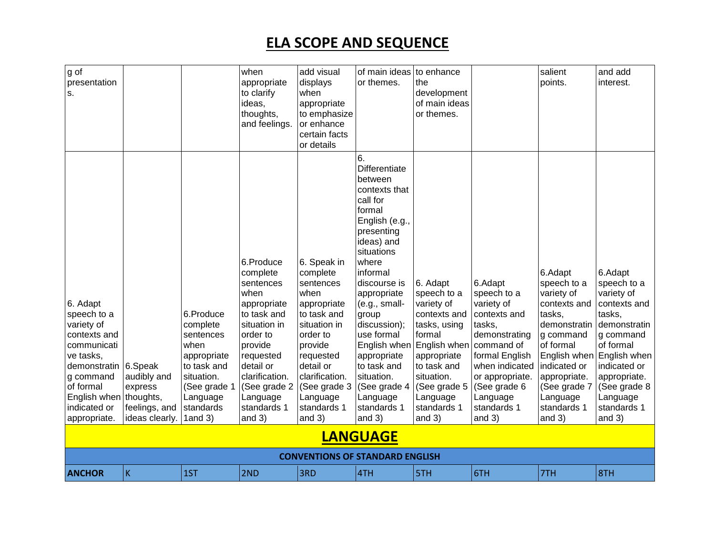| g of<br>presentation<br>S.                                                                                                                                                                      |                                                           |                                                                                                                                                 | when<br>appropriate<br>to clarify<br>ideas,<br>thoughts,<br>and feelings.                                                                                                                                          | add visual<br>displays<br>when<br>appropriate<br>to emphasize<br>or enhance<br>certain facts<br>or details                                                                                                             | of main ideas<br>or themes.                                                                                                                                                                                                                                                                                                                                      | to enhance<br>the<br>development<br>of main ideas<br>or themes.                                                                                                                                    |                                                                                                                                                                                                             | salient<br>points.                                                                                                                                                                                              | and add<br>interest.                                                                                                                                                                                            |
|-------------------------------------------------------------------------------------------------------------------------------------------------------------------------------------------------|-----------------------------------------------------------|-------------------------------------------------------------------------------------------------------------------------------------------------|--------------------------------------------------------------------------------------------------------------------------------------------------------------------------------------------------------------------|------------------------------------------------------------------------------------------------------------------------------------------------------------------------------------------------------------------------|------------------------------------------------------------------------------------------------------------------------------------------------------------------------------------------------------------------------------------------------------------------------------------------------------------------------------------------------------------------|----------------------------------------------------------------------------------------------------------------------------------------------------------------------------------------------------|-------------------------------------------------------------------------------------------------------------------------------------------------------------------------------------------------------------|-----------------------------------------------------------------------------------------------------------------------------------------------------------------------------------------------------------------|-----------------------------------------------------------------------------------------------------------------------------------------------------------------------------------------------------------------|
| 6. Adapt<br>speech to a<br>variety of<br>contexts and<br>communicati<br>ve tasks,<br>demonstratin 6.Speak<br>g command<br>of formal<br>English when   thoughts,<br>indicated or<br>appropriate. | audibly and<br>express<br>feelings, and<br>ideas clearly. | 6.Produce<br>complete<br>sentences<br>when<br>appropriate<br>to task and<br>situation.<br>(See grade 1<br>Language<br>standards<br>$1$ and $3)$ | 6.Produce<br>complete<br>sentences<br>when<br>appropriate<br>to task and<br>situation in<br>order to<br>provide<br>requested<br>detail or<br>clarification.<br>(See grade 2<br>Language<br>standards 1<br>and $3)$ | 6. Speak in<br>complete<br>sentences<br>when<br>appropriate<br>to task and<br>situation in<br>order to<br>provide<br>requested<br>detail or<br>clarification.<br>(See grade $3$<br>Language<br>standards 1<br>and $3)$ | 6.<br>Differentiate<br>between<br>contexts that<br>call for<br>formal<br>English (e.g.,<br>presenting<br>ideas) and<br>situations<br>where<br>informal<br>discourse is<br>appropriate<br>(e.g., small-<br>group<br>discussion);<br>use formal<br>English when<br>appropriate<br>to task and<br>situation.<br>(See grade 4<br>Language<br>standards 1<br>and $3)$ | 6. Adapt<br>speech to a<br>variety of<br>contexts and<br>tasks, using<br>formal<br>English when<br>appropriate<br>to task and<br>situation.<br>(See grade 5<br>Language<br>standards 1<br>and $3)$ | 6.Adapt<br>speech to a<br>variety of<br>contexts and<br>tasks,<br>demonstrating<br>command of<br>formal English<br>when indicated<br>or appropriate.<br>(See grade 6<br>Language<br>standards 1<br>and $3)$ | 6.Adapt<br>speech to a<br>variety of<br>contexts and<br>tasks,<br>demonstratin<br>g command<br>of formal<br>English when<br>indicated or<br>appropriate.<br>(See grade 7<br>Language<br>standards 1<br>and $3)$ | 6.Adapt<br>speech to a<br>variety of<br>contexts and<br>tasks,<br>demonstratin<br>g command<br>of formal<br>English when<br>indicated or<br>appropriate.<br>(See grade 8<br>Language<br>standards 1<br>and $3)$ |
|                                                                                                                                                                                                 |                                                           |                                                                                                                                                 |                                                                                                                                                                                                                    |                                                                                                                                                                                                                        | <b>LANGUAGE</b>                                                                                                                                                                                                                                                                                                                                                  |                                                                                                                                                                                                    |                                                                                                                                                                                                             |                                                                                                                                                                                                                 |                                                                                                                                                                                                                 |
|                                                                                                                                                                                                 |                                                           |                                                                                                                                                 |                                                                                                                                                                                                                    |                                                                                                                                                                                                                        |                                                                                                                                                                                                                                                                                                                                                                  |                                                                                                                                                                                                    |                                                                                                                                                                                                             |                                                                                                                                                                                                                 |                                                                                                                                                                                                                 |
|                                                                                                                                                                                                 |                                                           |                                                                                                                                                 |                                                                                                                                                                                                                    |                                                                                                                                                                                                                        | <b>CONVENTIONS OF STANDARD ENGLISH</b>                                                                                                                                                                                                                                                                                                                           |                                                                                                                                                                                                    |                                                                                                                                                                                                             |                                                                                                                                                                                                                 |                                                                                                                                                                                                                 |
| <b>ANCHOR</b>                                                                                                                                                                                   | İΚ                                                        | 1ST                                                                                                                                             | 2ND                                                                                                                                                                                                                | 3RD                                                                                                                                                                                                                    | 4TH                                                                                                                                                                                                                                                                                                                                                              | 5TH                                                                                                                                                                                                | 6TH                                                                                                                                                                                                         | 7TH                                                                                                                                                                                                             | 8TH                                                                                                                                                                                                             |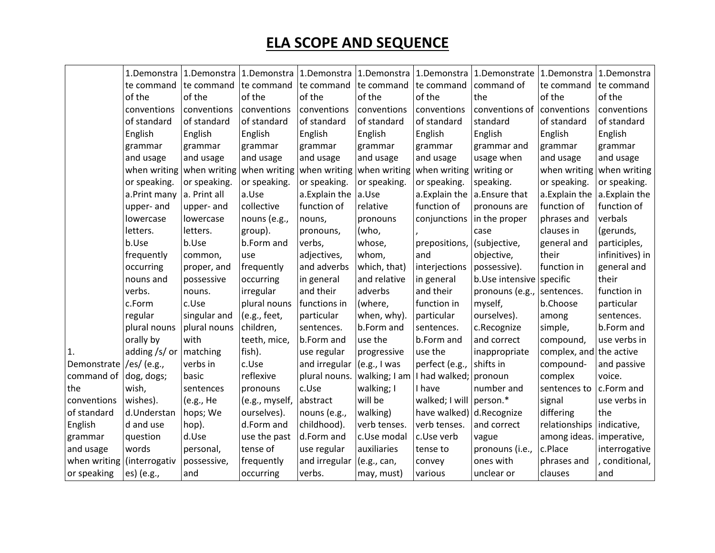|                              |                            |                           |                |                                        |               |                           | 1.Demonstra   1.Demonstra   1.Demonstra   1.Demonstra   1.Demonstra   1.Demonstra   1.Demonstrate   1.Demonstra |                         | 1.Demonstra     |
|------------------------------|----------------------------|---------------------------|----------------|----------------------------------------|---------------|---------------------------|-----------------------------------------------------------------------------------------------------------------|-------------------------|-----------------|
|                              | te command                 | te command                | te command     | te command                             | te command    | te command                | command of                                                                                                      | te command              | te command      |
|                              | of the                     | of the                    | of the         | of the                                 | of the        | of the                    | the                                                                                                             | of the                  | of the          |
|                              | conventions                | conventions               | conventions    | conventions                            | conventions   | conventions               | conventions of conventions                                                                                      |                         | conventions     |
|                              | of standard                | of standard               | of standard    | of standard                            | of standard   | of standard               | standard                                                                                                        | of standard             | of standard     |
|                              | English                    | English                   | English        | English                                | English       | English                   | English                                                                                                         | English                 | English         |
|                              | grammar                    | grammar                   | grammar        | grammar                                | grammar       | grammar                   | grammar and                                                                                                     | grammar                 | grammar         |
|                              | and usage                  | and usage                 | and usage      | and usage                              | and usage     | and usage                 | usage when                                                                                                      | and usage               | and usage       |
|                              |                            | when writing when writing |                | when writing when writing when writing |               | when writing writing or   |                                                                                                                 | when writing            | when writing    |
|                              | or speaking.               | or speaking.              | or speaking.   | or speaking.                           | or speaking.  | or speaking.              | speaking.                                                                                                       | or speaking.            | or speaking.    |
|                              | a.Print many               | a. Print all              | a.Use          | a. Explain the $ a$ . Use              |               | a. Explain the            | a.Ensure that                                                                                                   | a.Explain the           | a.Explain the   |
|                              | upper- and                 | upper- and                | collective     | function of                            | relative      | function of               | pronouns are                                                                                                    | function of             | function of     |
|                              | lowercase                  | lowercase                 | nouns (e.g.,   | nouns,                                 | pronouns      | conjunctions              | in the proper                                                                                                   | phrases and             | verbals         |
|                              | letters.                   | letters.                  | group).        | pronouns,                              | (who,         |                           | case                                                                                                            | clauses in              | (gerunds,       |
|                              | b.Use                      | b.Use                     | b.Form and     | verbs,                                 | whose,        | prepositions,             | (subjective,                                                                                                    | general and             | participles,    |
|                              | frequently                 | common,                   | use            | adjectives,                            | whom,         | and                       | objective,                                                                                                      | their                   | infinitives) in |
|                              | occurring                  | proper, and               | frequently     | and adverbs                            | which, that)  | interjections             | possessive).                                                                                                    | function in             | general and     |
|                              | nouns and                  | possessive                | occurring      | in general                             | and relative  | in general                | b.Use intensive specific                                                                                        |                         | their           |
|                              | verbs.                     | nouns.                    | irregular      | and their                              | adverbs       | and their                 | pronouns (e.g., sentences.                                                                                      |                         | function in     |
|                              | c.Form                     | c.Use                     | plural nouns   | functions in                           | (where,       | function in               | myself,                                                                                                         | b.Choose                | particular      |
|                              | regular                    | singular and              | (e.g., feet,   | particular                             | when, why).   | particular                | ourselves).                                                                                                     | among                   | sentences.      |
|                              | plural nouns               | plural nouns              | children,      | sentences.                             | b.Form and    | sentences.                | c.Recognize                                                                                                     | simple,                 | b.Form and      |
|                              | orally by                  | with                      | teeth, mice,   | b.Form and                             | use the       | b.Form and                | and correct                                                                                                     | compound,               | use verbs in    |
| 1.                           | adding /s/ or $ $ matching |                           | fish).         | use regular                            | progressive   | use the                   | inappropriate                                                                                                   | complex, and the active |                 |
| Demonstrate /es/ (e.g.,      |                            | verbs in                  | c.Use          | and irregular $ (e.g., I was$          |               | perfect (e.g.,            | shifts in                                                                                                       | compound-               | and passive     |
| command of dog, dogs;        |                            | basic                     | reflexive      | plural nouns.                          | walking; I am | I had walked; pronoun     |                                                                                                                 | complex                 | voice.          |
| Ithe                         | wish,                      | sentences                 | pronouns       | c.Use                                  | walking; I    | I have                    | number and                                                                                                      | sentences to            | c.Form and      |
| conventions                  | wishes).                   | (e.g., He                 | (e.g., myself, | abstract                               | will be       | walked; I will person.*   |                                                                                                                 | signal                  | use verbs in    |
| of standard                  | d.Understan                | hops; We                  | ourselves).    | nouns (e.g.,                           | walking)      | have walked) d. Recognize |                                                                                                                 | differing               | the             |
| English                      | d and use                  | hop).                     | d.Form and     | childhood).                            | verb tenses.  | verb tenses.              | and correct                                                                                                     | relationships           | indicative,     |
| grammar                      | question                   | d.Use                     | use the past   | d.Form and                             | c.Use modal   | c.Use verb                | vague                                                                                                           | among ideas.            | imperative,     |
| and usage                    | words                      | personal,                 | tense of       | use regular                            | auxiliaries   | tense to                  | pronouns (i.e.,                                                                                                 | c.Place                 | interrogative   |
| when writing   (interrogativ |                            | possessive,               | frequently     | and irregular                          | (e.g., can,   | convey                    | ones with                                                                                                       | phrases and             | conditional,    |
| or speaking                  | es) (e.g.,                 | and                       | occurring      | verbs.                                 | may, must)    | various                   | unclear or                                                                                                      | clauses                 | and             |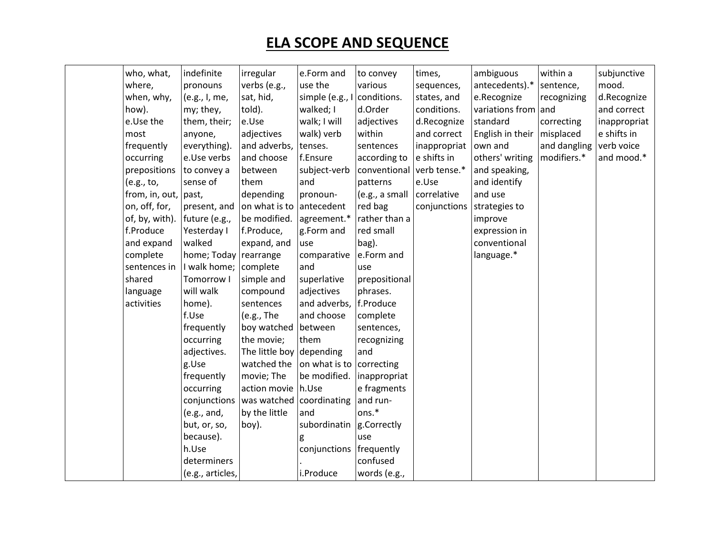| who, what,                   | indefinite            | irregular                | e.Form and               | to convey      | times,       | ambiguous        | within a     | subjunctive  |
|------------------------------|-----------------------|--------------------------|--------------------------|----------------|--------------|------------------|--------------|--------------|
| where,                       | pronouns              | verbs (e.g.,             | use the                  | various        | sequences,   | antecedents).*   | sentence,    | mood.        |
| when, why,                   | (e.g., I, me,         | sat, hid,                | simple (e.g., I          | conditions.    | states, and  | e.Recognize      | recognizing  | d.Recognize  |
| how).                        | my; they,             | told).                   | walked; I                | d.Order        | conditions.  | variations from  | and          | and correct  |
| e.Use the                    | them, their;          | e.Use                    | walk; I will             | adjectives     | d.Recognize  | standard         | correcting   | inappropriat |
| most                         | anyone,               | adjectives               | walk) verb               | within         | and correct  | English in their | misplaced    | e shifts in  |
| frequently                   | everything).          | and adverbs,             | tenses.                  | sentences      | inappropriat | own and          | and dangling | verb voice   |
| occurring                    | e.Use verbs           | and choose               | f.Ensure                 | according to   | e shifts in  | others' writing  | modifiers.*  | and mood.*   |
| prepositions                 | to convey a           | between                  | subject-verb             | conventional   | verb tense.* | and speaking,    |              |              |
| (e.g., to,                   | sense of              | them                     | and                      | patterns       | e.Use        | and identify     |              |              |
| from, in, out, $\vert$ past, |                       | depending                | pronoun-                 | (e.g., a small | correlative  | and use          |              |              |
| on, off, for,                | present, and          | on what is to            | antecedent               | red bag        | conjunctions | strategies to    |              |              |
| of, by, with).               | future (e.g.,         | be modified.             | agreement.*              | rather than a  |              | improve          |              |              |
| f.Produce                    | Yesterday I           | f.Produce,               | g.Form and               | red small      |              | expression in    |              |              |
| and expand                   | walked                | expand, and              | use                      | bag).          |              | conventional     |              |              |
| complete                     | home; Today rearrange |                          | comparative              | e.Form and     |              | language.*       |              |              |
| sentences in                 | I walk home; complete |                          | and                      | use            |              |                  |              |              |
| shared                       | Tomorrow I            | simple and               | superlative              | prepositional  |              |                  |              |              |
| language                     | will walk             | compound                 | adjectives               | phrases.       |              |                  |              |              |
| activities                   | home).                | sentences                | and adverbs,             | f.Produce      |              |                  |              |              |
|                              | f.Use                 | (e.g., The               | and choose               | complete       |              |                  |              |              |
|                              | frequently            | boy watched              | between                  | sentences,     |              |                  |              |              |
|                              | occurring             | the movie;               | them                     | recognizing    |              |                  |              |              |
|                              | adjectives.           | The little boy depending |                          | and            |              |                  |              |              |
|                              | g.Use                 | watched the              | on what is to correcting |                |              |                  |              |              |
|                              | frequently            | movie; The               | be modified.             | inappropriat   |              |                  |              |              |
|                              | occurring             | action movie             | h.Use                    | e fragments    |              |                  |              |              |
|                              | conjunctions          | was watched              | coordinating             | and run-       |              |                  |              |              |
|                              | (e.g., and,           | by the little            | and                      | ons.*          |              |                  |              |              |
|                              | but, or, so,          | boy).                    | subordinatin             | g.Correctly    |              |                  |              |              |
|                              | because).             |                          |                          | use            |              |                  |              |              |
|                              | h.Use                 |                          | conjunctions             | frequently     |              |                  |              |              |
|                              | determiners           |                          |                          | confused       |              |                  |              |              |
|                              | (e.g., articles,      |                          | i.Produce                | words (e.g.,   |              |                  |              |              |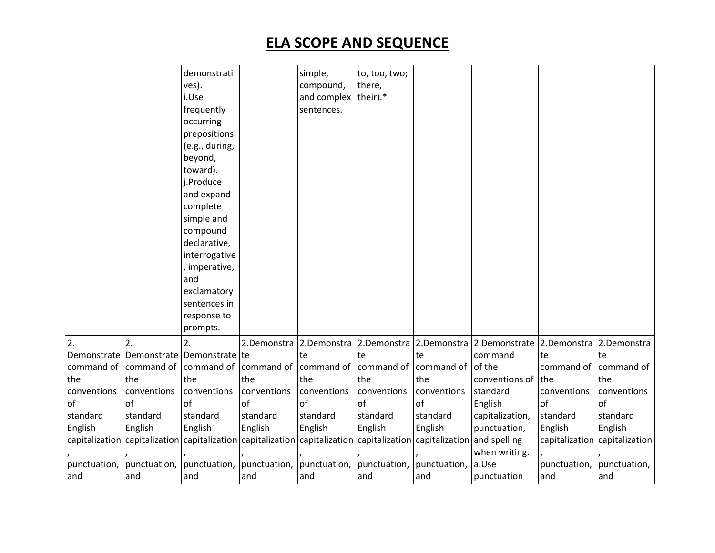|              |                                                                                                                                                 | demonstrati<br>ves).<br>i.Use<br>frequently<br>occurring<br>prepositions<br>(e.g., during,<br>beyond,<br>toward).<br>j.Produce<br>and expand<br>complete<br>simple and<br>compound<br>declarative,<br>interrogative<br>imperative,<br>and<br>exclamatory<br>sentences in<br>response to |              | simple,<br>compound,<br>and complex their).*<br>sentences. | to, too, two;<br>there, |              |                                                   |                       |                               |
|--------------|-------------------------------------------------------------------------------------------------------------------------------------------------|-----------------------------------------------------------------------------------------------------------------------------------------------------------------------------------------------------------------------------------------------------------------------------------------|--------------|------------------------------------------------------------|-------------------------|--------------|---------------------------------------------------|-----------------------|-------------------------------|
|              |                                                                                                                                                 | prompts.                                                                                                                                                                                                                                                                                |              |                                                            |                         |              |                                                   |                       |                               |
| 2.           | $\overline{2}$ .                                                                                                                                | 2.                                                                                                                                                                                                                                                                                      |              | 2.Demonstra 2.Demonstra 2.Demonstra                        |                         |              | 2.Demonstra 2.Demonstrate 2.Demonstra 2.Demonstra |                       |                               |
|              | Demonstrate   Demonstrate   Demonstrate   te                                                                                                    |                                                                                                                                                                                                                                                                                         |              | te                                                         | te                      | te           | command                                           | te                    | l te                          |
| command of   | command of                                                                                                                                      | command of                                                                                                                                                                                                                                                                              | command of   | command of                                                 | command of              | command of   | of the                                            | command of command of |                               |
| the          | the                                                                                                                                             | the                                                                                                                                                                                                                                                                                     | the          | the                                                        | the                     | the          | conventions of the                                |                       | the                           |
| conventions  | conventions                                                                                                                                     | conventions                                                                                                                                                                                                                                                                             | conventions  | conventions                                                | conventions             | conventions  | standard                                          | conventions           | conventions                   |
| of           | of                                                                                                                                              | $\alpha$ f                                                                                                                                                                                                                                                                              | $\alpha$ f   | of                                                         | of                      | of           | English                                           | of                    | $\alpha$ f                    |
| standard     | standard                                                                                                                                        | standard                                                                                                                                                                                                                                                                                | standard     | standard                                                   | standard                | standard     | capitalization,                                   | standard              | standard                      |
| English      | English                                                                                                                                         | English                                                                                                                                                                                                                                                                                 | English      | English                                                    | English                 | English      | punctuation,                                      | English               | English                       |
|              | $\alpha$ capitalization $\alpha$ capitalization $\alpha$ capitalization $\alpha$ capitalization $\alpha$ capitalization $\alpha$ capitalization |                                                                                                                                                                                                                                                                                         |              |                                                            |                         |              | and spelling                                      |                       | capitalization capitalization |
|              |                                                                                                                                                 |                                                                                                                                                                                                                                                                                         |              |                                                            |                         |              | when writing.                                     |                       |                               |
| punctuation, | punctuation,                                                                                                                                    | punctuation,                                                                                                                                                                                                                                                                            | punctuation, | punctuation,                                               | punctuation,            | punctuation, | a.Use                                             | punctuation,          | punctuation,                  |
| and          | and                                                                                                                                             | and                                                                                                                                                                                                                                                                                     | and          | and                                                        | and                     | and          | punctuation                                       | and                   | and                           |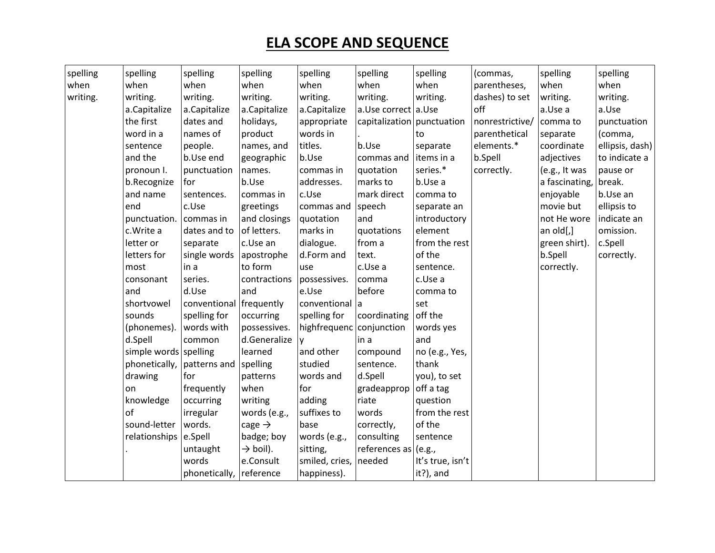| (commas,<br>when<br>when<br>when<br>when<br>when<br>when<br>when<br>parentheses,<br>when<br>when<br>writing.<br>writing.<br>writing.<br>writing.<br>writing.<br>writing.<br>writing.<br>dashes) to set<br>writing.<br>writing.<br>off<br>a.Capitalize<br>a.Capitalize<br>a.Capitalize<br>a.Capitalize<br>a.Use correct a.Use<br>a.Use<br>a.Use a<br>the first<br>dates and<br>holidays,<br>appropriate<br>capitalization   punctuation<br>nonrestrictive/<br>comma to<br>word in a<br>product<br>words in<br>names of<br>parenthetical<br>(comma,<br>separate<br>to<br>titles.<br>b.Use<br>elements.*<br>sentence<br>coordinate<br>people.<br>names, and<br>separate<br>and the<br>b.Use end<br>b.Use<br>b.Spell<br>geographic<br>items in a<br>adjectives<br>commas and<br>series.*<br>pronoun I.<br>punctuation<br>names.<br>commas in<br>correctly.<br>(e.g., It was<br>pause or<br>quotation<br>addresses.<br>b.Use<br>marks to<br>b.Use a<br>a fascinating,<br>break.<br>b.Recognize<br>for<br>mark direct<br>and name<br>c.Use<br>enjoyable<br>b.Use an<br>sentences.<br>comma to<br>commas in<br>end<br>movie but<br>c.Use<br>greetings<br>commas and<br>speech<br>ellipsis to<br>separate an<br>punctuation. commas in<br>and closings<br>and<br>introductory<br>not He wore<br>quotation<br>of letters.<br>marks in<br>c.Write a<br>element<br>an $old[,]$<br>omission.<br>dates and to<br>quotations<br>dialogue.<br>from a<br>from the rest<br>c.Spell<br>letter or<br>c.Use an<br>green shirt).<br>separate<br>of the<br>letters for<br>single words<br>b.Spell<br>apostrophe<br>d.Form and<br>text.<br>correctly.<br>most<br>to form<br>in a<br>c.Use a<br>sentence.<br>correctly.<br>use<br>series.<br>c.Use a<br>consonant<br>contractions<br>possessives.<br>comma<br>d.Use<br>and<br>and<br>e.Use<br>before<br>comma to<br>shortvowel<br>conventional frequently<br>conventional a<br>set<br>coordinating<br>off the<br>sounds<br>spelling for<br>spelling for<br>occurring<br>highfrequenc conjunction<br>(phonemes).<br>words with<br>possessives.<br>words yes<br>d.Spell<br>d.Generalize<br>common<br>in a<br>and<br>V<br>simple words spelling<br>and other<br>learned<br>no (e.g., Yes,<br>compound<br>studied<br>phonetically, patterns and<br>spelling<br>thank<br>sentence.<br>drawing<br>words and<br>d.Spell<br>you), to set<br>for<br>patterns<br>when<br>off a tag<br>frequently<br>for<br>gradeapprop<br>on<br>knowledge<br>adding<br>riate<br>occurring<br>writing<br>question<br>of<br>suffixes to<br>from the rest<br>irregular<br>words (e.g.,<br>words<br>sound-letter<br>words.<br>cage $\rightarrow$<br>base<br>of the<br>correctly,<br>badge; boy<br>words (e.g.,<br>consulting<br>relationships e.Spell<br>sentence<br>$\rightarrow$ boil).<br>references as (e.g.,<br>untaught<br>sitting,<br>words<br>e.Consult<br>smiled, cries, needed<br>It's true, isn't |          |          |               |           |             |          |           |          |                 |
|--------------------------------------------------------------------------------------------------------------------------------------------------------------------------------------------------------------------------------------------------------------------------------------------------------------------------------------------------------------------------------------------------------------------------------------------------------------------------------------------------------------------------------------------------------------------------------------------------------------------------------------------------------------------------------------------------------------------------------------------------------------------------------------------------------------------------------------------------------------------------------------------------------------------------------------------------------------------------------------------------------------------------------------------------------------------------------------------------------------------------------------------------------------------------------------------------------------------------------------------------------------------------------------------------------------------------------------------------------------------------------------------------------------------------------------------------------------------------------------------------------------------------------------------------------------------------------------------------------------------------------------------------------------------------------------------------------------------------------------------------------------------------------------------------------------------------------------------------------------------------------------------------------------------------------------------------------------------------------------------------------------------------------------------------------------------------------------------------------------------------------------------------------------------------------------------------------------------------------------------------------------------------------------------------------------------------------------------------------------------------------------------------------------------------------------------------------------------------------------------------------------------------------------------------------------------------------------------------------------------------------------------------------------------------------------------------------------------------------------------------------------------------------------------------------------------------------------------------------------------------------------------------------|----------|----------|---------------|-----------|-------------|----------|-----------|----------|-----------------|
|                                                                                                                                                                                                                                                                                                                                                                                                                                                                                                                                                                                                                                                                                                                                                                                                                                                                                                                                                                                                                                                                                                                                                                                                                                                                                                                                                                                                                                                                                                                                                                                                                                                                                                                                                                                                                                                                                                                                                                                                                                                                                                                                                                                                                                                                                                                                                                                                                                                                                                                                                                                                                                                                                                                                                                                                                                                                                                        | spelling | spelling | spelling      | spelling  | spelling    | spelling | spelling  | spelling | spelling        |
|                                                                                                                                                                                                                                                                                                                                                                                                                                                                                                                                                                                                                                                                                                                                                                                                                                                                                                                                                                                                                                                                                                                                                                                                                                                                                                                                                                                                                                                                                                                                                                                                                                                                                                                                                                                                                                                                                                                                                                                                                                                                                                                                                                                                                                                                                                                                                                                                                                                                                                                                                                                                                                                                                                                                                                                                                                                                                                        |          |          |               |           |             |          |           |          |                 |
|                                                                                                                                                                                                                                                                                                                                                                                                                                                                                                                                                                                                                                                                                                                                                                                                                                                                                                                                                                                                                                                                                                                                                                                                                                                                                                                                                                                                                                                                                                                                                                                                                                                                                                                                                                                                                                                                                                                                                                                                                                                                                                                                                                                                                                                                                                                                                                                                                                                                                                                                                                                                                                                                                                                                                                                                                                                                                                        |          |          |               |           |             |          |           |          |                 |
|                                                                                                                                                                                                                                                                                                                                                                                                                                                                                                                                                                                                                                                                                                                                                                                                                                                                                                                                                                                                                                                                                                                                                                                                                                                                                                                                                                                                                                                                                                                                                                                                                                                                                                                                                                                                                                                                                                                                                                                                                                                                                                                                                                                                                                                                                                                                                                                                                                                                                                                                                                                                                                                                                                                                                                                                                                                                                                        |          |          |               |           |             |          |           |          |                 |
|                                                                                                                                                                                                                                                                                                                                                                                                                                                                                                                                                                                                                                                                                                                                                                                                                                                                                                                                                                                                                                                                                                                                                                                                                                                                                                                                                                                                                                                                                                                                                                                                                                                                                                                                                                                                                                                                                                                                                                                                                                                                                                                                                                                                                                                                                                                                                                                                                                                                                                                                                                                                                                                                                                                                                                                                                                                                                                        |          |          |               |           |             |          |           |          | punctuation     |
|                                                                                                                                                                                                                                                                                                                                                                                                                                                                                                                                                                                                                                                                                                                                                                                                                                                                                                                                                                                                                                                                                                                                                                                                                                                                                                                                                                                                                                                                                                                                                                                                                                                                                                                                                                                                                                                                                                                                                                                                                                                                                                                                                                                                                                                                                                                                                                                                                                                                                                                                                                                                                                                                                                                                                                                                                                                                                                        |          |          |               |           |             |          |           |          |                 |
|                                                                                                                                                                                                                                                                                                                                                                                                                                                                                                                                                                                                                                                                                                                                                                                                                                                                                                                                                                                                                                                                                                                                                                                                                                                                                                                                                                                                                                                                                                                                                                                                                                                                                                                                                                                                                                                                                                                                                                                                                                                                                                                                                                                                                                                                                                                                                                                                                                                                                                                                                                                                                                                                                                                                                                                                                                                                                                        |          |          |               |           |             |          |           |          | ellipsis, dash) |
|                                                                                                                                                                                                                                                                                                                                                                                                                                                                                                                                                                                                                                                                                                                                                                                                                                                                                                                                                                                                                                                                                                                                                                                                                                                                                                                                                                                                                                                                                                                                                                                                                                                                                                                                                                                                                                                                                                                                                                                                                                                                                                                                                                                                                                                                                                                                                                                                                                                                                                                                                                                                                                                                                                                                                                                                                                                                                                        |          |          |               |           |             |          |           |          | to indicate a   |
|                                                                                                                                                                                                                                                                                                                                                                                                                                                                                                                                                                                                                                                                                                                                                                                                                                                                                                                                                                                                                                                                                                                                                                                                                                                                                                                                                                                                                                                                                                                                                                                                                                                                                                                                                                                                                                                                                                                                                                                                                                                                                                                                                                                                                                                                                                                                                                                                                                                                                                                                                                                                                                                                                                                                                                                                                                                                                                        |          |          |               |           |             |          |           |          |                 |
|                                                                                                                                                                                                                                                                                                                                                                                                                                                                                                                                                                                                                                                                                                                                                                                                                                                                                                                                                                                                                                                                                                                                                                                                                                                                                                                                                                                                                                                                                                                                                                                                                                                                                                                                                                                                                                                                                                                                                                                                                                                                                                                                                                                                                                                                                                                                                                                                                                                                                                                                                                                                                                                                                                                                                                                                                                                                                                        |          |          |               |           |             |          |           |          |                 |
|                                                                                                                                                                                                                                                                                                                                                                                                                                                                                                                                                                                                                                                                                                                                                                                                                                                                                                                                                                                                                                                                                                                                                                                                                                                                                                                                                                                                                                                                                                                                                                                                                                                                                                                                                                                                                                                                                                                                                                                                                                                                                                                                                                                                                                                                                                                                                                                                                                                                                                                                                                                                                                                                                                                                                                                                                                                                                                        |          |          |               |           |             |          |           |          |                 |
|                                                                                                                                                                                                                                                                                                                                                                                                                                                                                                                                                                                                                                                                                                                                                                                                                                                                                                                                                                                                                                                                                                                                                                                                                                                                                                                                                                                                                                                                                                                                                                                                                                                                                                                                                                                                                                                                                                                                                                                                                                                                                                                                                                                                                                                                                                                                                                                                                                                                                                                                                                                                                                                                                                                                                                                                                                                                                                        |          |          |               |           |             |          |           |          |                 |
|                                                                                                                                                                                                                                                                                                                                                                                                                                                                                                                                                                                                                                                                                                                                                                                                                                                                                                                                                                                                                                                                                                                                                                                                                                                                                                                                                                                                                                                                                                                                                                                                                                                                                                                                                                                                                                                                                                                                                                                                                                                                                                                                                                                                                                                                                                                                                                                                                                                                                                                                                                                                                                                                                                                                                                                                                                                                                                        |          |          |               |           |             |          |           |          | indicate an     |
|                                                                                                                                                                                                                                                                                                                                                                                                                                                                                                                                                                                                                                                                                                                                                                                                                                                                                                                                                                                                                                                                                                                                                                                                                                                                                                                                                                                                                                                                                                                                                                                                                                                                                                                                                                                                                                                                                                                                                                                                                                                                                                                                                                                                                                                                                                                                                                                                                                                                                                                                                                                                                                                                                                                                                                                                                                                                                                        |          |          |               |           |             |          |           |          |                 |
|                                                                                                                                                                                                                                                                                                                                                                                                                                                                                                                                                                                                                                                                                                                                                                                                                                                                                                                                                                                                                                                                                                                                                                                                                                                                                                                                                                                                                                                                                                                                                                                                                                                                                                                                                                                                                                                                                                                                                                                                                                                                                                                                                                                                                                                                                                                                                                                                                                                                                                                                                                                                                                                                                                                                                                                                                                                                                                        |          |          |               |           |             |          |           |          |                 |
|                                                                                                                                                                                                                                                                                                                                                                                                                                                                                                                                                                                                                                                                                                                                                                                                                                                                                                                                                                                                                                                                                                                                                                                                                                                                                                                                                                                                                                                                                                                                                                                                                                                                                                                                                                                                                                                                                                                                                                                                                                                                                                                                                                                                                                                                                                                                                                                                                                                                                                                                                                                                                                                                                                                                                                                                                                                                                                        |          |          |               |           |             |          |           |          |                 |
|                                                                                                                                                                                                                                                                                                                                                                                                                                                                                                                                                                                                                                                                                                                                                                                                                                                                                                                                                                                                                                                                                                                                                                                                                                                                                                                                                                                                                                                                                                                                                                                                                                                                                                                                                                                                                                                                                                                                                                                                                                                                                                                                                                                                                                                                                                                                                                                                                                                                                                                                                                                                                                                                                                                                                                                                                                                                                                        |          |          |               |           |             |          |           |          |                 |
|                                                                                                                                                                                                                                                                                                                                                                                                                                                                                                                                                                                                                                                                                                                                                                                                                                                                                                                                                                                                                                                                                                                                                                                                                                                                                                                                                                                                                                                                                                                                                                                                                                                                                                                                                                                                                                                                                                                                                                                                                                                                                                                                                                                                                                                                                                                                                                                                                                                                                                                                                                                                                                                                                                                                                                                                                                                                                                        |          |          |               |           |             |          |           |          |                 |
|                                                                                                                                                                                                                                                                                                                                                                                                                                                                                                                                                                                                                                                                                                                                                                                                                                                                                                                                                                                                                                                                                                                                                                                                                                                                                                                                                                                                                                                                                                                                                                                                                                                                                                                                                                                                                                                                                                                                                                                                                                                                                                                                                                                                                                                                                                                                                                                                                                                                                                                                                                                                                                                                                                                                                                                                                                                                                                        |          |          |               |           |             |          |           |          |                 |
|                                                                                                                                                                                                                                                                                                                                                                                                                                                                                                                                                                                                                                                                                                                                                                                                                                                                                                                                                                                                                                                                                                                                                                                                                                                                                                                                                                                                                                                                                                                                                                                                                                                                                                                                                                                                                                                                                                                                                                                                                                                                                                                                                                                                                                                                                                                                                                                                                                                                                                                                                                                                                                                                                                                                                                                                                                                                                                        |          |          |               |           |             |          |           |          |                 |
|                                                                                                                                                                                                                                                                                                                                                                                                                                                                                                                                                                                                                                                                                                                                                                                                                                                                                                                                                                                                                                                                                                                                                                                                                                                                                                                                                                                                                                                                                                                                                                                                                                                                                                                                                                                                                                                                                                                                                                                                                                                                                                                                                                                                                                                                                                                                                                                                                                                                                                                                                                                                                                                                                                                                                                                                                                                                                                        |          |          |               |           |             |          |           |          |                 |
|                                                                                                                                                                                                                                                                                                                                                                                                                                                                                                                                                                                                                                                                                                                                                                                                                                                                                                                                                                                                                                                                                                                                                                                                                                                                                                                                                                                                                                                                                                                                                                                                                                                                                                                                                                                                                                                                                                                                                                                                                                                                                                                                                                                                                                                                                                                                                                                                                                                                                                                                                                                                                                                                                                                                                                                                                                                                                                        |          |          |               |           |             |          |           |          |                 |
|                                                                                                                                                                                                                                                                                                                                                                                                                                                                                                                                                                                                                                                                                                                                                                                                                                                                                                                                                                                                                                                                                                                                                                                                                                                                                                                                                                                                                                                                                                                                                                                                                                                                                                                                                                                                                                                                                                                                                                                                                                                                                                                                                                                                                                                                                                                                                                                                                                                                                                                                                                                                                                                                                                                                                                                                                                                                                                        |          |          |               |           |             |          |           |          |                 |
|                                                                                                                                                                                                                                                                                                                                                                                                                                                                                                                                                                                                                                                                                                                                                                                                                                                                                                                                                                                                                                                                                                                                                                                                                                                                                                                                                                                                                                                                                                                                                                                                                                                                                                                                                                                                                                                                                                                                                                                                                                                                                                                                                                                                                                                                                                                                                                                                                                                                                                                                                                                                                                                                                                                                                                                                                                                                                                        |          |          |               |           |             |          |           |          |                 |
|                                                                                                                                                                                                                                                                                                                                                                                                                                                                                                                                                                                                                                                                                                                                                                                                                                                                                                                                                                                                                                                                                                                                                                                                                                                                                                                                                                                                                                                                                                                                                                                                                                                                                                                                                                                                                                                                                                                                                                                                                                                                                                                                                                                                                                                                                                                                                                                                                                                                                                                                                                                                                                                                                                                                                                                                                                                                                                        |          |          |               |           |             |          |           |          |                 |
|                                                                                                                                                                                                                                                                                                                                                                                                                                                                                                                                                                                                                                                                                                                                                                                                                                                                                                                                                                                                                                                                                                                                                                                                                                                                                                                                                                                                                                                                                                                                                                                                                                                                                                                                                                                                                                                                                                                                                                                                                                                                                                                                                                                                                                                                                                                                                                                                                                                                                                                                                                                                                                                                                                                                                                                                                                                                                                        |          |          |               |           |             |          |           |          |                 |
|                                                                                                                                                                                                                                                                                                                                                                                                                                                                                                                                                                                                                                                                                                                                                                                                                                                                                                                                                                                                                                                                                                                                                                                                                                                                                                                                                                                                                                                                                                                                                                                                                                                                                                                                                                                                                                                                                                                                                                                                                                                                                                                                                                                                                                                                                                                                                                                                                                                                                                                                                                                                                                                                                                                                                                                                                                                                                                        |          |          |               |           |             |          |           |          |                 |
|                                                                                                                                                                                                                                                                                                                                                                                                                                                                                                                                                                                                                                                                                                                                                                                                                                                                                                                                                                                                                                                                                                                                                                                                                                                                                                                                                                                                                                                                                                                                                                                                                                                                                                                                                                                                                                                                                                                                                                                                                                                                                                                                                                                                                                                                                                                                                                                                                                                                                                                                                                                                                                                                                                                                                                                                                                                                                                        |          |          |               |           |             |          |           |          |                 |
|                                                                                                                                                                                                                                                                                                                                                                                                                                                                                                                                                                                                                                                                                                                                                                                                                                                                                                                                                                                                                                                                                                                                                                                                                                                                                                                                                                                                                                                                                                                                                                                                                                                                                                                                                                                                                                                                                                                                                                                                                                                                                                                                                                                                                                                                                                                                                                                                                                                                                                                                                                                                                                                                                                                                                                                                                                                                                                        |          |          |               |           |             |          |           |          |                 |
|                                                                                                                                                                                                                                                                                                                                                                                                                                                                                                                                                                                                                                                                                                                                                                                                                                                                                                                                                                                                                                                                                                                                                                                                                                                                                                                                                                                                                                                                                                                                                                                                                                                                                                                                                                                                                                                                                                                                                                                                                                                                                                                                                                                                                                                                                                                                                                                                                                                                                                                                                                                                                                                                                                                                                                                                                                                                                                        |          |          |               |           |             |          |           |          |                 |
|                                                                                                                                                                                                                                                                                                                                                                                                                                                                                                                                                                                                                                                                                                                                                                                                                                                                                                                                                                                                                                                                                                                                                                                                                                                                                                                                                                                                                                                                                                                                                                                                                                                                                                                                                                                                                                                                                                                                                                                                                                                                                                                                                                                                                                                                                                                                                                                                                                                                                                                                                                                                                                                                                                                                                                                                                                                                                                        |          |          |               |           |             |          |           |          |                 |
|                                                                                                                                                                                                                                                                                                                                                                                                                                                                                                                                                                                                                                                                                                                                                                                                                                                                                                                                                                                                                                                                                                                                                                                                                                                                                                                                                                                                                                                                                                                                                                                                                                                                                                                                                                                                                                                                                                                                                                                                                                                                                                                                                                                                                                                                                                                                                                                                                                                                                                                                                                                                                                                                                                                                                                                                                                                                                                        |          |          |               |           |             |          |           |          |                 |
|                                                                                                                                                                                                                                                                                                                                                                                                                                                                                                                                                                                                                                                                                                                                                                                                                                                                                                                                                                                                                                                                                                                                                                                                                                                                                                                                                                                                                                                                                                                                                                                                                                                                                                                                                                                                                                                                                                                                                                                                                                                                                                                                                                                                                                                                                                                                                                                                                                                                                                                                                                                                                                                                                                                                                                                                                                                                                                        |          |          |               |           |             |          |           |          |                 |
|                                                                                                                                                                                                                                                                                                                                                                                                                                                                                                                                                                                                                                                                                                                                                                                                                                                                                                                                                                                                                                                                                                                                                                                                                                                                                                                                                                                                                                                                                                                                                                                                                                                                                                                                                                                                                                                                                                                                                                                                                                                                                                                                                                                                                                                                                                                                                                                                                                                                                                                                                                                                                                                                                                                                                                                                                                                                                                        |          |          | phonetically, | reference | happiness). |          | it?), and |          |                 |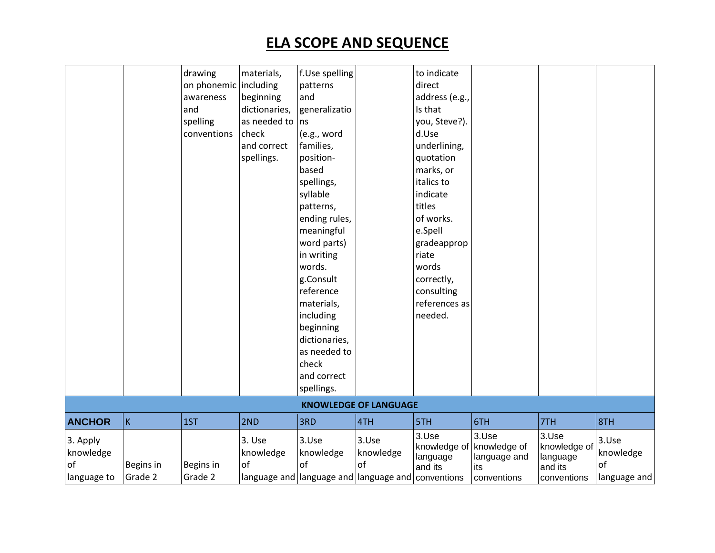|                       |           | drawing               | materials,          | f.Use spelling                                             |                              | to indicate                       |                                       |                                   |                    |
|-----------------------|-----------|-----------------------|---------------------|------------------------------------------------------------|------------------------------|-----------------------------------|---------------------------------------|-----------------------------------|--------------------|
|                       |           | on phonemic including |                     | patterns                                                   |                              | direct                            |                                       |                                   |                    |
|                       |           | awareness             | beginning           | and                                                        |                              | address (e.g.,                    |                                       |                                   |                    |
|                       |           | and                   | dictionaries,       | generalizatio                                              |                              | Is that                           |                                       |                                   |                    |
|                       |           | spelling              | as needed to        | ns                                                         |                              | you, Steve?).                     |                                       |                                   |                    |
|                       |           | conventions           | check               | (e.g., word                                                |                              | d.Use                             |                                       |                                   |                    |
|                       |           |                       | and correct         | families,                                                  |                              | underlining,                      |                                       |                                   |                    |
|                       |           |                       | spellings.          | position-                                                  |                              | quotation                         |                                       |                                   |                    |
|                       |           |                       |                     | based                                                      |                              | marks, or                         |                                       |                                   |                    |
|                       |           |                       |                     | spellings,                                                 |                              | italics to                        |                                       |                                   |                    |
|                       |           |                       |                     | syllable                                                   |                              | indicate                          |                                       |                                   |                    |
|                       |           |                       |                     | patterns,                                                  |                              | titles                            |                                       |                                   |                    |
|                       |           |                       |                     | ending rules,                                              |                              | of works.                         |                                       |                                   |                    |
|                       |           |                       |                     | meaningful                                                 |                              | e.Spell                           |                                       |                                   |                    |
|                       |           |                       |                     | word parts)                                                |                              | gradeapprop                       |                                       |                                   |                    |
|                       |           |                       |                     | in writing                                                 |                              | riate                             |                                       |                                   |                    |
|                       |           |                       |                     | words.                                                     |                              | words                             |                                       |                                   |                    |
|                       |           |                       |                     | g.Consult                                                  |                              | correctly,                        |                                       |                                   |                    |
|                       |           |                       |                     | reference                                                  |                              | consulting                        |                                       |                                   |                    |
|                       |           |                       |                     | materials,                                                 |                              | references as                     |                                       |                                   |                    |
|                       |           |                       |                     | including                                                  |                              | needed.                           |                                       |                                   |                    |
|                       |           |                       |                     | beginning                                                  |                              |                                   |                                       |                                   |                    |
|                       |           |                       |                     | dictionaries,                                              |                              |                                   |                                       |                                   |                    |
|                       |           |                       |                     | as needed to                                               |                              |                                   |                                       |                                   |                    |
|                       |           |                       |                     | check                                                      |                              |                                   |                                       |                                   |                    |
|                       |           |                       |                     | and correct                                                |                              |                                   |                                       |                                   |                    |
|                       |           |                       |                     | spellings.                                                 |                              |                                   |                                       |                                   |                    |
|                       |           |                       |                     |                                                            | <b>KNOWLEDGE OF LANGUAGE</b> |                                   |                                       |                                   |                    |
| <b>ANCHOR</b>         | K         | 1ST                   | 2ND                 | 3RD                                                        | 4TH                          | 5TH                               | 6TH                                   | 7TH                               | 8TH                |
| 3. Apply<br>knowledge |           |                       | 3. Use<br>knowledge | 3.Use<br>knowledge                                         | 3.Use<br>knowledge           | 3.Use<br>knowledge of<br>language | 3.Use<br>knowledge of<br>language and | 3.Use<br>knowledge of<br>language | 3.Use<br>knowledge |
| of                    | Begins in | Begins in             | of                  | of                                                         | of                           | and its                           | its                                   | and its                           | of                 |
| language to           | Grade 2   | Grade 2               |                     | language and language and language and $\vert$ conventions |                              |                                   | conventions                           | conventions                       | language and       |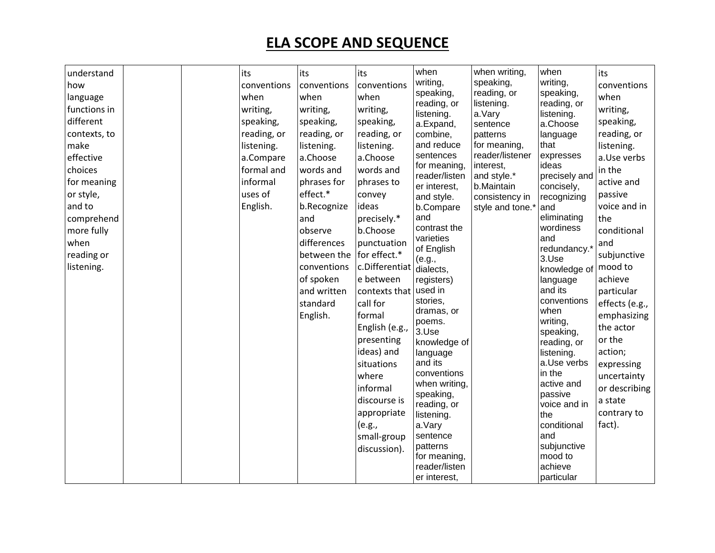| how<br>language<br>functions in<br>different<br>contexts, to<br>make<br>effective<br>choices<br>for meaning<br>or style,<br>and to<br>comprehend<br>more fully<br>when<br>reading or<br>listening. | conventions<br>when<br>writing,<br>speaking,<br>reading, or<br>listening.<br>a.Compare<br>formal and<br>informal<br>uses of<br>English. | conventions<br>when<br>writing,<br>speaking,<br>reading, or<br>listening.<br>a.Choose<br>words and<br>phrases for<br>effect.*<br>b.Recognize<br>and<br>observe<br>differences<br>between the for effect.*<br>conventions<br>of spoken<br>and written<br>standard<br>English. | conventions<br>when<br>writing,<br>speaking,<br>reading, or<br>listening.<br>a.Choose<br>words and<br>phrases to<br>convey<br>ideas<br>precisely.*<br>b.Choose<br>punctuation<br>c.Differentiat<br>e between<br>contexts that<br>call for<br>formal<br>English (e.g.,<br>presenting<br>ideas) and<br>situations<br>where<br>informal<br>discourse is<br>appropriate<br>(e.g.,<br>small-group<br>discussion). | writing,<br>speaking,<br>reading, or<br>listening.<br>a.Expand,<br>combine,<br>and reduce<br>sentences<br>for meaning,<br>reader/listen<br>er interest,<br>and style.<br>b.Compare<br>and<br>contrast the<br>varieties<br>of English<br>(e.g.,<br>dialects,<br>registers)<br>used in<br>stories,<br>dramas, or<br>poems.<br>3.Use<br>knowledge of<br>language<br>and its<br>conventions<br>when writing,<br>speaking,<br>reading, or<br>listening.<br>a.Vary<br>sentence<br>patterns<br>for meaning, | speaking,<br>reading, or<br>listening.<br>a.Vary<br>sentence<br>patterns<br>for meaning,<br>reader/listener<br>interest,<br>and style.*<br>b.Maintain<br>consistency in<br>style and tone.* | writing,<br>speaking,<br>reading, or<br>listening.<br>a.Choose<br>language<br>that<br>expresses<br>ideas<br>precisely and<br>concisely,<br>recognizing<br>and<br>eliminating<br>wordiness<br>and<br>redundancy.*<br>3.Use<br>knowledge of<br>language<br>and its<br>conventions<br>when<br>writing,<br>speaking,<br>reading, or<br>listening.<br>a.Use verbs<br>in the<br>active and<br>passive<br>voice and in<br>the<br>conditional<br>and<br>subjunctive<br>mood to | conventions<br>when<br>writing,<br>speaking,<br>reading, or<br>listening.<br>a.Use verbs<br>in the<br>active and<br>passive<br>voice and in<br>the<br>conditional<br>and<br>subjunctive<br>mood to<br>achieve<br>particular<br>effects (e.g.,<br>emphasizing<br>the actor<br>or the<br>action;<br>expressing<br>uncertainty<br>or describing<br>a state<br>contrary to<br>fact). |
|----------------------------------------------------------------------------------------------------------------------------------------------------------------------------------------------------|-----------------------------------------------------------------------------------------------------------------------------------------|------------------------------------------------------------------------------------------------------------------------------------------------------------------------------------------------------------------------------------------------------------------------------|--------------------------------------------------------------------------------------------------------------------------------------------------------------------------------------------------------------------------------------------------------------------------------------------------------------------------------------------------------------------------------------------------------------|------------------------------------------------------------------------------------------------------------------------------------------------------------------------------------------------------------------------------------------------------------------------------------------------------------------------------------------------------------------------------------------------------------------------------------------------------------------------------------------------------|---------------------------------------------------------------------------------------------------------------------------------------------------------------------------------------------|------------------------------------------------------------------------------------------------------------------------------------------------------------------------------------------------------------------------------------------------------------------------------------------------------------------------------------------------------------------------------------------------------------------------------------------------------------------------|----------------------------------------------------------------------------------------------------------------------------------------------------------------------------------------------------------------------------------------------------------------------------------------------------------------------------------------------------------------------------------|
|----------------------------------------------------------------------------------------------------------------------------------------------------------------------------------------------------|-----------------------------------------------------------------------------------------------------------------------------------------|------------------------------------------------------------------------------------------------------------------------------------------------------------------------------------------------------------------------------------------------------------------------------|--------------------------------------------------------------------------------------------------------------------------------------------------------------------------------------------------------------------------------------------------------------------------------------------------------------------------------------------------------------------------------------------------------------|------------------------------------------------------------------------------------------------------------------------------------------------------------------------------------------------------------------------------------------------------------------------------------------------------------------------------------------------------------------------------------------------------------------------------------------------------------------------------------------------------|---------------------------------------------------------------------------------------------------------------------------------------------------------------------------------------------|------------------------------------------------------------------------------------------------------------------------------------------------------------------------------------------------------------------------------------------------------------------------------------------------------------------------------------------------------------------------------------------------------------------------------------------------------------------------|----------------------------------------------------------------------------------------------------------------------------------------------------------------------------------------------------------------------------------------------------------------------------------------------------------------------------------------------------------------------------------|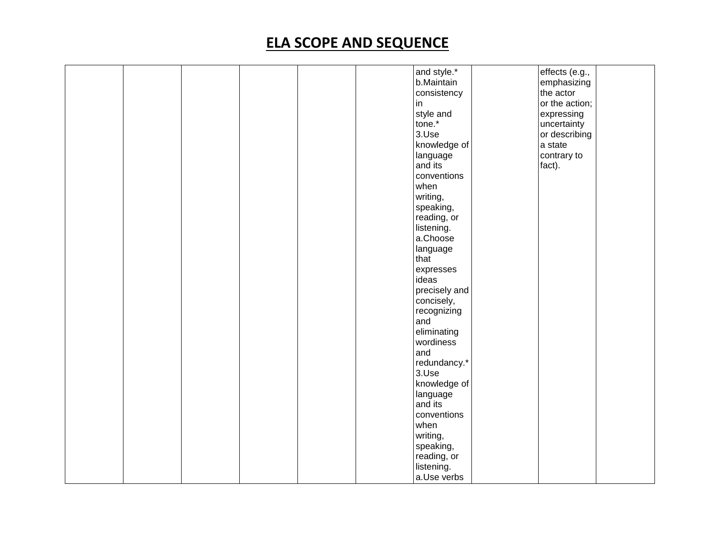|  |  |  | and style.*   | effects (e.g., |  |
|--|--|--|---------------|----------------|--|
|  |  |  | b.Maintain    | emphasizing    |  |
|  |  |  | consistency   | the actor      |  |
|  |  |  | in            | or the action; |  |
|  |  |  |               |                |  |
|  |  |  | style and     | expressing     |  |
|  |  |  | tone.*        | uncertainty    |  |
|  |  |  | 3.Use         | or describing  |  |
|  |  |  | knowledge of  | a state        |  |
|  |  |  | language      | contrary to    |  |
|  |  |  | and its       | fact).         |  |
|  |  |  | conventions   |                |  |
|  |  |  | when          |                |  |
|  |  |  | writing,      |                |  |
|  |  |  | speaking,     |                |  |
|  |  |  |               |                |  |
|  |  |  | reading, or   |                |  |
|  |  |  | listening.    |                |  |
|  |  |  | a.Choose      |                |  |
|  |  |  | language      |                |  |
|  |  |  | that          |                |  |
|  |  |  | expresses     |                |  |
|  |  |  | ideas         |                |  |
|  |  |  | precisely and |                |  |
|  |  |  | concisely,    |                |  |
|  |  |  | recognizing   |                |  |
|  |  |  | and           |                |  |
|  |  |  |               |                |  |
|  |  |  | eliminating   |                |  |
|  |  |  | wordiness     |                |  |
|  |  |  | and           |                |  |
|  |  |  | redundancy.*  |                |  |
|  |  |  | 3.Use         |                |  |
|  |  |  | knowledge of  |                |  |
|  |  |  | language      |                |  |
|  |  |  | and its       |                |  |
|  |  |  | conventions   |                |  |
|  |  |  | when          |                |  |
|  |  |  | writing,      |                |  |
|  |  |  |               |                |  |
|  |  |  | speaking,     |                |  |
|  |  |  | reading, or   |                |  |
|  |  |  | listening.    |                |  |
|  |  |  | a.Use verbs   |                |  |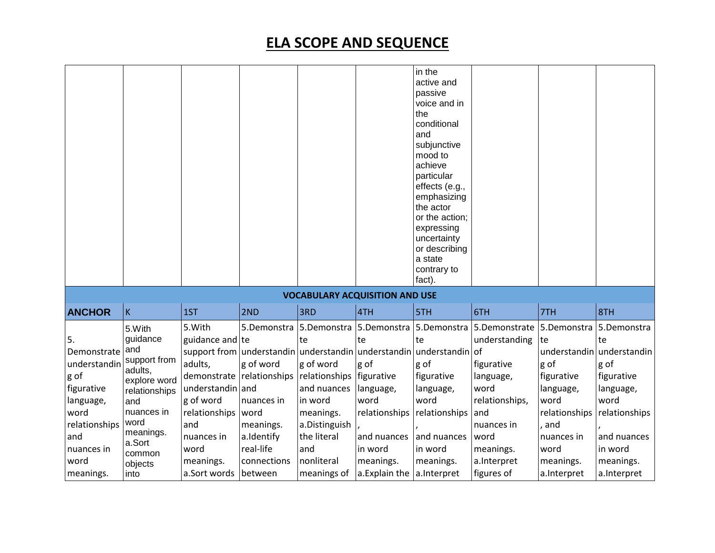|                                                                                                                                         |                                                                                                                                                                        |                                                                                                                                                                               |                                                                                                   |                                                                                                                                                                                                 |                                                                                                          | in the<br>active and<br>passive<br>voice and in<br>the<br>conditional<br>and<br>subjunctive<br>mood to<br>achieve<br>particular<br>effects (e.g.,<br>emphasizing<br>the actor<br>or the action;<br>expressing<br>uncertainty<br>or describing<br>a state<br>contrary to |                                                                                                                                                                                       |                                                                                                                           |                                                                                                                                                   |
|-----------------------------------------------------------------------------------------------------------------------------------------|------------------------------------------------------------------------------------------------------------------------------------------------------------------------|-------------------------------------------------------------------------------------------------------------------------------------------------------------------------------|---------------------------------------------------------------------------------------------------|-------------------------------------------------------------------------------------------------------------------------------------------------------------------------------------------------|----------------------------------------------------------------------------------------------------------|-------------------------------------------------------------------------------------------------------------------------------------------------------------------------------------------------------------------------------------------------------------------------|---------------------------------------------------------------------------------------------------------------------------------------------------------------------------------------|---------------------------------------------------------------------------------------------------------------------------|---------------------------------------------------------------------------------------------------------------------------------------------------|
|                                                                                                                                         |                                                                                                                                                                        |                                                                                                                                                                               |                                                                                                   | <b>VOCABULARY ACQUISITION AND USE</b>                                                                                                                                                           |                                                                                                          | fact).                                                                                                                                                                                                                                                                  |                                                                                                                                                                                       |                                                                                                                           |                                                                                                                                                   |
| <b>ANCHOR</b>                                                                                                                           | $\mathsf K$                                                                                                                                                            | 1ST                                                                                                                                                                           | 2ND                                                                                               | 3RD                                                                                                                                                                                             | 4TH                                                                                                      | 5TH                                                                                                                                                                                                                                                                     | 6TH                                                                                                                                                                                   | 7TH                                                                                                                       | 8TH                                                                                                                                               |
| 5.<br>Demonstrate<br>understandin<br>g of<br>figurative<br>language,<br>word<br>relationships<br>and<br>nuances in<br>word<br>meanings. | 5.With<br>guidance<br>and<br>support from<br>adults,<br>explore word<br>relationships<br>and<br>nuances in<br>word<br>meanings.<br>a.Sort<br>common<br>objects<br>into | 5.With<br>guidance and te<br>adults,<br>demonstrate relationships<br>understandin and<br>g of word<br>relationships<br>and<br>nuances in<br>word<br>meanings.<br>a.Sort words | g of word<br>nuances in<br>word<br>meanings.<br>a.Identify<br>real-life<br>connections<br>between | 5.Demonstra 5.Demonstra 5.Demonstra<br>te<br>g of word<br>relationships   figurative<br>and nuances<br>in word<br>meanings.<br>a.Distinguish<br>the literal<br>and<br>nonliteral<br>meanings of | te<br>g of<br>language,<br>word<br>relationships<br>and nuances<br>in word<br>meanings.<br>a.Explain the | 5.Demonstra<br>te<br>support from understandin understandin understandin understandin of<br>g of<br>figurative<br>language,<br>word<br>relationships<br>and nuances<br>in word<br>meanings.<br>a.Interpret                                                              | 5. Demonstrate 5. Demonstra 5. Demonstra<br>understanding<br>figurative<br>language,<br>word<br>relationships,<br>and<br>nuances in<br>word<br>meanings.<br>a.Interpret<br>figures of | te<br>g of<br>figurative<br>language,<br>word<br>relationships<br>, and<br>nuances in<br>word<br>meanings.<br>a.Interpret | te<br>understandin understandin<br>g of<br>figurative<br>language,<br>word<br>relationships<br>and nuances<br>in word<br>meanings.<br>a.Interpret |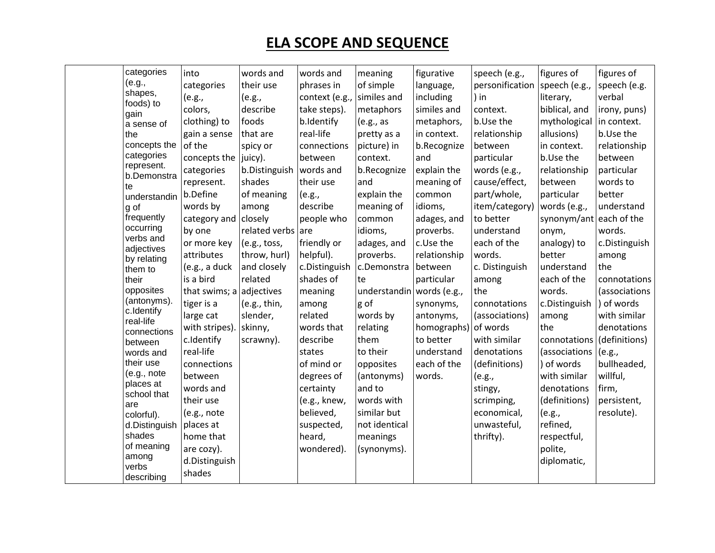| categories               | into                           | words and         | words and      | meaning                   | figurative   | speech (e.g.,                 | figures of    | figures of    |
|--------------------------|--------------------------------|-------------------|----------------|---------------------------|--------------|-------------------------------|---------------|---------------|
| (e.g.,                   | categories                     | their use         | phrases in     | of simple                 | language,    | personification speech (e.g., |               | speech (e.g.  |
| shapes,                  | (e.g.,                         | (e.g.,            | context (e.g., | similes and               | including    | ) in                          | literary,     | verbal        |
| foods) to<br>gain        | colors,                        | describe          | take steps).   | metaphors                 | similes and  | context.                      | biblical, and | irony, puns)  |
| a sense of               | clothing) to                   | foods             | b.Identify     | (e.g., as                 | metaphors,   | b.Use the                     | mythological  | in context.   |
| the                      | gain a sense                   | that are          | real-life      | pretty as a               | in context.  | relationship                  | allusions)    | b.Use the     |
| concepts the             | of the                         | spicy or          | connections    | picture) in               | b.Recognize  | between                       | in context.   | relationship  |
| categories               | concepts the $ juicy\rangle$ . |                   | between        | context.                  | and          | particular                    | b.Use the     | between       |
| represent.               | categories                     | b.Distinguish     | words and      | b.Recognize               | explain the  | words (e.g.,                  | relationship  | particular    |
| b.Demonstra<br>te        | represent.                     | shades            | their use      | and                       | meaning of   | cause/effect,                 | between       | words to      |
| understandin             | b.Define                       | of meaning        | (e.g.,         | explain the               | common       | part/whole,                   | particular    | better        |
| g of                     | words by                       | among             | describe       | meaning of                | idioms,      | item/category)                | words (e.g.,  | understand    |
| frequently               | category and                   | closely           | people who     | common                    | adages, and  | to better                     | synonym/ant   | each of the   |
| occurring                | by one                         | related verbs are |                | idioms,                   | proverbs.    | understand                    | onym,         | words.        |
| verbs and<br>adjectives  | or more key                    | (e.g., toss,      | friendly or    | adages, and               | c.Use the    | each of the                   | analogy) to   | c.Distinguish |
| by relating              | attributes                     | throw, hurl)      | helpful).      | proverbs.                 | relationship | words.                        | better        | among         |
| them to                  | (e.g., a duck                  | and closely       | c.Distinguish  | c.Demonstra               | between      | c. Distinguish                | understand    | the           |
| their                    | is a bird                      | related           | shades of      | te                        | particular   | among                         | each of the   | connotations  |
| opposites                | that swims; a adjectives       |                   | meaning        | understandin words (e.g., |              | the                           | words.        | (associations |
| (antonyms).              | tiger is a                     | (e.g., thin,      | among          | g of                      | synonyms,    | connotations                  | c.Distinguish | ) of words    |
| c.Identify<br>real-life  | large cat                      | slender,          | related        | words by                  | antonyms,    | (associations)                | among         | with similar  |
| connections              | with stripes)                  | skinny,           | words that     | relating                  | homographs)  | of words                      | the           | denotations   |
| between                  | c.Identify                     | scrawny).         | describe       | them                      | to better    | with similar                  | connotations  | (definitions) |
| words and                | real-life                      |                   | states         | to their                  | understand   | denotations                   | (associations | (e.g.,        |
| their use                | connections                    |                   | of mind or     | opposites                 | each of the  | (definitions)                 | ) of words    | bullheaded,   |
| (e.g., note<br>places at | between                        |                   | degrees of     | (antonyms)                | words.       | (e.g.,                        | with similar  | willful,      |
| school that              | words and                      |                   | certainty      | and to                    |              | stingy,                       | denotations   | firm,         |
| are                      | their use                      |                   | (e.g., knew,   | words with                |              | scrimping,                    | (definitions) | persistent,   |
| colorful).               | (e.g., note                    |                   | believed,      | similar but               |              | economical,                   | (e.g.,        | resolute).    |
| d.Distinguish            | places at                      |                   | suspected,     | not identical             |              | unwasteful,                   | refined,      |               |
| shades                   | home that                      |                   | heard,         | meanings                  |              | thrifty).                     | respectful,   |               |
| of meaning               | are cozy).                     |                   | wondered).     | (synonyms).               |              |                               | polite,       |               |
| among<br>verbs           | d.Distinguish                  |                   |                |                           |              |                               | diplomatic,   |               |
| describing               | shades                         |                   |                |                           |              |                               |               |               |
|                          |                                |                   |                |                           |              |                               |               |               |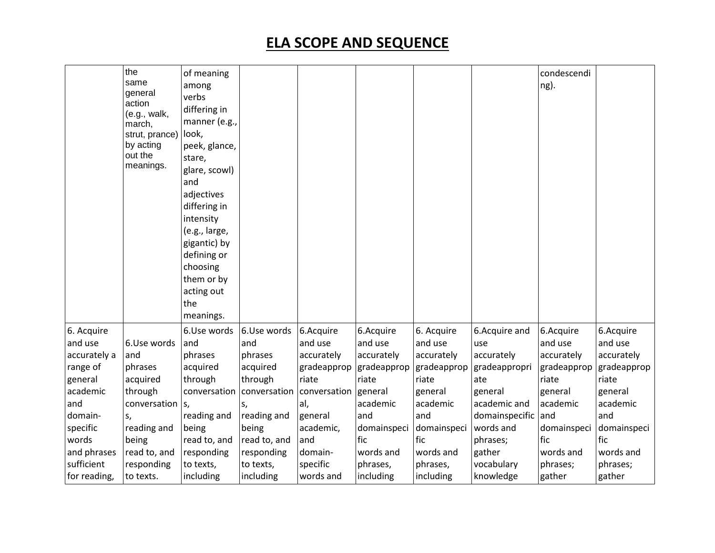| same<br>ng).<br>among<br>general<br>verbs<br>action<br>differing in<br>(e.g., walk,<br>manner (e.g.,<br>march,<br>look,<br>strut, prance)<br>by acting<br>peek, glance,<br>out the<br>stare,<br>meanings.<br>glare, scowl)<br>and<br>adjectives<br>differing in<br>intensity<br>(e.g., large,<br>gigantic) by<br>defining or<br>choosing<br>them or by<br>acting out<br>the |                     |
|-----------------------------------------------------------------------------------------------------------------------------------------------------------------------------------------------------------------------------------------------------------------------------------------------------------------------------------------------------------------------------|---------------------|
| meanings.                                                                                                                                                                                                                                                                                                                                                                   |                     |
| 6. Acquire<br>6.Use words<br>6.Acquire<br>6.Acquire<br>6.Use words<br>6.Acquire<br>6. Acquire<br>6.Acquire and                                                                                                                                                                                                                                                              | 6.Acquire           |
| and use<br>and use<br>and use<br>and use<br>6.Use words<br>and<br>and<br>and use<br>use                                                                                                                                                                                                                                                                                     | and use             |
| accurately<br>accurately<br>accurately<br>accurately<br>accurately a<br>and<br>phrases<br>phrases<br>accurately                                                                                                                                                                                                                                                             | accurately          |
| range of<br>acquired<br>gradeapprop<br>gradeapprop<br>gradeapprop<br>gradeappropri<br>gradeapprop<br>phrases<br>acquired<br>through<br>through<br>riate<br>riate<br>riate<br>acquired<br>riate<br>ate<br>riate                                                                                                                                                              | gradeapprop         |
| general<br>academic<br>through<br>conversation<br>conversation<br>conversation                                                                                                                                                                                                                                                                                              |                     |
| general<br>general<br>general<br>general<br>academic<br>academic and<br>and<br>al,<br>academic<br>academic<br>conversation                                                                                                                                                                                                                                                  | general<br>academic |
| s,<br>S,<br>and<br>and<br>domainspecific<br>and<br>domain-<br>reading and<br>reading and<br>general<br>and<br>S,                                                                                                                                                                                                                                                            |                     |
| words and<br>specific<br>reading and<br>being<br>being<br>academic,<br>domainspeci<br>domainspeci<br>domainspeci                                                                                                                                                                                                                                                            | domainspeci         |
| fic<br>fic<br>fic<br>fic<br>words<br>being<br>read to, and<br>read to, and<br>and<br>phrases;                                                                                                                                                                                                                                                                               |                     |
| and phrases<br>read to, and<br>words and<br>gather<br>words and<br>responding<br>responding<br>domain-<br>words and                                                                                                                                                                                                                                                         | words and           |
| sufficient<br>specific<br>vocabulary<br>responding<br>to texts,<br>to texts,<br>phrases,<br>phrases,<br>phrases;                                                                                                                                                                                                                                                            | phrases;            |
| for reading,<br>including<br>including<br>words and<br>including<br>including<br>knowledge<br>gather<br>gather<br>to texts.                                                                                                                                                                                                                                                 |                     |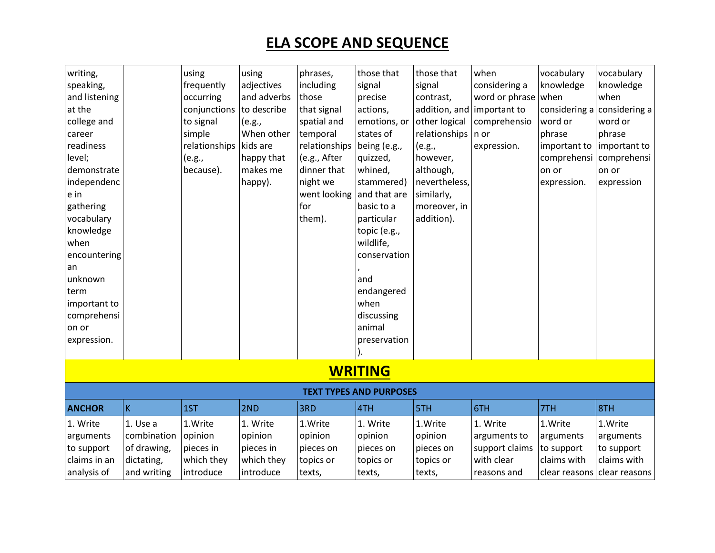| writing,<br>speaking,<br>and listening<br>at the<br>college and<br>career<br>readiness<br>level;<br>demonstrate<br>independenc<br>e in<br>gathering<br>vocabulary<br>knowledge<br>when<br>encountering |                                | using<br>frequently<br>occurring<br>conjunctions<br>to signal<br>simple<br>relationships<br>(e.g.,<br>because). | using<br>adjectives<br>and adverbs<br>to describe<br>(e.g.,<br>When other<br>kids are<br>happy that<br>makes me<br>happy). | phrases,<br>including<br>those<br>that signal<br>spatial and<br>temporal<br>relationships<br>(e.g., After<br>dinner that<br>night we<br>went looking<br>for<br>them). | those that<br>signal<br>precise<br>actions,<br>emotions, or<br>states of<br>being (e.g.,<br>quizzed,<br>whined,<br>stammered)<br>and that are<br>basic to a<br>particular<br>topic (e.g.,<br>wildlife,<br>conservation | those that<br>signal<br>contrast,<br>addition, and important to<br>other logical<br>relationships<br>(e.g.,<br>however,<br>although,<br>nevertheless,<br>similarly,<br>moreover, in<br>addition). | when<br>considering a<br>word or phrase<br>comprehensio<br>n or<br>expression. | vocabulary<br>knowledge<br>when<br>considering a<br>word or<br>phrase<br>important to<br>comprehensi<br>on or<br>expression. | vocabulary<br>knowledge<br>when<br>considering a<br>word or<br>phrase<br>important to<br>comprehensi<br>on or<br>expression |  |  |
|--------------------------------------------------------------------------------------------------------------------------------------------------------------------------------------------------------|--------------------------------|-----------------------------------------------------------------------------------------------------------------|----------------------------------------------------------------------------------------------------------------------------|-----------------------------------------------------------------------------------------------------------------------------------------------------------------------|------------------------------------------------------------------------------------------------------------------------------------------------------------------------------------------------------------------------|---------------------------------------------------------------------------------------------------------------------------------------------------------------------------------------------------|--------------------------------------------------------------------------------|------------------------------------------------------------------------------------------------------------------------------|-----------------------------------------------------------------------------------------------------------------------------|--|--|
| an                                                                                                                                                                                                     |                                |                                                                                                                 |                                                                                                                            |                                                                                                                                                                       |                                                                                                                                                                                                                        |                                                                                                                                                                                                   |                                                                                |                                                                                                                              |                                                                                                                             |  |  |
| unknown                                                                                                                                                                                                |                                |                                                                                                                 |                                                                                                                            |                                                                                                                                                                       | and                                                                                                                                                                                                                    |                                                                                                                                                                                                   |                                                                                |                                                                                                                              |                                                                                                                             |  |  |
| term<br>important to                                                                                                                                                                                   |                                |                                                                                                                 |                                                                                                                            |                                                                                                                                                                       | endangered<br>when                                                                                                                                                                                                     |                                                                                                                                                                                                   |                                                                                |                                                                                                                              |                                                                                                                             |  |  |
| comprehensi                                                                                                                                                                                            |                                |                                                                                                                 |                                                                                                                            |                                                                                                                                                                       | discussing                                                                                                                                                                                                             |                                                                                                                                                                                                   |                                                                                |                                                                                                                              |                                                                                                                             |  |  |
| on or                                                                                                                                                                                                  |                                |                                                                                                                 |                                                                                                                            |                                                                                                                                                                       | animal                                                                                                                                                                                                                 |                                                                                                                                                                                                   |                                                                                |                                                                                                                              |                                                                                                                             |  |  |
| expression.                                                                                                                                                                                            |                                |                                                                                                                 |                                                                                                                            |                                                                                                                                                                       | preservation                                                                                                                                                                                                           |                                                                                                                                                                                                   |                                                                                |                                                                                                                              |                                                                                                                             |  |  |
|                                                                                                                                                                                                        |                                |                                                                                                                 |                                                                                                                            |                                                                                                                                                                       |                                                                                                                                                                                                                        |                                                                                                                                                                                                   |                                                                                |                                                                                                                              |                                                                                                                             |  |  |
|                                                                                                                                                                                                        |                                |                                                                                                                 |                                                                                                                            |                                                                                                                                                                       | <b>WRITING</b>                                                                                                                                                                                                         |                                                                                                                                                                                                   |                                                                                |                                                                                                                              |                                                                                                                             |  |  |
|                                                                                                                                                                                                        | <b>TEXT TYPES AND PURPOSES</b> |                                                                                                                 |                                                                                                                            |                                                                                                                                                                       |                                                                                                                                                                                                                        |                                                                                                                                                                                                   |                                                                                |                                                                                                                              |                                                                                                                             |  |  |
| <b>ANCHOR</b>                                                                                                                                                                                          | K                              | 1ST                                                                                                             | 2ND                                                                                                                        | 3RD                                                                                                                                                                   | 4TH                                                                                                                                                                                                                    | 5TH                                                                                                                                                                                               | 6TH                                                                            | 7TH                                                                                                                          | 18TH                                                                                                                        |  |  |
| 1. Write                                                                                                                                                                                               | 1. Use a                       | 1.Write                                                                                                         | 1. Write                                                                                                                   | 1.Write                                                                                                                                                               | 1. Write                                                                                                                                                                                                               | 1.Write                                                                                                                                                                                           | 1. Write                                                                       | 1.Write                                                                                                                      | 1.Write                                                                                                                     |  |  |
| arguments                                                                                                                                                                                              | combination                    | opinion                                                                                                         | opinion                                                                                                                    | opinion                                                                                                                                                               | opinion                                                                                                                                                                                                                | opinion                                                                                                                                                                                           | arguments to                                                                   | arguments                                                                                                                    | arguments                                                                                                                   |  |  |
| to support                                                                                                                                                                                             | of drawing,                    | pieces in                                                                                                       | pieces in                                                                                                                  | pieces on                                                                                                                                                             | pieces on                                                                                                                                                                                                              | pieces on                                                                                                                                                                                         | support claims                                                                 | to support                                                                                                                   | to support                                                                                                                  |  |  |
| claims in an                                                                                                                                                                                           | dictating,                     | which they                                                                                                      | which they                                                                                                                 | topics or                                                                                                                                                             | topics or                                                                                                                                                                                                              | topics or                                                                                                                                                                                         | with clear                                                                     | claims with                                                                                                                  | claims with                                                                                                                 |  |  |
| analysis of                                                                                                                                                                                            | and writing                    | introduce                                                                                                       | introduce                                                                                                                  | texts,                                                                                                                                                                | texts,                                                                                                                                                                                                                 | texts,                                                                                                                                                                                            | reasons and                                                                    | clear reasons clear reasons                                                                                                  |                                                                                                                             |  |  |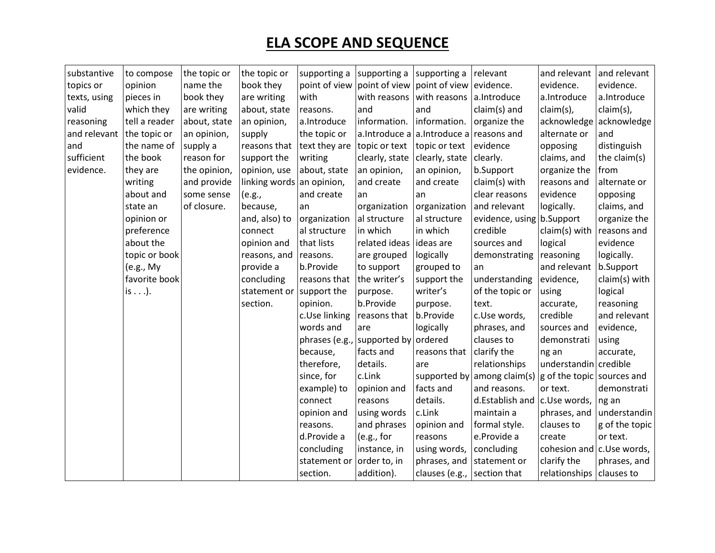| substantive  | to compose     | the topic or | the topic or              | supporting a              | supporting a                                        | supporting a relevant                         |                                                           | and relevant                  | and relevant   |
|--------------|----------------|--------------|---------------------------|---------------------------|-----------------------------------------------------|-----------------------------------------------|-----------------------------------------------------------|-------------------------------|----------------|
| topics or    | opinion        | name the     | book they                 |                           | point of view point of view point of view evidence. |                                               |                                                           | evidence.                     | evidence.      |
| texts, using | pieces in      | book they    | are writing               | with                      | with reasons                                        | with reasons a.Introduce                      |                                                           | a.Introduce                   | a.Introduce    |
| valid        | which they     | are writing  | about, state              | reasons.                  | and                                                 | and                                           | claim(s) and                                              | claim(s),                     | claim(s),      |
| reasoning    | tell a reader  | about, state | an opinion,               | a.Introduce               | information.                                        | information.                                  | organize the                                              | acknowledge                   | acknowledge    |
| and relevant | the topic or   | an opinion,  | supply                    | the topic or              |                                                     | a. Introduce a $ $ a. Introduce a reasons and |                                                           | alternate or                  | and            |
| and          | the name of    | supply a     | reasons that              | text they are             | topic or text                                       | topic or text                                 | evidence                                                  | opposing                      | distinguish    |
| sufficient   | the book       | reason for   | support the               | writing                   | clearly, state                                      | clearly, state                                | clearly.                                                  | claims, and                   | the claim(s)   |
| evidence.    | they are       | the opinion, | opinion, use              | about, state              | an opinion,                                         | an opinion,                                   | b.Support                                                 | organize the                  | from           |
|              | writing        | and provide  | linking words an opinion, |                           | and create                                          | and create                                    | claim(s) with                                             | reasons and                   | alternate or   |
|              | about and      | some sense   | (e.g.,                    | and create                | an                                                  | an                                            | clear reasons                                             | evidence                      | opposing       |
|              | state an       | of closure.  | because,                  | an                        | organization                                        | organization                                  | and relevant                                              | logically.                    | claims, and    |
|              | opinion or     |              | and, also) to             | organization              | al structure                                        | al structure                                  | evidence, using b.Support                                 |                               | organize the   |
|              | preference     |              | connect                   | al structure              | in which                                            | in which                                      | credible                                                  | claim(s) with                 | reasons and    |
|              | about the      |              | opinion and               | that lists                | related ideas                                       | ideas are                                     | sources and                                               | logical                       | evidence       |
|              | topic or book  |              | reasons, and              | reasons.                  | are grouped                                         | logically                                     | demonstrating                                             | reasoning                     | logically.     |
|              | (e.g., My      |              | provide a                 | b.Provide                 | to support                                          | grouped to                                    | an                                                        | and relevant                  | b.Support      |
|              | favorite book  |              | concluding                | reasons that              | the writer's                                        | support the                                   | understanding                                             | evidence,                     | claim(s) with  |
|              | is $\ldots$ ). |              | statement or              | support the               | purpose.                                            | writer's                                      | of the topic or                                           | using                         | logical        |
|              |                |              | section.                  | opinion.                  | b.Provide                                           | purpose.                                      | text.                                                     | accurate,                     | reasoning      |
|              |                |              |                           | c.Use linking             | reasons that                                        | b.Provide                                     | c.Use words,                                              | credible                      | and relevant   |
|              |                |              |                           | words and                 | are                                                 | logically                                     | phrases, and                                              | sources and                   | evidence,      |
|              |                |              |                           | phrases (e.g.,            | supported by                                        | ordered                                       | clauses to                                                | demonstrati                   | using          |
|              |                |              |                           | because,                  | facts and                                           | reasons that                                  | clarify the                                               | ng an                         | accurate,      |
|              |                |              |                           | therefore,                | details.                                            | are                                           | relationships                                             | understandin credible         |                |
|              |                |              |                           | since, for                | c.Link                                              |                                               | supported by among claim(s) $ g$ of the topic sources and |                               |                |
|              |                |              |                           | example) to               | opinion and                                         | facts and                                     | and reasons.                                              | or text.                      | demonstrati    |
|              |                |              |                           | connect                   | reasons                                             | details.                                      | d.Establish and   c.Use words,                            |                               | ng an          |
|              |                |              |                           | opinion and               | using words                                         | c.Link                                        | maintain a                                                | phrases, and                  | understandin   |
|              |                |              |                           | reasons.                  | and phrases                                         | opinion and                                   | formal style.                                             | clauses to                    | g of the topic |
|              |                |              |                           | d.Provide a               | (e.g., for                                          | reasons                                       | e.Provide a                                               | create                        | or text.       |
|              |                |              |                           | concluding                | instance, in                                        | using words,                                  | concluding                                                | cohesion and $c$ . Use words, |                |
|              |                |              |                           | statement or order to, in |                                                     | phrases, and                                  | statement or                                              | clarify the                   | phrases, and   |
|              |                |              |                           | section.                  | addition).                                          | clauses (e.g., section that                   |                                                           | relationships                 | clauses to     |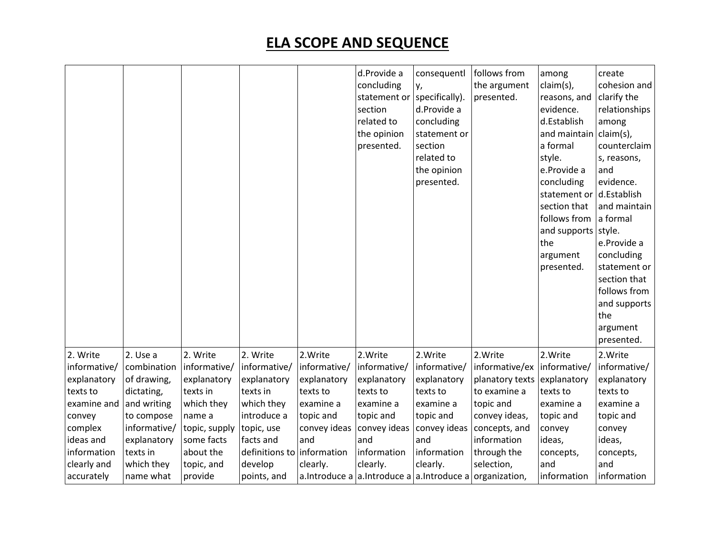|                            |                            |                             |                            |                     | d.Provide a<br>concluding<br>statement or<br>section<br>related to<br>the opinion<br>presented. | consequentl<br>у,<br>specifically).<br>d.Provide a<br>concluding<br>statement or<br>section<br>related to<br>the opinion<br>presented. | follows from<br>the argument<br>presented. | among<br>claim(s),<br>reasons, and<br>evidence.<br>d.Establish<br>and maintain<br>a formal<br>style.<br>e.Provide a<br>concluding<br>statement or<br>section that<br>follows from<br>and supports<br>the<br>argument<br>presented. | create<br>cohesion and<br>clarify the<br>relationships<br>among<br>claim(s),<br>counterclaim<br>s, reasons,<br>and<br>evidence.<br>d.Establish<br>and maintain<br>a formal<br>style.<br>e.Provide a<br>concluding<br>statement or<br>section that<br>follows from<br>and supports<br>the<br>argument<br>presented. |
|----------------------------|----------------------------|-----------------------------|----------------------------|---------------------|-------------------------------------------------------------------------------------------------|----------------------------------------------------------------------------------------------------------------------------------------|--------------------------------------------|------------------------------------------------------------------------------------------------------------------------------------------------------------------------------------------------------------------------------------|--------------------------------------------------------------------------------------------------------------------------------------------------------------------------------------------------------------------------------------------------------------------------------------------------------------------|
| 2. Write                   | 2. Use a                   | 2. Write                    | 2. Write                   | 2. Write            | 2. Write                                                                                        | 2. Write                                                                                                                               | 2. Write                                   | 2. Write                                                                                                                                                                                                                           | 2. Write                                                                                                                                                                                                                                                                                                           |
| informative/               | combination                | informative/                | informative/               | informative/        | informative/                                                                                    | informative/                                                                                                                           | informative/ex   informative/              |                                                                                                                                                                                                                                    | informative/                                                                                                                                                                                                                                                                                                       |
| explanatory                | of drawing,                | explanatory                 | explanatory                | explanatory         | explanatory                                                                                     | explanatory                                                                                                                            | planatory texts explanatory                |                                                                                                                                                                                                                                    | explanatory                                                                                                                                                                                                                                                                                                        |
| texts to                   | dictating,                 | texts in                    | texts in                   | texts to            | texts to                                                                                        | texts to                                                                                                                               | to examine a                               | texts to                                                                                                                                                                                                                           | texts to                                                                                                                                                                                                                                                                                                           |
| examine and                | and writing                | which they                  | which they                 | examine a           | examine a                                                                                       | examine a                                                                                                                              | topic and                                  | examine a                                                                                                                                                                                                                          | examine a                                                                                                                                                                                                                                                                                                          |
| convey                     | to compose<br>informative/ | name a                      | introduce a                | topic and           | topic and                                                                                       | topic and                                                                                                                              | convey ideas,                              | topic and                                                                                                                                                                                                                          | topic and                                                                                                                                                                                                                                                                                                          |
| complex<br>ideas and       | explanatory                | topic, supply<br>some facts | topic, use<br>facts and    | convey ideas<br>and | convey ideas<br>and                                                                             | convey ideas<br>and                                                                                                                    | concepts, and<br>information               | convey<br>ideas,                                                                                                                                                                                                                   | convey<br>ideas,                                                                                                                                                                                                                                                                                                   |
|                            |                            |                             | definitions to information |                     |                                                                                                 |                                                                                                                                        |                                            |                                                                                                                                                                                                                                    |                                                                                                                                                                                                                                                                                                                    |
| information<br>clearly and | texts in<br>which they     | about the                   | develop                    | clearly.            | information<br>clearly.                                                                         | information<br>clearly.                                                                                                                | through the<br>selection,                  | concepts,<br>and                                                                                                                                                                                                                   | concepts,<br>and                                                                                                                                                                                                                                                                                                   |
|                            | name what                  | topic, and                  |                            |                     |                                                                                                 | a. Introduce a a. Introduce a a. Introduce a organization,                                                                             |                                            | information                                                                                                                                                                                                                        | information                                                                                                                                                                                                                                                                                                        |
| accurately                 |                            | provide                     | points, and                |                     |                                                                                                 |                                                                                                                                        |                                            |                                                                                                                                                                                                                                    |                                                                                                                                                                                                                                                                                                                    |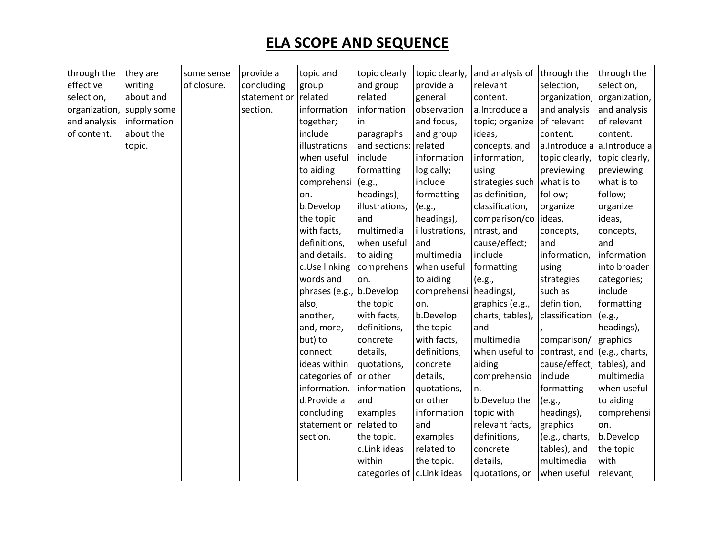| through the   | they are    | some sense  | provide a    | topic and                | topic clearly                 | topic clearly, | and analysis of   through the |                                | through the                   |
|---------------|-------------|-------------|--------------|--------------------------|-------------------------------|----------------|-------------------------------|--------------------------------|-------------------------------|
| effective     | writing     | of closure. | concluding   | group                    | and group                     | provide a      | relevant                      | selection,                     | selection,                    |
| selection,    | about and   |             | statement or | related                  | related                       | general        | content.                      | organization,                  | organization,                 |
| organization, | supply some |             | section.     | information              | information                   | observation    | a.Introduce a                 | and analysis                   | and analysis                  |
| and analysis  | information |             |              | together;                | in                            | and focus,     | topic; organize               | of relevant                    | of relevant                   |
| of content.   | about the   |             |              | include                  | paragraphs                    | and group      | ideas,                        | content.                       | content.                      |
|               | topic.      |             |              | illustrations            | and sections;                 | related        | concepts, and                 |                                | a. Introduce a a. Introduce a |
|               |             |             |              | when useful              | include                       | information    | information,                  | topic clearly,                 | topic clearly,                |
|               |             |             |              | to aiding                | formatting                    | logically;     | using                         | previewing                     | previewing                    |
|               |             |             |              | comprehensi (e.g.,       |                               | include        | strategies such               | what is to                     | what is to                    |
|               |             |             |              | on.                      | headings),                    | formatting     | as definition,                | follow;                        | follow;                       |
|               |             |             |              | b.Develop                | illustrations,                | (e.g.,         | classification,               | organize                       | organize                      |
|               |             |             |              | the topic                | and                           | headings),     | comparison/co                 | ideas,                         | ideas,                        |
|               |             |             |              | with facts,              | multimedia                    | illustrations, | ntrast, and                   | concepts,                      | concepts,                     |
|               |             |             |              | definitions,             | when useful                   | and            | cause/effect;                 | and                            | and                           |
|               |             |             |              | and details.             | to aiding                     | multimedia     | include                       | information,                   | information                   |
|               |             |             |              | c.Use linking            | comprehensi                   | when useful    | formatting                    | using                          | into broader                  |
|               |             |             |              | words and                | on.                           | to aiding      | (e.g.,                        | strategies                     | categories;                   |
|               |             |             |              | phrases (e.g., b.Develop |                               | comprehensi    | headings),                    | such as                        | include                       |
|               |             |             |              | also,                    | the topic                     | on.            | graphics (e.g.,               | definition,                    | formatting                    |
|               |             |             |              | another,                 | with facts,                   | b.Develop      | charts, tables),              | classification                 | (e.g.,                        |
|               |             |             |              | and, more,               | definitions,                  | the topic      | and                           |                                | headings),                    |
|               |             |             |              | but) to                  | concrete                      | with facts,    | multimedia                    | comparison/                    | graphics                      |
|               |             |             |              | connect                  | details,                      | definitions,   | when useful to                | contrast, and $(e.g., charts,$ |                               |
|               |             |             |              | ideas within             | quotations,                   | concrete       | aiding                        | cause/effect;                  | tables), and                  |
|               |             |             |              | categories of or other   |                               | details,       | comprehensio                  | include                        | multimedia                    |
|               |             |             |              | information.             | information                   | quotations,    | n.                            | formatting                     | when useful                   |
|               |             |             |              | d.Provide a              | and                           | or other       | b.Develop the                 | (e.g.,                         | to aiding                     |
|               |             |             |              | concluding               | examples                      | information    | topic with                    | headings),                     | comprehensi                   |
|               |             |             |              | statement or related to  |                               | and            | relevant facts,               | graphics                       | on.                           |
|               |             |             |              | section.                 | the topic.                    | examples       | definitions,                  | (e.g., charts,                 | b.Develop                     |
|               |             |             |              |                          | c.Link ideas                  | related to     | concrete                      | tables), and                   | the topic                     |
|               |             |             |              |                          | within                        | the topic.     | details,                      | multimedia                     | with                          |
|               |             |             |              |                          | categories of $ c.Link$ ideas |                | quotations, or                | when useful                    | relevant,                     |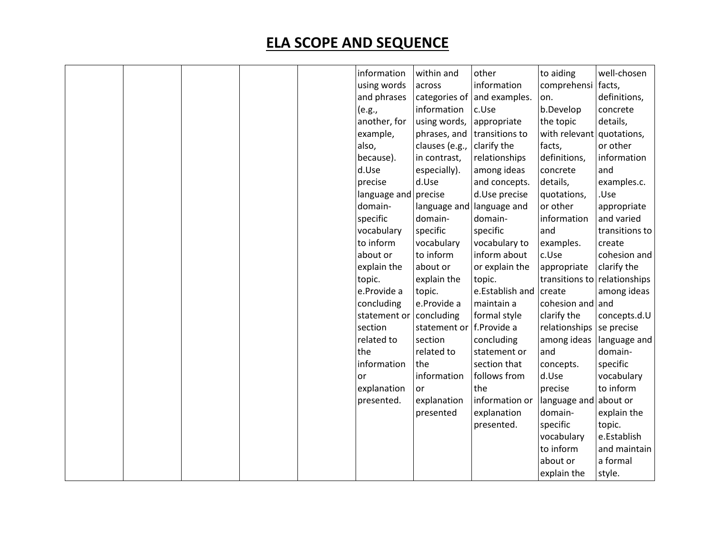|  |  | information  | within and               | other                           | to aiding                    | well-chosen    |
|--|--|--------------|--------------------------|---------------------------------|------------------------------|----------------|
|  |  | using words  | across                   | information                     | comprehensi facts,           |                |
|  |  | and phrases  |                          | categories of $ $ and examples. | on.                          | definitions,   |
|  |  | (e.g.,       | information              | c.Use                           | b.Develop                    | concrete       |
|  |  | another, for | using words,             | appropriate                     | the topic                    | details,       |
|  |  | example,     | phrases, and             | transitions to                  | with relevant                | quotations,    |
|  |  | also,        | clauses (e.g.,           | clarify the                     | facts,                       | or other       |
|  |  | because).    | in contrast,             | relationships                   | definitions,                 | information    |
|  |  | d.Use        | especially).             | among ideas                     | concrete                     | and            |
|  |  | precise      | d.Use                    | and concepts.                   | details,                     | examples.c.    |
|  |  | language and | precise                  | d.Use precise                   | quotations,                  | .Use           |
|  |  | domain-      | language and             | language and                    | or other                     | appropriate    |
|  |  | specific     | domain-                  | domain-                         | information                  | and varied     |
|  |  | vocabulary   | specific                 | specific                        | and                          | transitions to |
|  |  | to inform    | vocabulary               | vocabulary to                   | examples.                    | create         |
|  |  | about or     | to inform                | inform about                    | c.Use                        | cohesion and   |
|  |  | explain the  | about or                 | or explain the                  | appropriate                  | clarify the    |
|  |  | topic.       | explain the              | topic.                          | transitions to relationships |                |
|  |  | e.Provide a  | topic.                   | e.Establish and create          |                              | among ideas    |
|  |  | concluding   | e.Provide a              | maintain a                      | cohesion and and             |                |
|  |  | statement or | concluding               | formal style                    | clarify the                  | concepts.d.U   |
|  |  | section      | statement or f.Provide a |                                 | relationships                | se precise     |
|  |  | related to   | section                  | concluding                      | among ideas                  | language and   |
|  |  | the          | related to               | statement or                    | and                          | domain-        |
|  |  | information  | the                      | section that                    | concepts.                    | specific       |
|  |  | or           | information              | follows from                    | d.Use                        | vocabulary     |
|  |  | explanation  | <b>or</b>                | the                             | precise                      | to inform      |
|  |  | presented.   | explanation              | information or                  | language and                 | about or       |
|  |  |              | presented                | explanation                     | domain-                      | explain the    |
|  |  |              |                          | presented.                      | specific                     | topic.         |
|  |  |              |                          |                                 | vocabulary                   | e.Establish    |
|  |  |              |                          |                                 | to inform                    | and maintain   |
|  |  |              |                          |                                 | about or                     | a formal       |
|  |  |              |                          |                                 | explain the                  | style.         |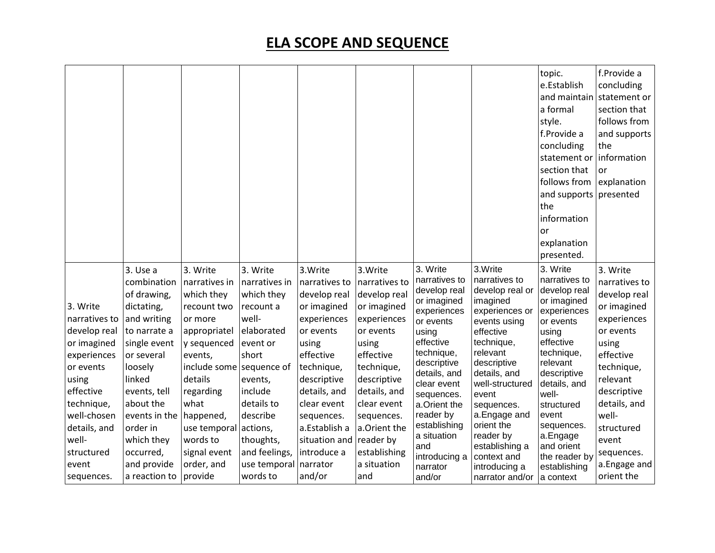|                                                                                                                                                                                                       |                                                                                                                                                                                                                                                             |                                                                                                                                                                                                                                                                    |                                                                                                                                                                                                                     |                                                                                                                                                                                                                                                           |                                                                                                                                                                                                                                            |                                                                                                                                                                                                                                                                                                |                                                                                                                                                                                                                                                                                                                            | topic.<br>e.Establish<br>and maintain<br>a formal<br>style.<br>f.Provide a<br>concluding<br>statement or<br>section that<br>follows from<br>and supports presented<br>the<br>information<br>or<br>explanation<br>presented.                                                               | f.Provide a<br>concluding<br>statement or<br>section that<br>follows from<br>and supports<br>the<br>information<br>or<br>explanation                                                                                                             |
|-------------------------------------------------------------------------------------------------------------------------------------------------------------------------------------------------------|-------------------------------------------------------------------------------------------------------------------------------------------------------------------------------------------------------------------------------------------------------------|--------------------------------------------------------------------------------------------------------------------------------------------------------------------------------------------------------------------------------------------------------------------|---------------------------------------------------------------------------------------------------------------------------------------------------------------------------------------------------------------------|-----------------------------------------------------------------------------------------------------------------------------------------------------------------------------------------------------------------------------------------------------------|--------------------------------------------------------------------------------------------------------------------------------------------------------------------------------------------------------------------------------------------|------------------------------------------------------------------------------------------------------------------------------------------------------------------------------------------------------------------------------------------------------------------------------------------------|----------------------------------------------------------------------------------------------------------------------------------------------------------------------------------------------------------------------------------------------------------------------------------------------------------------------------|-------------------------------------------------------------------------------------------------------------------------------------------------------------------------------------------------------------------------------------------------------------------------------------------|--------------------------------------------------------------------------------------------------------------------------------------------------------------------------------------------------------------------------------------------------|
| 3. Write<br>narratives to<br>develop real<br>or imagined<br>experiences<br>or events<br>using<br>effective<br>technique,<br>well-chosen<br>details, and<br>well-<br>structured<br>event<br>sequences. | 3. Use a<br>combination<br>of drawing,<br>dictating,<br>and writing<br>to narrate a<br>single event<br>or several<br>loosely<br>linked<br>events, tell<br>about the<br>events in the<br>order in<br>which they<br>occurred,<br>and provide<br>a reaction to | 3. Write<br>narratives in<br>which they<br>recount two<br>or more<br>appropriatel<br>y sequenced<br>events,<br>include some sequence of<br>details<br>regarding<br>what<br>happened,<br>use temporal actions,<br>words to<br>signal event<br>order, and<br>provide | 3. Write<br>narratives in<br>which they<br>recount a<br>well-<br>elaborated<br>event or<br>short<br>events,<br>include<br>details to<br>describe<br>thoughts,<br>and feelings,<br>use temporal narrator<br>words to | 3. Write<br>narratives to<br>develop real<br>or imagined<br>experiences<br>or events<br>using<br>effective<br>technique,<br>descriptive<br>details, and<br>clear event<br>sequences.<br>a.Establish a<br>situation and reader by<br>introduce a<br>and/or | 3. Write<br>narratives to<br>develop real<br>or imagined<br>experiences<br>or events<br>using<br>effective<br>technique,<br>descriptive<br>details, and<br>clear event<br>sequences.<br>a.Orient the<br>establishing<br>a situation<br>and | 3. Write<br>narratives to<br>develop real<br>or imagined<br>experiences<br>or events<br>using<br>effective<br>technique,<br>descriptive<br>details, and<br>clear event<br>sequences.<br>a.Orient the<br>reader by<br>establishing<br>a situation<br>and<br>introducing a<br>narrator<br>and/or | 3.Write<br>narratives to<br>develop real or<br>imagined<br>experiences or<br>events using<br>effective<br>technique,<br>relevant<br>descriptive<br>details, and<br>well-structured<br>event<br>sequences.<br>a. Engage and<br>orient the<br>reader by<br>establishing a<br>context and<br>introducing a<br>narrator and/or | 3. Write<br>narratives to<br>develop real<br>or imagined<br>experiences<br>or events<br>using<br>effective<br>technique,<br>relevant<br>descriptive<br>details, and<br>well-<br>structured<br>event<br>sequences.<br>a.Engage<br>and orient<br>the reader by<br>establishing<br>a context | 3. Write<br>narratives to<br>develop real<br>or imagined<br>experiences<br>or events<br>using<br>effective<br>technique,<br>relevant<br>descriptive<br>details, and<br>well-<br>structured<br>event<br>sequences.<br>a. Engage and<br>orient the |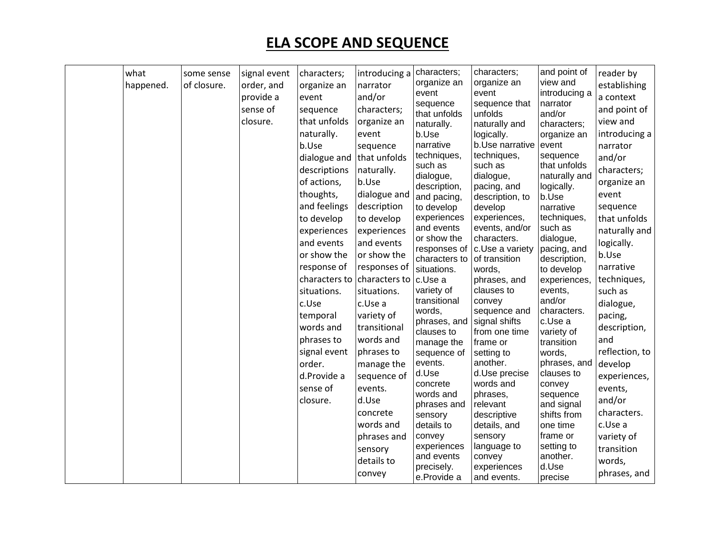| what<br>happened. | some sense<br>of closure. | signal event<br>order, and<br>provide a<br>sense of<br>closure. | characters;<br>organize an<br>event<br>sequence<br>that unfolds<br>naturally.<br>b.Use<br>dialogue and that unfolds<br>descriptions<br>of actions,<br>thoughts,<br>and feelings<br>to develop<br>experiences<br>and events<br>or show the<br>response of<br>situations.<br>c.Use<br>temporal<br>words and<br>phrases to<br>signal event<br>order.<br>d.Provide a<br>sense of<br>closure. | introducing a<br>narrator<br>and/or<br>characters;<br>organize an<br>event<br>sequence<br>naturally.<br>b.Use<br>dialogue and<br>description<br>to develop<br>experiences<br>and events<br>or show the<br>responses of<br>characters to characters to<br>situations.<br>c.Use a<br>variety of<br>transitional<br>words and<br>phrases to<br>manage the<br>sequence of<br>events.<br>d.Use<br>concrete<br>words and<br>phrases and<br>sensory<br>details to<br>convey | characters;<br>organize an<br>event<br>sequence<br>that unfolds<br>naturally.<br>b.Use<br>narrative<br>techniques,<br>such as<br>dialogue,<br>description,<br>and pacing,<br>to develop<br>experiences<br>and events<br>or show the<br>responses of<br>characters to<br>situations.<br>c.Use a<br>variety of<br>transitional<br>words,<br>phrases, and<br>clauses to<br>manage the<br>sequence of<br>events.<br>d.Use<br>concrete<br>words and<br>phrases and<br>sensory<br>details to<br>convey<br>experiences<br>and events<br>precisely.<br>e.Provide a | characters;<br>organize an<br>event<br>sequence that<br>unfolds<br>naturally and<br>logically.<br>b.Use narrative<br>techniques,<br>such as<br>dialogue,<br>pacing, and<br>description, to<br>develop<br>experiences,<br>events, and/or<br>characters.<br>c.Use a variety<br>of transition<br>words.<br>phrases, and<br>clauses to<br>convey<br>sequence and<br>signal shifts<br>from one time<br>frame or<br>setting to<br>another.<br>d.Use precise<br>words and<br>phrases,<br>relevant<br>descriptive<br>details, and<br>sensory<br>language to<br>convey<br>experiences<br>and events. | and point of<br>view and<br>introducing a<br>narrator<br>and/or<br>characters;<br>organize an<br>event<br>sequence<br>that unfolds<br>naturally and<br>logically.<br>b.Use<br>narrative<br>techniques,<br>such as<br>dialogue,<br>pacing, and<br>description,<br>to develop<br>experiences,<br>events,<br>and/or<br>characters.<br>c.Use a<br>variety of<br>transition<br>words,<br>phrases, and<br>clauses to<br>convey<br>sequence<br>and signal<br>shifts from<br>one time<br>frame or<br>setting to<br>another.<br>d.Use<br>precise | reader by<br>establishing<br>a context<br>and point of<br>view and<br>introducing a<br>narrator<br>and/or<br>characters;<br>organize an<br>event<br>sequence<br>that unfolds<br>naturally and<br>logically.<br>b.Use<br>narrative<br>techniques,<br>such as<br>dialogue,<br>pacing,<br>description,<br>and<br>reflection, to<br>develop<br>experiences,<br>events,<br>and/or<br>characters.<br>c.Use a<br>variety of<br>transition<br>words,<br>phrases, and |
|-------------------|---------------------------|-----------------------------------------------------------------|------------------------------------------------------------------------------------------------------------------------------------------------------------------------------------------------------------------------------------------------------------------------------------------------------------------------------------------------------------------------------------------|----------------------------------------------------------------------------------------------------------------------------------------------------------------------------------------------------------------------------------------------------------------------------------------------------------------------------------------------------------------------------------------------------------------------------------------------------------------------|------------------------------------------------------------------------------------------------------------------------------------------------------------------------------------------------------------------------------------------------------------------------------------------------------------------------------------------------------------------------------------------------------------------------------------------------------------------------------------------------------------------------------------------------------------|---------------------------------------------------------------------------------------------------------------------------------------------------------------------------------------------------------------------------------------------------------------------------------------------------------------------------------------------------------------------------------------------------------------------------------------------------------------------------------------------------------------------------------------------------------------------------------------------|-----------------------------------------------------------------------------------------------------------------------------------------------------------------------------------------------------------------------------------------------------------------------------------------------------------------------------------------------------------------------------------------------------------------------------------------------------------------------------------------------------------------------------------------|--------------------------------------------------------------------------------------------------------------------------------------------------------------------------------------------------------------------------------------------------------------------------------------------------------------------------------------------------------------------------------------------------------------------------------------------------------------|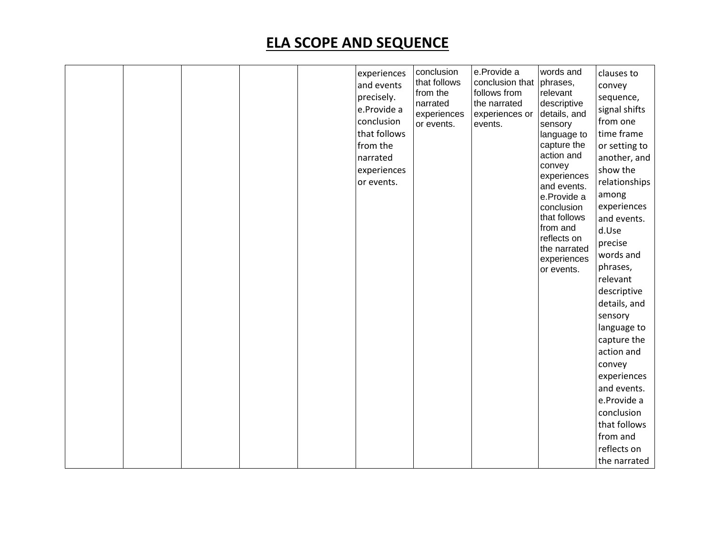|  |  | experiences<br>and events | conclusion<br>that follows | e.Provide a<br>conclusion that phrases, | words and                   | clauses to<br>convey       |
|--|--|---------------------------|----------------------------|-----------------------------------------|-----------------------------|----------------------------|
|  |  | precisely.<br>e.Provide a | from the<br>narrated       | follows from<br>the narrated            | relevant<br>descriptive     | sequence,<br>signal shifts |
|  |  | conclusion                | experiences<br>or events.  | experiences or<br>events.               | details, and<br>sensory     | from one                   |
|  |  | that follows              |                            |                                         | language to                 | time frame                 |
|  |  | from the                  |                            |                                         | capture the                 | or setting to              |
|  |  | narrated                  |                            |                                         | action and                  | another, and               |
|  |  | experiences               |                            |                                         | convey                      | show the                   |
|  |  | or events.                |                            |                                         | experiences<br>and events.  | relationships              |
|  |  |                           |                            |                                         | e.Provide a                 | among                      |
|  |  |                           |                            |                                         | conclusion                  | experiences                |
|  |  |                           |                            |                                         | that follows                | and events.                |
|  |  |                           |                            |                                         | from and                    | d.Use                      |
|  |  |                           |                            |                                         | reflects on<br>the narrated | precise                    |
|  |  |                           |                            |                                         | experiences                 | words and                  |
|  |  |                           |                            |                                         | or events.                  | phrases,                   |
|  |  |                           |                            |                                         |                             | relevant                   |
|  |  |                           |                            |                                         |                             | descriptive                |
|  |  |                           |                            |                                         |                             | details, and               |
|  |  |                           |                            |                                         |                             | sensory                    |
|  |  |                           |                            |                                         |                             | language to                |
|  |  |                           |                            |                                         |                             | capture the                |
|  |  |                           |                            |                                         |                             | action and                 |
|  |  |                           |                            |                                         |                             | convey                     |
|  |  |                           |                            |                                         |                             | experiences                |
|  |  |                           |                            |                                         |                             | and events.                |
|  |  |                           |                            |                                         |                             | e.Provide a                |
|  |  |                           |                            |                                         |                             | conclusion                 |
|  |  |                           |                            |                                         |                             | that follows               |
|  |  |                           |                            |                                         |                             | from and                   |
|  |  |                           |                            |                                         |                             | reflects on                |
|  |  |                           |                            |                                         |                             | the narrated               |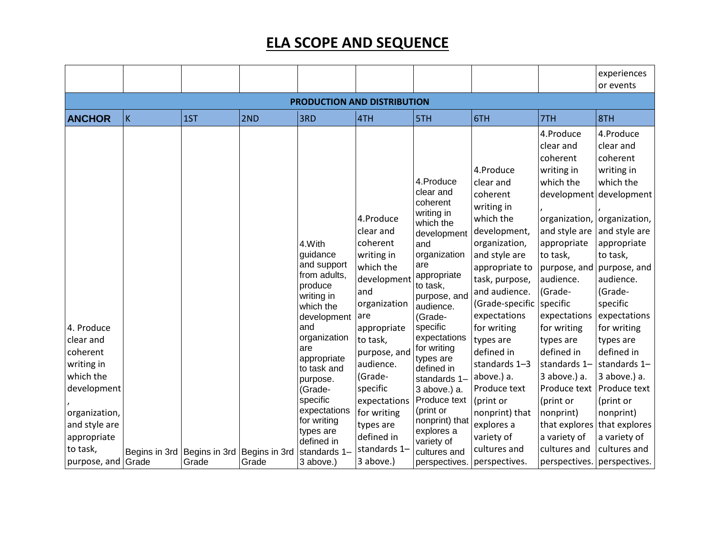|                                                                                                                                            |   |                             |               |                                                                                                                                                                                                                                                                                 |                                                                                                                                                                                                                                                                     |                                                                                                                                                                                                                                                                                                                                                                                |                                                                                                                                                                                                                                                                                                                                                                             |                                                                                                                                                                                                                                                                                                                                                                   | experiences<br>or events                                                                                                                                                                                                                                                                                                                                                                         |
|--------------------------------------------------------------------------------------------------------------------------------------------|---|-----------------------------|---------------|---------------------------------------------------------------------------------------------------------------------------------------------------------------------------------------------------------------------------------------------------------------------------------|---------------------------------------------------------------------------------------------------------------------------------------------------------------------------------------------------------------------------------------------------------------------|--------------------------------------------------------------------------------------------------------------------------------------------------------------------------------------------------------------------------------------------------------------------------------------------------------------------------------------------------------------------------------|-----------------------------------------------------------------------------------------------------------------------------------------------------------------------------------------------------------------------------------------------------------------------------------------------------------------------------------------------------------------------------|-------------------------------------------------------------------------------------------------------------------------------------------------------------------------------------------------------------------------------------------------------------------------------------------------------------------------------------------------------------------|--------------------------------------------------------------------------------------------------------------------------------------------------------------------------------------------------------------------------------------------------------------------------------------------------------------------------------------------------------------------------------------------------|
|                                                                                                                                            |   |                             |               | PRODUCTION AND DISTRIBUTION                                                                                                                                                                                                                                                     |                                                                                                                                                                                                                                                                     |                                                                                                                                                                                                                                                                                                                                                                                |                                                                                                                                                                                                                                                                                                                                                                             |                                                                                                                                                                                                                                                                                                                                                                   |                                                                                                                                                                                                                                                                                                                                                                                                  |
| <b>ANCHOR</b>                                                                                                                              | K | 1ST                         | 2ND           | 3RD                                                                                                                                                                                                                                                                             | 4TH                                                                                                                                                                                                                                                                 | 5TH                                                                                                                                                                                                                                                                                                                                                                            | 6TH                                                                                                                                                                                                                                                                                                                                                                         | 7TH                                                                                                                                                                                                                                                                                                                                                               | 8TH                                                                                                                                                                                                                                                                                                                                                                                              |
| 4. Produce<br>clear and<br>coherent<br>writing in<br>which the<br>development<br>organization,<br>and style are<br>appropriate<br>to task, |   | Begins in 3rd Begins in 3rd | Begins in 3rd | 4.With<br>guidance<br>and support<br>from adults,<br>produce<br>writing in<br>which the<br>development<br>and<br>organization<br>are<br>appropriate<br>to task and<br>purpose.<br>(Grade-<br>specific<br>expectations<br>for writing<br>types are<br>defined in<br>standards 1- | 4.Produce<br>clear and<br>coherent<br>writing in<br>which the<br>development<br>and<br>organization<br>are<br>appropriate<br>to task,<br>purpose, and<br>audience.<br>(Grade-<br>specific<br>expectations<br>for writing<br>types are<br>defined in<br>standards 1- | 4.Produce<br>clear and<br>coherent<br>writing in<br>which the<br>development<br>and<br>organization<br>are<br>appropriate<br>to task,<br>purpose, and<br>audience.<br>(Grade-<br>specific<br>expectations<br>for writing<br>types are<br>defined in<br>standards 1-<br>3 above.) a.<br>Produce text<br>(print or<br>nonprint) that<br>explores a<br>variety of<br>cultures and | 4.Produce<br>clear and<br>coherent<br>writing in<br>which the<br>development,<br>organization,<br>and style are<br>appropriate to<br>task, purpose,<br>and audience.<br>(Grade-specific<br>expectations<br>for writing<br>types are<br>defined in<br>standards 1-3<br>above.) a.<br>Produce text<br>(print or<br>nonprint) that<br>explores a<br>variety of<br>cultures and | 4.Produce<br>clear and<br>coherent<br>writing in<br>which the<br>development<br>and style are<br>appropriate<br>to task,<br>purpose, and<br>audience.<br>(Grade-<br>specific<br>expectations<br>for writing<br>types are<br>defined in<br>standards 1-<br>3 above.) a.<br>Produce text<br>(print or<br>nonprint)<br>that explores<br>a variety of<br>cultures and | 4.Produce<br>clear and<br>coherent<br>writing in<br>which the<br>development<br>organization, organization,<br>and style are<br>appropriate<br>to task,<br>purpose, and<br>audience.<br>(Grade-<br>specific<br>expectations<br>for writing<br>types are<br>defined in<br>standards 1-<br>3 above.) a.<br>Produce text<br>(print or<br>nonprint)<br>that explores<br>a variety of<br>cultures and |
| purpose, and Grade                                                                                                                         |   | Grade                       | Grade         | 3 above.)                                                                                                                                                                                                                                                                       | 3 above.)                                                                                                                                                                                                                                                           | perspectives.                                                                                                                                                                                                                                                                                                                                                                  | perspectives.                                                                                                                                                                                                                                                                                                                                                               |                                                                                                                                                                                                                                                                                                                                                                   | perspectives. perspectives.                                                                                                                                                                                                                                                                                                                                                                      |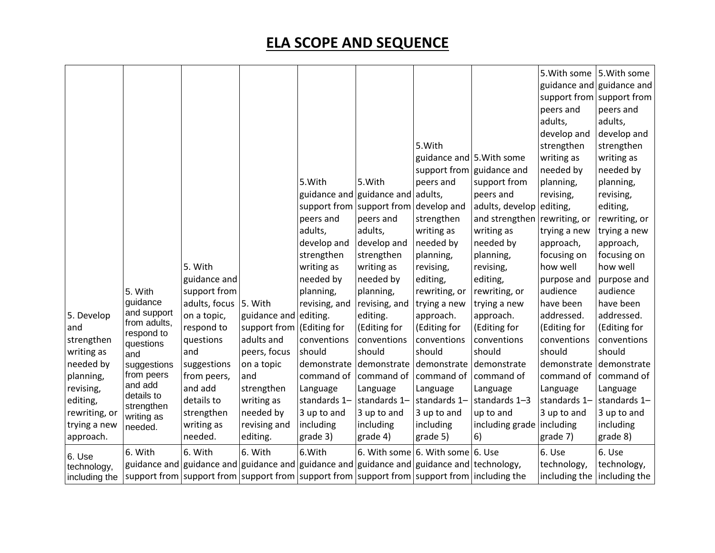|               |                             |               |                           |                         |                                   |                                                                                             |                              |              | 5. With some 5. With some   |
|---------------|-----------------------------|---------------|---------------------------|-------------------------|-----------------------------------|---------------------------------------------------------------------------------------------|------------------------------|--------------|-----------------------------|
|               |                             |               |                           |                         |                                   |                                                                                             |                              |              | guidance and guidance and   |
|               |                             |               |                           |                         |                                   |                                                                                             |                              |              | support from support from   |
|               |                             |               |                           |                         |                                   |                                                                                             |                              | peers and    | peers and                   |
|               |                             |               |                           |                         |                                   |                                                                                             |                              | adults,      | adults,                     |
|               |                             |               |                           |                         |                                   |                                                                                             |                              | develop and  | develop and                 |
|               |                             |               |                           |                         |                                   | 5. With                                                                                     |                              | strengthen   | strengthen                  |
|               |                             |               |                           |                         |                                   | guidance and 5. With some                                                                   |                              | writing as   | writing as                  |
|               |                             |               |                           |                         |                                   |                                                                                             |                              |              |                             |
|               |                             |               |                           |                         |                                   | support from guidance and                                                                   |                              | needed by    | needed by                   |
|               |                             |               |                           | 5. With                 | 5. With                           | peers and                                                                                   | support from                 | planning,    | planning,                   |
|               |                             |               |                           |                         | guidance and guidance and adults, |                                                                                             | peers and                    | revising,    | revising,                   |
|               |                             |               |                           |                         | support from support from         | develop and                                                                                 | adults, develop              | editing,     | editing,                    |
|               |                             |               |                           | peers and               | peers and                         | strengthen                                                                                  | and strengthen rewriting, or |              | rewriting, or               |
|               |                             |               |                           | adults,                 | adults,                           | writing as                                                                                  | writing as                   | trying a new | trying a new                |
|               |                             |               |                           | develop and             | develop and                       | needed by                                                                                   | needed by                    | approach,    | approach,                   |
|               |                             |               |                           | strengthen              | strengthen                        | planning,                                                                                   | planning,                    | focusing on  | focusing on                 |
|               |                             | 5. With       |                           | writing as              | writing as                        | revising,                                                                                   | revising,                    | how well     | how well                    |
|               |                             | guidance and  |                           | needed by               | needed by                         | editing,                                                                                    | editing,                     | purpose and  | purpose and                 |
|               | 5. With                     | support from  |                           | planning,               | planning,                         | rewriting, or                                                                               | rewriting, or                | audience     | audience                    |
|               | guidance                    | adults, focus | 5. With                   | revising, and           | revising, and                     | trying a new                                                                                | trying a new                 | have been    | have been                   |
| 5. Develop    | and support<br>from adults, | on a topic,   | guidance and editing.     |                         | editing.                          | approach.                                                                                   | approach.                    | addressed.   | addressed.                  |
| and           | respond to                  | respond to    | support from (Editing for |                         | (Editing for                      | (Editing for                                                                                | (Editing for                 | (Editing for | (Editing for                |
| strengthen    | questions                   | questions     | adults and                | conventions             | conventions                       | conventions                                                                                 | conventions                  | conventions  | conventions                 |
| writing as    | and                         | and           | peers, focus              | should                  | should                            | should                                                                                      | should                       | should       | should                      |
| needed by     | suggestions                 | suggestions   | on a topic                | demonstrate demonstrate |                                   | demonstrate                                                                                 | demonstrate                  | demonstrate  | demonstrate                 |
| planning,     | from peers                  | from peers,   | and                       | command of              | command of                        | command of                                                                                  | command of                   | command of   | command of                  |
| revising,     | and add                     | and add       | strengthen                | Language                | Language                          | Language                                                                                    | Language                     | Language     | Language                    |
| editing,      | details to                  | details to    | writing as                | standards 1-            | standards 1-                      | standards 1-                                                                                | standards 1-3                | standards 1- | standards 1-                |
| rewriting, or | strengthen<br>writing as    | strengthen    | needed by                 | 3 up to and             | 3 up to and                       | 3 up to and                                                                                 | up to and                    | 3 up to and  | 3 up to and                 |
| trying a new  | needed.                     | writing as    | revising and              | including               | including                         | including                                                                                   | including grade   including  |              | including                   |
| approach.     |                             | needed.       | editing.                  | grade 3)                | grade 4)                          | grade 5)                                                                                    | 6)                           | grade 7)     | grade 8)                    |
|               | 6. With                     | 6. With       | 6. With                   | 6. With                 |                                   | 6. With some $ 6.$ With some $ 6.$ Use                                                      |                              | 6. Use       | 6. Use                      |
| 6. Use        |                             |               |                           |                         |                                   | guidance and guidance and guidance and guidance and guidance and guidance and technology,   |                              | technology,  | technology,                 |
| technology,   |                             |               |                           |                         |                                   |                                                                                             |                              |              |                             |
| including the |                             |               |                           |                         |                                   | support from support from support from support from support from support from including the |                              |              | including the including the |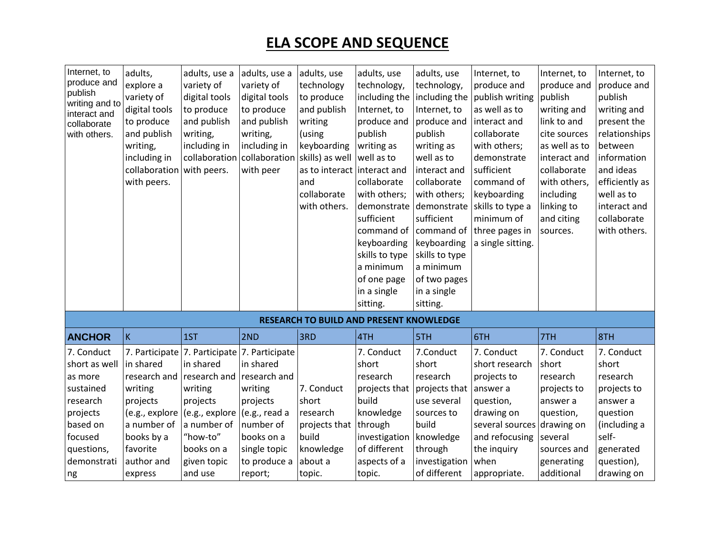| Internet, to<br>produce and<br>publish<br>writing and to<br>interact and<br>collaborate<br>with others. | adults,<br>explore a<br>variety of<br>digital tools<br>to produce<br>and publish<br>writing,<br>including in<br>collaboration with peers.<br>with peers. | adults, use a<br>variety of<br>digital tools<br>to produce<br>and publish<br>writing,<br>including in<br>collaboration | adults, use a<br>variety of<br>digital tools<br>to produce<br>and publish<br>writing,<br>including in<br>collaboration<br>with peer | adults, use<br>technology<br>to produce<br>and publish<br>writing<br>(using<br>keyboarding<br>skills) as well<br>as to interact<br>and<br>collaborate<br>with others. | adults, use<br>technology,<br>including the<br>Internet, to<br>produce and<br>publish<br>writing as<br>well as to<br>interact and<br>collaborate<br>with others;<br>demonstrate<br>sufficient<br>command of<br>keyboarding<br>skills to type<br>a minimum<br>of one page<br>in a single<br>sitting. | adults, use<br>technology,<br>including the<br>Internet, to<br>produce and<br>publish<br>writing as<br>well as to<br>interact and<br>collaborate<br>with others;<br>demonstrate<br>sufficient<br>command of<br>keyboarding<br>skills to type<br>a minimum<br>of two pages<br>in a single<br>sitting. | Internet, to<br>produce and<br>publish writing<br>as well as to<br>interact and<br>collaborate<br>with others;<br>demonstrate<br>sufficient<br>command of<br>keyboarding<br>skills to type a<br>minimum of<br>three pages in<br>a single sitting. | Internet, to<br>produce and<br>publish<br>writing and<br>link to and<br>cite sources<br>as well as to<br>interact and<br>collaborate<br>with others,<br>including<br>linking to<br>and citing<br>sources. | Internet, to<br>produce and<br>publish<br>writing and<br>present the<br>relationships<br>between<br>information<br>and ideas<br>efficiently as<br>well as to<br>interact and<br>collaborate<br>with others. |
|---------------------------------------------------------------------------------------------------------|----------------------------------------------------------------------------------------------------------------------------------------------------------|------------------------------------------------------------------------------------------------------------------------|-------------------------------------------------------------------------------------------------------------------------------------|-----------------------------------------------------------------------------------------------------------------------------------------------------------------------|-----------------------------------------------------------------------------------------------------------------------------------------------------------------------------------------------------------------------------------------------------------------------------------------------------|------------------------------------------------------------------------------------------------------------------------------------------------------------------------------------------------------------------------------------------------------------------------------------------------------|---------------------------------------------------------------------------------------------------------------------------------------------------------------------------------------------------------------------------------------------------|-----------------------------------------------------------------------------------------------------------------------------------------------------------------------------------------------------------|-------------------------------------------------------------------------------------------------------------------------------------------------------------------------------------------------------------|
|                                                                                                         |                                                                                                                                                          |                                                                                                                        |                                                                                                                                     | RESEARCH TO BUILD AND PRESENT KNOWLEDGE                                                                                                                               |                                                                                                                                                                                                                                                                                                     |                                                                                                                                                                                                                                                                                                      |                                                                                                                                                                                                                                                   |                                                                                                                                                                                                           |                                                                                                                                                                                                             |
| <b>ANCHOR</b>                                                                                           | İΚ                                                                                                                                                       | 1ST                                                                                                                    | 2ND                                                                                                                                 | 3RD                                                                                                                                                                   | 4TH                                                                                                                                                                                                                                                                                                 | 5TH                                                                                                                                                                                                                                                                                                  | 6TH                                                                                                                                                                                                                                               | 7TH                                                                                                                                                                                                       | 8TH                                                                                                                                                                                                         |
| 7. Conduct<br>short as well<br>as more                                                                  | in shared                                                                                                                                                | 7. Participate 7. Participate<br>in shared<br>research and research and                                                | 7. Participate<br>in shared<br>research and                                                                                         |                                                                                                                                                                       | 7. Conduct<br>short<br>research                                                                                                                                                                                                                                                                     | 7.Conduct<br>short<br>research                                                                                                                                                                                                                                                                       | 7. Conduct<br>short research<br>projects to                                                                                                                                                                                                       | 7. Conduct<br>short<br>research                                                                                                                                                                           | 7. Conduct<br>short<br>research                                                                                                                                                                             |
| sustained<br>research                                                                                   | writing<br>projects                                                                                                                                      | writing<br>projects                                                                                                    | writing<br>projects                                                                                                                 | 7. Conduct<br>short                                                                                                                                                   | projects that<br>build                                                                                                                                                                                                                                                                              | projects that<br>use several                                                                                                                                                                                                                                                                         | answer a<br>question,                                                                                                                                                                                                                             | projects to<br>answer a                                                                                                                                                                                   | projects to<br>answer a                                                                                                                                                                                     |
| projects<br>based on<br>focused                                                                         | (e.g., explore<br>a number of<br>books by a                                                                                                              | (e.g., explore<br>a number of<br>"how-to"                                                                              | (e.g., read a<br>number of<br>books on a                                                                                            | research<br>projects that   through<br>build                                                                                                                          | knowledge<br>investigation                                                                                                                                                                                                                                                                          | sources to<br>build<br>knowledge                                                                                                                                                                                                                                                                     | drawing on<br>several sources drawing on<br>and refocusing                                                                                                                                                                                        | question,<br>several                                                                                                                                                                                      | question<br>(including a<br>self-                                                                                                                                                                           |
| questions,<br>demonstrati<br>ng                                                                         | favorite<br>author and<br>express                                                                                                                        | books on a<br>given topic<br>and use                                                                                   | single topic<br>to produce a<br>report;                                                                                             | knowledge<br>about a<br>topic.                                                                                                                                        | of different<br>aspects of a<br>topic.                                                                                                                                                                                                                                                              | through<br>investigation<br>of different                                                                                                                                                                                                                                                             | the inquiry<br>when<br>appropriate.                                                                                                                                                                                                               | sources and<br>generating<br>additional                                                                                                                                                                   | generated<br>question),<br>drawing on                                                                                                                                                                       |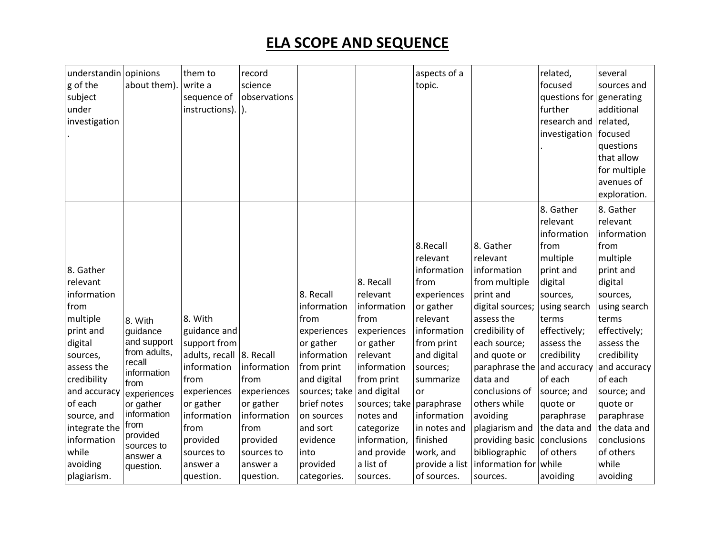| understandin opinions |                        | them to                    | record       |                           |               | aspects of a   |                  | related,                 | several      |
|-----------------------|------------------------|----------------------------|--------------|---------------------------|---------------|----------------|------------------|--------------------------|--------------|
| g of the              | about them)            | write a                    | science      |                           |               | topic.         |                  | focused                  | sources and  |
| subject               |                        | sequence of                | observations |                           |               |                |                  | questions for generating |              |
| under                 |                        | $instructions).$ ].        |              |                           |               |                |                  | further                  | additional   |
| investigation         |                        |                            |              |                           |               |                |                  | research and             | related,     |
|                       |                        |                            |              |                           |               |                |                  | investigation            | focused      |
|                       |                        |                            |              |                           |               |                |                  |                          | questions    |
|                       |                        |                            |              |                           |               |                |                  |                          | that allow   |
|                       |                        |                            |              |                           |               |                |                  |                          | for multiple |
|                       |                        |                            |              |                           |               |                |                  |                          | avenues of   |
|                       |                        |                            |              |                           |               |                |                  |                          | exploration. |
|                       |                        |                            |              |                           |               |                |                  | 8. Gather                | 8. Gather    |
|                       |                        |                            |              |                           |               |                |                  | relevant                 | relevant     |
|                       |                        |                            |              |                           |               |                |                  | information              | information  |
|                       |                        |                            |              |                           |               | 8.Recall       | 8. Gather        | from                     | from         |
|                       |                        |                            |              |                           |               | relevant       | relevant         | multiple                 | multiple     |
| 8. Gather             |                        |                            |              |                           |               | information    | information      | print and                | print and    |
| relevant              |                        |                            |              |                           | 8. Recall     | from           | from multiple    | digital                  | digital      |
| information           |                        |                            |              | 8. Recall                 | relevant      | experiences    | print and        | sources,                 | sources,     |
| from                  |                        |                            |              | information               | information   | or gather      | digital sources; | using search             | using search |
| multiple              | 8. With                | 8. With                    |              | from                      | from          | relevant       | assess the       | terms                    | terms        |
| print and             | guidance               | guidance and               |              | experiences               | experiences   | information    | credibility of   | effectively;             | effectively; |
| digital               | and support            | support from               |              | or gather                 | or gather     | from print     | each source;     | assess the               | assess the   |
| sources,              | from adults,           | adults, recall   8. Recall |              | information               | relevant      | and digital    | and quote or     | credibility              | credibility  |
| assess the            | recall                 | information                | information  | from print                | information   | sources;       | paraphrase the   | and accuracy             | and accuracy |
| credibility           | information<br>from    | from                       | from         | and digital               | from print    | summarize      | data and         | of each                  | of each      |
| and accuracy          | experiences            | experiences                | experiences  | sources; take and digital |               | <b>or</b>      | conclusions of   | source; and              | source; and  |
| of each               | or gather              | or gather                  | or gather    | brief notes               | sources; take | paraphrase     | others while     | quote or                 | quote or     |
| source, and           | information            | information                | information  | on sources                | notes and     | information    | avoiding         | paraphrase               | paraphrase   |
| integrate the         | from                   | from                       | from         | and sort                  | categorize    | in notes and   | plagiarism and   | the data and             | the data and |
| information           | provided               | provided                   | provided     | evidence                  | information,  | finished       | providing basic  | conclusions              | conclusions  |
| while                 | sources to<br>answer a | sources to                 | sources to   | into                      | and provide   | work, and      | bibliographic    | of others                | of others    |
| avoiding              | question.              | answer a                   | answer a     | provided                  | a list of     | provide a list | information for  | while                    | while        |
| plagiarism.           |                        | question.                  | question.    | categories.               | sources.      | of sources.    | sources.         | avoiding                 | avoiding     |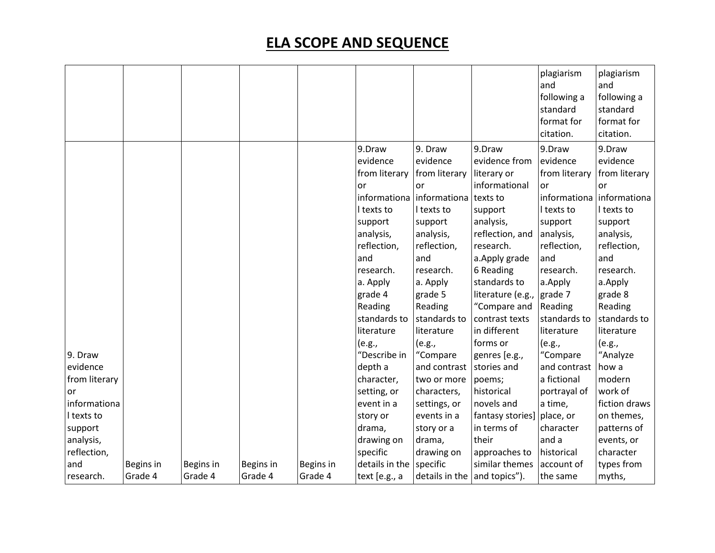|               |           |           |           |           |                |                                  |                   | plagiarism<br>and<br>following a<br>standard<br>format for<br>citation. | plagiarism<br>and<br>following a<br>standard<br>format for<br>citation. |
|---------------|-----------|-----------|-----------|-----------|----------------|----------------------------------|-------------------|-------------------------------------------------------------------------|-------------------------------------------------------------------------|
|               |           |           |           |           | 9.Draw         | 9. Draw                          | 9.Draw            | 9.Draw                                                                  | 9.Draw                                                                  |
|               |           |           |           |           | evidence       | evidence                         | evidence from     | evidence                                                                | evidence                                                                |
|               |           |           |           |           | from literary  | from literary                    | literary or       | from literary                                                           | from literary                                                           |
|               |           |           |           |           | or             | <b>or</b>                        | informational     | or                                                                      | or                                                                      |
|               |           |           |           |           |                | informationa informationa        | texts to          |                                                                         | informationa informationa                                               |
|               |           |           |           |           | I texts to     | I texts to                       | support           | I texts to                                                              | I texts to                                                              |
|               |           |           |           |           | support        | support                          | analysis,         | support                                                                 | support                                                                 |
|               |           |           |           |           | analysis,      | analysis,                        | reflection, and   | analysis,                                                               | analysis,                                                               |
|               |           |           |           |           | reflection,    | reflection,                      | research.         | reflection,                                                             | reflection,                                                             |
|               |           |           |           |           | and            | and                              | a. Apply grade    | and                                                                     | and                                                                     |
|               |           |           |           |           | research.      | research.                        | 6 Reading         | research.                                                               | research.                                                               |
|               |           |           |           |           | a. Apply       | a. Apply                         | standards to      | a.Apply                                                                 | a.Apply                                                                 |
|               |           |           |           |           | grade 4        | grade 5                          | literature (e.g., | grade 7                                                                 | grade 8                                                                 |
|               |           |           |           |           | Reading        | Reading                          | "Compare and      | Reading                                                                 | Reading                                                                 |
|               |           |           |           |           | standards to   | standards to                     | contrast texts    | standards to                                                            | standards to                                                            |
|               |           |           |           |           | literature     | literature                       | in different      | literature                                                              | literature                                                              |
|               |           |           |           |           | (e.g.,         | (e.g.,                           | forms or          | (e.g.,                                                                  | (e.g.,                                                                  |
| 9. Draw       |           |           |           |           | "Describe in   | "Compare                         | genres [e.g.,     | "Compare                                                                | "Analyze                                                                |
| evidence      |           |           |           |           | depth a        | and contrast                     | stories and       | and contrast                                                            | how a                                                                   |
| from literary |           |           |           |           | character,     | two or more                      | poems;            | a fictional                                                             | modern                                                                  |
| or            |           |           |           |           | setting, or    | characters,                      | historical        | portrayal of                                                            | work of                                                                 |
| informationa  |           |           |           |           | event in a     | settings, or                     | novels and        | a time,                                                                 | fiction draws                                                           |
| I texts to    |           |           |           |           | story or       | events in a                      | fantasy stories]  | place, or                                                               | on themes,                                                              |
| support       |           |           |           |           | drama,         | story or a                       | in terms of       | character                                                               | patterns of                                                             |
| analysis,     |           |           |           |           | drawing on     | drama,                           | their             | and a                                                                   | events, or                                                              |
| reflection,   |           |           |           |           | specific       | drawing on                       | approaches to     | historical                                                              | character                                                               |
| and           | Begins in | Begins in | Begins in | Begins in | details in the | specific                         | similar themes    | account of                                                              | types from                                                              |
| research.     | Grade 4   | Grade 4   | Grade 4   | Grade 4   | text [e.g., a  | details in the $ $ and topics"). |                   | the same                                                                | myths,                                                                  |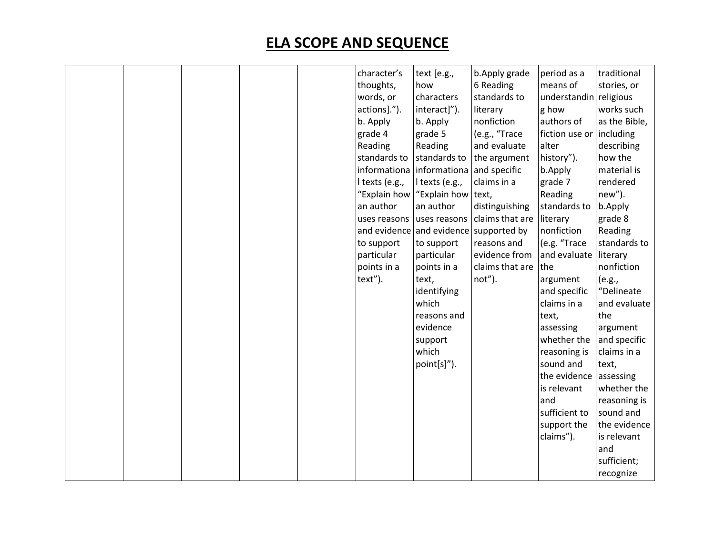|  |  | character's               | text [e.g.,                            | b. Apply grade  | period as a            | traditional   |
|--|--|---------------------------|----------------------------------------|-----------------|------------------------|---------------|
|  |  | thoughts,                 | how                                    | 6 Reading       | means of               | stories, or   |
|  |  | words, or                 | characters                             | standards to    | understandin religious |               |
|  |  | actions].").              | interact]").                           | literary        | g how                  | works such    |
|  |  | b. Apply                  | b. Apply                               | nonfiction      | authors of             | as the Bible, |
|  |  | grade 4                   | grade 5                                | (e.g., "Trace   | fiction use or         | including     |
|  |  | Reading                   | Reading                                | and evaluate    | alter                  | describing    |
|  |  | standards to              | standards to                           | the argument    | history").             | how the       |
|  |  | informationa              | informationa                           | and specific    | b.Apply                | material is   |
|  |  | I texts (e.g.,            | l texts (e.g.,                         | claims in a     | grade 7                | rendered      |
|  |  | "Explain how              | "Explain how                           | text,           | Reading                | new").        |
|  |  | an author                 | an author                              | distinguishing  | standards to           | b.Apply       |
|  |  | uses reasons uses reasons |                                        | claims that are | literary               | grade 8       |
|  |  |                           | and evidence and evidence supported by |                 | nonfiction             | Reading       |
|  |  | to support                | to support                             | reasons and     | (e.g. "Trace           | standards to  |
|  |  | particular                | particular                             | evidence from   | and evaluate           | literary      |
|  |  | points in a               | points in a                            | claims that are | the                    | nonfiction    |
|  |  | text").                   | text,                                  | not").          | argument               | (e.g.,        |
|  |  |                           | identifying                            |                 | and specific           | "Delineate    |
|  |  |                           | which                                  |                 | claims in a            | and evaluate  |
|  |  |                           | reasons and                            |                 | text,                  | the           |
|  |  |                           | evidence                               |                 | assessing              | argument      |
|  |  |                           | support                                |                 | whether the            | and specific  |
|  |  |                           | which                                  |                 | reasoning is           | claims in a   |
|  |  |                           | point[s]").                            |                 | sound and              | text,         |
|  |  |                           |                                        |                 | the evidence           | assessing     |
|  |  |                           |                                        |                 | is relevant            | whether the   |
|  |  |                           |                                        |                 | and                    | reasoning is  |
|  |  |                           |                                        |                 | sufficient to          | sound and     |
|  |  |                           |                                        |                 | support the            | the evidence  |
|  |  |                           |                                        |                 | claims").              | is relevant   |
|  |  |                           |                                        |                 |                        | and           |
|  |  |                           |                                        |                 |                        | sufficient;   |
|  |  |                           |                                        |                 |                        | recognize     |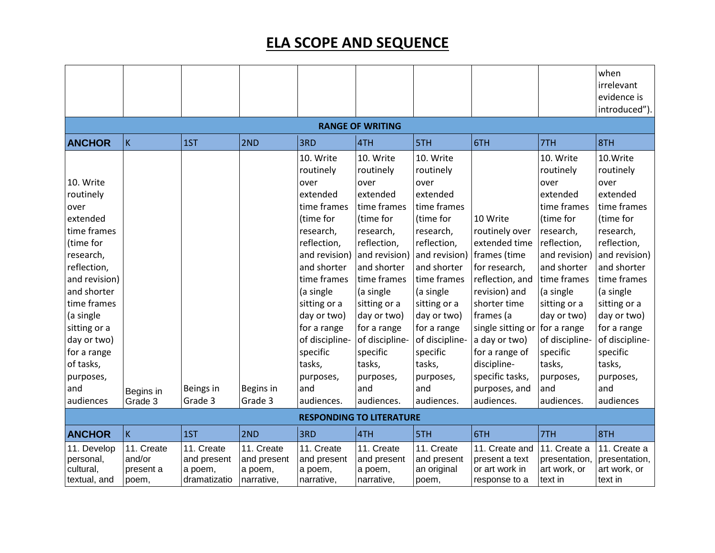|                                                       |                                            |                                                      |                                                    |                                                    |                                                    |                                                   |                                                                     |                                                          | when<br>irrelevant                                       |  |  |
|-------------------------------------------------------|--------------------------------------------|------------------------------------------------------|----------------------------------------------------|----------------------------------------------------|----------------------------------------------------|---------------------------------------------------|---------------------------------------------------------------------|----------------------------------------------------------|----------------------------------------------------------|--|--|
|                                                       |                                            |                                                      |                                                    |                                                    |                                                    |                                                   |                                                                     |                                                          | evidence is                                              |  |  |
|                                                       |                                            |                                                      |                                                    |                                                    |                                                    |                                                   |                                                                     |                                                          | introduced").                                            |  |  |
| <b>RANGE OF WRITING</b>                               |                                            |                                                      |                                                    |                                                    |                                                    |                                                   |                                                                     |                                                          |                                                          |  |  |
| <b>ANCHOR</b>                                         | K                                          | 1ST                                                  | 2ND                                                | 3RD                                                | 4TH                                                | 5TH                                               | 6TH                                                                 | 7TH                                                      | 8TH                                                      |  |  |
|                                                       |                                            |                                                      |                                                    | 10. Write                                          | 10. Write                                          | 10. Write                                         |                                                                     | 10. Write                                                | 10.Write                                                 |  |  |
|                                                       |                                            |                                                      |                                                    | routinely                                          | routinely                                          | routinely                                         |                                                                     | routinely                                                | routinely                                                |  |  |
| 10. Write                                             |                                            |                                                      |                                                    | over                                               | over                                               | over                                              |                                                                     | over                                                     | over                                                     |  |  |
| routinely                                             |                                            |                                                      |                                                    | extended                                           | extended                                           | extended                                          |                                                                     | extended                                                 | extended                                                 |  |  |
| over                                                  |                                            |                                                      |                                                    | time frames                                        | time frames                                        | time frames                                       |                                                                     | time frames                                              | time frames                                              |  |  |
| extended                                              |                                            |                                                      |                                                    | (time for                                          | (time for                                          | (time for                                         | 10 Write                                                            | (time for                                                | (time for                                                |  |  |
| time frames                                           |                                            |                                                      |                                                    | research,                                          | research,                                          | research,                                         | routinely over                                                      | research,                                                | research,                                                |  |  |
| (time for                                             |                                            |                                                      |                                                    | reflection,                                        | reflection,                                        | reflection,                                       | extended time                                                       | reflection,                                              | reflection,                                              |  |  |
| research,                                             |                                            |                                                      |                                                    | and revision)                                      | and revision)                                      | and revision)                                     | frames (time                                                        | and revision)                                            | and revision)                                            |  |  |
| reflection,                                           |                                            |                                                      |                                                    | and shorter                                        | and shorter                                        | and shorter                                       | for research,                                                       | and shorter                                              | and shorter                                              |  |  |
| and revision)                                         |                                            |                                                      |                                                    | time frames                                        | time frames                                        | time frames                                       | reflection, and                                                     | time frames                                              | time frames                                              |  |  |
| and shorter                                           |                                            |                                                      |                                                    | (a single                                          | (a single                                          | (a single                                         | revision) and                                                       | (a single                                                | (a single                                                |  |  |
| time frames                                           |                                            |                                                      |                                                    | sitting or a                                       | sitting or a                                       | sitting or a                                      | shorter time                                                        | sitting or a                                             | sitting or a                                             |  |  |
| (a single                                             |                                            |                                                      |                                                    | day or two)                                        | day or two)                                        | day or two)                                       | frames (a                                                           | day or two)                                              | day or two)                                              |  |  |
| sitting or a                                          |                                            |                                                      |                                                    | for a range                                        | for a range                                        | for a range                                       | single sitting or for a range                                       |                                                          | for a range                                              |  |  |
| day or two)                                           |                                            |                                                      |                                                    | of discipline-                                     | of discipline-                                     | of discipline-                                    | a day or two)                                                       | of discipline-                                           | of discipline-                                           |  |  |
| for a range                                           |                                            |                                                      |                                                    | specific                                           | specific                                           | specific                                          | for a range of                                                      | specific                                                 | specific                                                 |  |  |
| of tasks,                                             |                                            |                                                      |                                                    | tasks,                                             | tasks,                                             | tasks,                                            | discipline-                                                         | tasks,                                                   | tasks,                                                   |  |  |
| purposes,                                             |                                            |                                                      |                                                    | purposes,                                          | purposes,                                          | purposes,                                         | specific tasks,                                                     | purposes,                                                | purposes,                                                |  |  |
| and                                                   | Begins in                                  | Beings in                                            | Begins in                                          | and                                                | and                                                | and                                               | purposes, and                                                       | and                                                      | and                                                      |  |  |
| audiences                                             | Grade 3                                    | Grade 3                                              | Grade 3                                            | audiences.                                         | audiences.                                         | audiences.                                        | audiences.                                                          | audiences.                                               | audiences                                                |  |  |
|                                                       |                                            |                                                      |                                                    |                                                    | <b>RESPONDING TO LITERATURE</b>                    |                                                   |                                                                     |                                                          |                                                          |  |  |
| <b>ANCHOR</b>                                         | K                                          | 1ST                                                  | 2ND                                                | 3RD                                                | 4TH                                                | 5TH                                               | 6TH                                                                 | 7TH                                                      | 8TH                                                      |  |  |
| 11. Develop<br>personal,<br>cultural,<br>textual, and | 11. Create<br>and/or<br>present a<br>poem, | 11. Create<br>and present<br>a poem,<br>dramatizatio | 11. Create<br>and present<br>a poem,<br>narrative, | 11. Create<br>and present<br>a poem,<br>narrative, | 11. Create<br>and present<br>a poem,<br>narrative, | 11. Create<br>and present<br>an original<br>poem, | 11. Create and<br>present a text<br>or art work in<br>response to a | 11. Create a<br>presentation,<br>art work, or<br>text in | 11. Create a<br>presentation,<br>art work, or<br>text in |  |  |